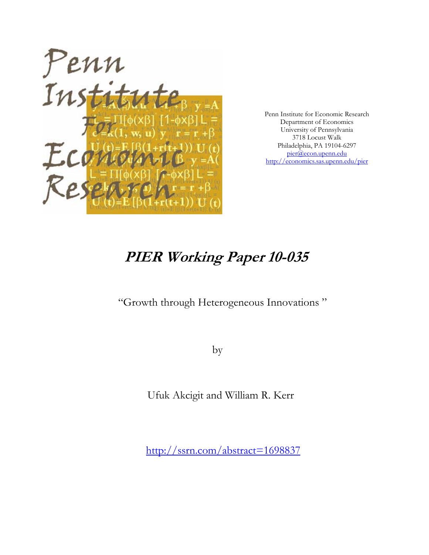

Penn Institute for Economic Research Department of Economics University of Pennsylvania 3718 Locust Walk Philadelphia, PA 19104-6297 pier@econ.upenn.edu http://economics.sas.upenn.edu/pier

# **PIER Working Paper 10-035**

"Growth through Heterogeneous Innovations "

by

Ufuk Akcigit and William R. Kerr

http://ssrn.com/abstract=1698837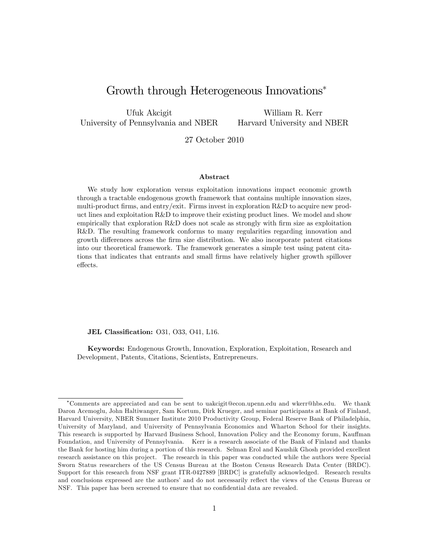# Growth through Heterogeneous Innovations<sup>\*</sup>

Ufuk Akcigit University of Pennsylvania and NBER

William R. Kerr Harvard University and NBER

27 October 2010

#### Abstract

We study how exploration versus exploitation innovations impact economic growth through a tractable endogenous growth framework that contains multiple innovation sizes, multi-product firms, and entry/exit. Firms invest in exploration  $R\&D$  to acquire new product lines and exploitation R&D to improve their existing product lines. We model and show empirically that exploration R&D does not scale as strongly with firm size as exploitation R&D. The resulting framework conforms to many regularities regarding innovation and growth differences across the firm size distribution. We also incorporate patent citations into our theoretical framework. The framework generates a simple test using patent citations that indicates that entrants and small Örms have relatively higher growth spillover effects.

JEL Classification: 031, 033, 041, L16.

Keywords: Endogenous Growth, Innovation, Exploration, Exploitation, Research and Development, Patents, Citations, Scientists, Entrepreneurs.

Comments are appreciated and can be sent to uakcigit@econ.upenn.edu and wkerr@hbs.edu. We thank Daron Acemoglu, John Haltiwanger, Sam Kortum, Dirk Krueger, and seminar participants at Bank of Finland, Harvard University, NBER Summer Institute 2010 Productivity Group, Federal Reserve Bank of Philadelphia, University of Maryland, and University of Pennsylvania Economics and Wharton School for their insights. This research is supported by Harvard Business School, Innovation Policy and the Economy forum, Kauffman Foundation, and University of Pennsylvania. Kerr is a research associate of the Bank of Finland and thanks the Bank for hosting him during a portion of this research. Selman Erol and Kaushik Ghosh provided excellent research assistance on this project. The research in this paper was conducted while the authors were Special Sworn Status researchers of the US Census Bureau at the Boston Census Research Data Center (BRDC). Support for this research from NSF grant ITR-0427889 [BRDC] is gratefully acknowledged. Research results and conclusions expressed are the authors' and do not necessarily reflect the views of the Census Bureau or NSF. This paper has been screened to ensure that no confidential data are revealed.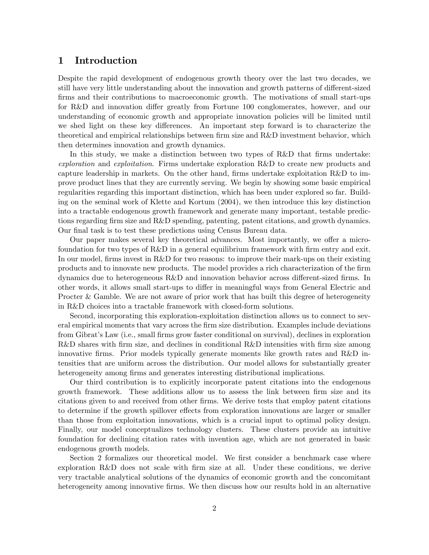# 1 Introduction

Despite the rapid development of endogenous growth theory over the last two decades, we still have very little understanding about the innovation and growth patterns of different-sized firms and their contributions to macroeconomic growth. The motivations of small start-ups for R&D and innovation differ greatly from Fortune 100 conglomerates, however, and our understanding of economic growth and appropriate innovation policies will be limited until we shed light on these key differences. An important step forward is to characterize the theoretical and empirical relationships between firm size and R&D investment behavior, which then determines innovation and growth dynamics.

In this study, we make a distinction between two types of R&D that firms undertake: exploration and exploitation. Firms undertake exploration R&D to create new products and capture leadership in markets. On the other hand, firms undertake exploitation R&D to improve product lines that they are currently serving. We begin by showing some basic empirical regularities regarding this important distinction, which has been under explored so far. Building on the seminal work of Klette and Kortum (2004), we then introduce this key distinction into a tractable endogenous growth framework and generate many important, testable predictions regarding firm size and R&D spending, patenting, patent citations, and growth dynamics. Our final task is to test these predictions using Census Bureau data.

Our paper makes several key theoretical advances. Most importantly, we offer a microfoundation for two types of  $R\&D$  in a general equilibrium framework with firm entry and exit. In our model, firms invest in R&D for two reasons: to improve their mark-ups on their existing products and to innovate new products. The model provides a rich characterization of the Örm dynamics due to heterogeneous  $R\&D$  and innovation behavior across different-sized firms. In other words, it allows small start-ups to differ in meaningful ways from General Electric and Procter & Gamble. We are not aware of prior work that has built this degree of heterogeneity in R&D choices into a tractable framework with closed-form solutions.

Second, incorporating this exploration-exploitation distinction allows us to connect to several empirical moments that vary across the firm size distribution. Examples include deviations from Gibrat's Law (i.e., small firms grow faster conditional on survival), declines in exploration  $R&D$  shares with firm size, and declines in conditional  $R&D$  intensities with firm size among innovative firms. Prior models typically generate moments like growth rates and  $R\&D$  intensities that are uniform across the distribution. Our model allows for substantially greater heterogeneity among firms and generates interesting distributional implications.

Our third contribution is to explicitly incorporate patent citations into the endogenous growth framework. These additions allow us to assess the link between firm size and its citations given to and received from other Örms. We derive tests that employ patent citations to determine if the growth spillover effects from exploration innovations are larger or smaller than those from exploitation innovations, which is a crucial input to optimal policy design. Finally, our model conceptualizes technology clusters. These clusters provide an intuitive foundation for declining citation rates with invention age, which are not generated in basic endogenous growth models.

Section 2 formalizes our theoretical model. We first consider a benchmark case where exploration  $R\&D$  does not scale with firm size at all. Under these conditions, we derive very tractable analytical solutions of the dynamics of economic growth and the concomitant heterogeneity among innovative firms. We then discuss how our results hold in an alternative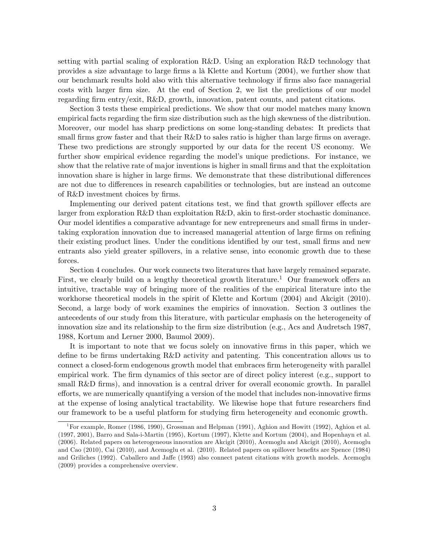setting with partial scaling of exploration R&D. Using an exploration R&D technology that provides a size advantage to large Örms a l‡ Klette and Kortum (2004), we further show that our benchmark results hold also with this alternative technology if firms also face managerial costs with larger Örm size. At the end of Section 2, we list the predictions of our model regarding firm entry/exit, R&D, growth, innovation, patent counts, and patent citations.

Section 3 tests these empirical predictions. We show that our model matches many known empirical facts regarding the firm size distribution such as the high skewness of the distribution. Moreover, our model has sharp predictions on some long-standing debates: It predicts that small firms grow faster and that their  $R\&D$  to sales ratio is higher than large firms on average. These two predictions are strongly supported by our data for the recent US economy. We further show empirical evidence regarding the model's unique predictions. For instance, we show that the relative rate of major inventions is higher in small firms and that the exploitation innovation share is higher in large firms. We demonstrate that these distributional differences are not due to differences in research capabilities or technologies, but are instead an outcome of R&D investment choices by firms.

Implementing our derived patent citations test, we find that growth spillover effects are larger from exploration  $R\&D$  than exploitation  $R\&D$ , akin to first-order stochastic dominance. Our model identifies a comparative advantage for new entrepreneurs and small firms in undertaking exploration innovation due to increased managerial attention of large firms on refining their existing product lines. Under the conditions identified by our test, small firms and new entrants also yield greater spillovers, in a relative sense, into economic growth due to these forces.

Section 4 concludes. Our work connects two literatures that have largely remained separate. First, we clearly build on a lengthy theoretical growth literature.<sup>1</sup> Our framework offers an intuitive, tractable way of bringing more of the realities of the empirical literature into the workhorse theoretical models in the spirit of Klette and Kortum (2004) and Akcigit (2010). Second, a large body of work examines the empirics of innovation. Section 3 outlines the antecedents of our study from this literature, with particular emphasis on the heterogeneity of innovation size and its relationship to the firm size distribution (e.g., Acs and Audretsch 1987, 1988, Kortum and Lerner 2000, Baumol 2009).

It is important to note that we focus solely on innovative firms in this paper, which we define to be firms undertaking  $R\&D$  activity and patenting. This concentration allows us to connect a closed-form endogenous growth model that embraces firm heterogeneity with parallel empirical work. The firm dynamics of this sector are of direct policy interest (e.g., support to small  $R&D$  firms), and innovation is a central driver for overall economic growth. In parallel efforts, we are numerically quantifying a version of the model that includes non-innovative firms at the expense of losing analytical tractability. We likewise hope that future researchers find our framework to be a useful platform for studying firm heterogeneity and economic growth.

<sup>&</sup>lt;sup>1</sup> For example, Romer (1986, 1990), Grossman and Helpman (1991), Aghion and Howitt (1992), Aghion et al. (1997, 2001), Barro and Sala-i-Martin (1995), Kortum (1997), Klette and Kortum (2004), and Hopenhayn et al. (2006). Related papers on heterogeneous innovation are Akcigit (2010), Acemoglu and Akcigit (2010), Acemoglu and Cao (2010), Cai (2010), and Acemoglu et al. (2010). Related papers on spillover benefits are Spence (1984) and Griliches (1992). Caballero and Jaffe (1993) also connect patent citations with growth models. Acemoglu (2009) provides a comprehensive overview.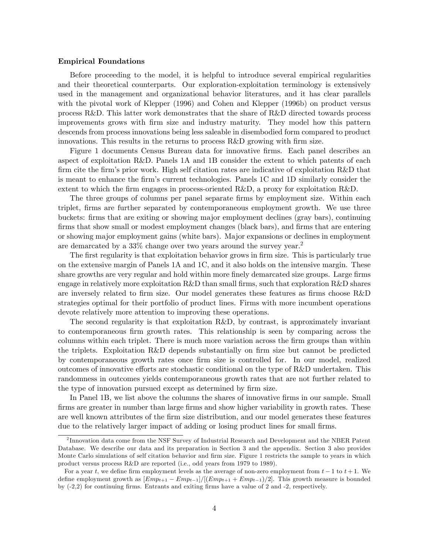#### Empirical Foundations

Before proceeding to the model, it is helpful to introduce several empirical regularities and their theoretical counterparts. Our exploration-exploitation terminology is extensively used in the management and organizational behavior literatures, and it has clear parallels with the pivotal work of Klepper (1996) and Cohen and Klepper (1996b) on product versus process R&D. This latter work demonstrates that the share of R&D directed towards process improvements grows with Örm size and industry maturity. They model how this pattern descends from process innovations being less saleable in disembodied form compared to product innovations. This results in the returns to process R&D growing with firm size.

Figure 1 documents Census Bureau data for innovative firms. Each panel describes an aspect of exploitation R&D. Panels 1A and 1B consider the extent to which patents of each firm cite the firm's prior work. High self citation rates are indicative of exploitation R&D that is meant to enhance the Örmís current technologies. Panels 1C and 1D similarly consider the extent to which the firm engages in process-oriented  $R\&D$ , a proxy for exploitation  $R\&D$ .

The three groups of columns per panel separate firms by employment size. Within each triplet, firms are further separated by contemporaneous employment growth. We use three buckets: Örms that are exiting or showing major employment declines (gray bars), continuing firms that show small or modest employment changes (black bars), and firms that are entering or showing major employment gains (white bars). Major expansions or declines in employment are demarcated by a 33% change over two years around the survey year.<sup>2</sup>

The first regularity is that exploitation behavior grows in firm size. This is particularly true on the extensive margin of Panels 1A and 1C, and it also holds on the intensive margin. These share growths are very regular and hold within more finely demarcated size groups. Large firms engage in relatively more exploitation R&D than small firms, such that exploration R&D shares are inversely related to firm size. Our model generates these features as firms choose  $R\&D$ strategies optimal for their portfolio of product lines. Firms with more incumbent operations devote relatively more attention to improving these operations.

The second regularity is that exploitation R&D, by contrast, is approximately invariant to contemporaneous firm growth rates. This relationship is seen by comparing across the columns within each triplet. There is much more variation across the firm groups than within the triplets. Exploitation R&D depends substantially on firm size but cannot be predicted by contemporaneous growth rates once firm size is controlled for. In our model, realized outcomes of innovative efforts are stochastic conditional on the type of R&D undertaken. This randomness in outcomes yields contemporaneous growth rates that are not further related to the type of innovation pursued except as determined by firm size.

In Panel 1B, we list above the columns the shares of innovative firms in our sample. Small firms are greater in number than large firms and show higher variability in growth rates. These are well known attributes of the firm size distribution, and our model generates these features due to the relatively larger impact of adding or losing product lines for small firms.

<sup>&</sup>lt;sup>2</sup> Innovation data come from the NSF Survey of Industrial Research and Development and the NBER Patent Database. We describe our data and its preparation in Section 3 and the appendix. Section 3 also provides Monte Carlo simulations of self citation behavior and firm size. Figure 1 restricts the sample to years in which product versus process R&D are reported (i.e., odd years from 1979 to 1989).

For a year t, we define firm employment levels as the average of non-zero employment from  $t-1$  to  $t+1$ . We define employment growth as  $[Emp_{t+1} - Emp_{t-1}]/[(Emp_{t+1} + Emp_{t-1})/2]$ . This growth measure is bounded by  $(-2,2)$  for continuing firms. Entrants and exiting firms have a value of 2 and -2, respectively.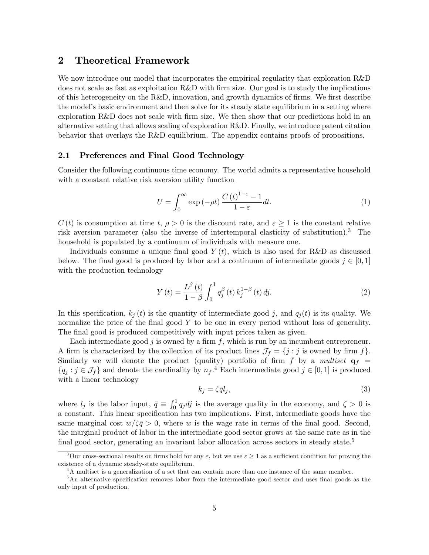# 2 Theoretical Framework

We now introduce our model that incorporates the empirical regularity that exploration R&D does not scale as fast as exploitation  $R&D$  with firm size. Our goal is to study the implications of this heterogeneity on the  $R\&D$ , innovation, and growth dynamics of firms. We first describe the model's basic environment and then solve for its steady state equilibrium in a setting where exploration R&D does not scale with firm size. We then show that our predictions hold in an alternative setting that allows scaling of exploration R&D. Finally, we introduce patent citation behavior that overlays the R&D equilibrium. The appendix contains proofs of propositions.

### 2.1 Preferences and Final Good Technology

Consider the following continuous time economy. The world admits a representative household with a constant relative risk aversion utility function

$$
U = \int_0^\infty \exp\left(-\rho t\right) \frac{C\left(t\right)^{1-\varepsilon} - 1}{1-\varepsilon} dt. \tag{1}
$$

 $C(t)$  is consumption at time t,  $\rho > 0$  is the discount rate, and  $\varepsilon \geq 1$  is the constant relative risk aversion parameter (also the inverse of intertemporal elasticity of substitution).<sup>3</sup> The household is populated by a continuum of individuals with measure one.

Individuals consume a unique final good  $Y(t)$ , which is also used for R&D as discussed below. The final good is produced by labor and a continuum of intermediate goods  $j \in [0, 1]$ with the production technology

$$
Y(t) = \frac{L^{\beta}(t)}{1-\beta} \int_0^1 q_j^{\beta}(t) k_j^{1-\beta}(t) \, dj. \tag{2}
$$

In this specification,  $k_j(t)$  is the quantity of intermediate good j, and  $q_i(t)$  is its quality. We normalize the price of the final good  $Y$  to be one in every period without loss of generality. The final good is produced competitively with input prices taken as given.

Each intermediate good j is owned by a firm  $f$ , which is run by an incumbent entrepreneur. A firm is characterized by the collection of its product lines  $\mathcal{J}_f = \{j : j \text{ is owned by firm } f\}.$ Similarly we will denote the product (quality) portfolio of firm  $f$  by a multiset  $q_f$  =  $\{q_j : j \in \mathcal{J}_f\}$  and denote the cardinality by  $n_f$ .<sup>4</sup> Each intermediate good  $j \in [0, 1]$  is produced with a linear technology

$$
k_j = \zeta \bar{q} l_j,\tag{3}
$$

where  $l_j$  is the labor input,  $\bar{q} \equiv \int_0^1 q_j \, dj$  is the average quality in the economy, and  $\zeta > 0$  is a constant. This linear specification has two implications. First, intermediate goods have the same marginal cost  $w/\zeta \bar{q} > 0$ , where w is the wage rate in terms of the final good. Second, the marginal product of labor in the intermediate good sector grows at the same rate as in the final good sector, generating an invariant labor allocation across sectors in steady state. $5$ 

<sup>&</sup>lt;sup>3</sup>Our cross-sectional results on firms hold for any  $\varepsilon$ , but we use  $\varepsilon \geq 1$  as a sufficient condition for proving the existence of a dynamic steady-state equilibrium.

<sup>&</sup>lt;sup>4</sup>A multiset is a generalization of a set that can contain more than one instance of the same member.

 $5$ An alternative specification removes labor from the intermediate good sector and uses final goods as the only input of production.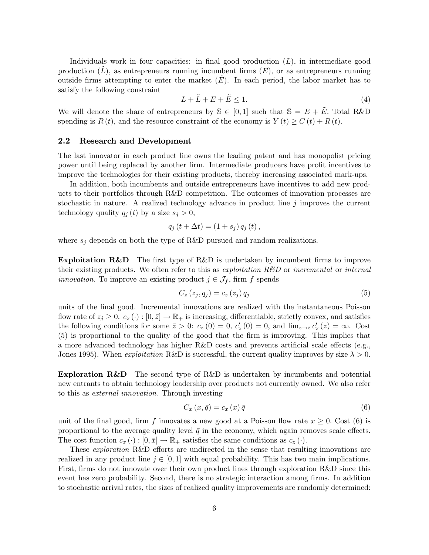Individuals work in four capacities: in final good production  $(L)$ , in intermediate good production  $(L)$ , as entrepreneurs running incumbent firms  $(E)$ , or as entrepreneurs running outside firms attempting to enter the market  $(E)$ . In each period, the labor market has to satisfy the following constraint

$$
L + \tilde{L} + E + \tilde{E} \le 1.
$$
\n<sup>(4)</sup>

We will denote the share of entrepreneurs by  $\mathcal{S} \in [0, 1]$  such that  $\mathcal{S} = E + \tilde{E}$ . Total R&D spending is  $R(t)$ , and the resource constraint of the economy is  $Y(t) \geq C(t) + R(t)$ .

#### 2.2 Research and Development

The last innovator in each product line owns the leading patent and has monopolist pricing power until being replaced by another firm. Intermediate producers have profit incentives to improve the technologies for their existing products, thereby increasing associated mark-ups.

In addition, both incumbents and outside entrepreneurs have incentives to add new products to their portfolios through R&D competition. The outcomes of innovation processes are stochastic in nature. A realized technology advance in product line  $j$  improves the current technology quality  $q_i(t)$  by a size  $s_i > 0$ ,

$$
q_{j}(t+\Delta t) = (1+s_{j}) q_{j}(t),
$$

where  $s_i$  depends on both the type of R&D pursued and random realizations.

**Exploitation R&D** The first type of R&D is undertaken by incumbent firms to improve their existing products. We often refer to this as *exploitation R&D* or *incremental* or *internal innovation*. To improve an existing product  $j \in \mathcal{J}_f$ , firm f spends

$$
C_z(z_j, q_j) = c_z(z_j) q_j \tag{5}
$$

units of the Önal good. Incremental innovations are realized with the instantaneous Poisson flow rate of  $z_j \geq 0$ .  $c_z(\cdot) : [0, \bar{z}] \to \mathbb{R}_+$  is increasing, differentiable, strictly convex, and satisfies the following conditions for some  $\bar{z} > 0$ :  $c_z(0) = 0$ ,  $c'_z(0) = 0$ , and  $\lim_{z \to \bar{z}} c'_z(z) = \infty$ . Cost (5) is proportional to the quality of the good that the Örm is improving. This implies that a more advanced technology has higher  $R\&D$  costs and prevents artificial scale effects (e.g., Jones 1995). When *exploitation* R&D is successful, the current quality improves by size  $\lambda > 0$ .

Exploration R&D The second type of R&D is undertaken by incumbents and potential new entrants to obtain technology leadership over products not currently owned. We also refer to this as external innovation. Through investing

$$
C_x(x,\bar{q}) = c_x(x)\bar{q}
$$
\n<sup>(6)</sup>

unit of the final good, firm f innovates a new good at a Poisson flow rate  $x \geq 0$ . Cost (6) is proportional to the average quality level  $\bar{q}$  in the economy, which again removes scale effects. The cost function  $c_x(\cdot): [0, \bar{x}] \to \mathbb{R}_+$  satisfies the same conditions as  $c_z(\cdot)$ .

These *exploration*  $R\&D$  efforts are undirected in the sense that resulting innovations are realized in any product line  $j \in [0, 1]$  with equal probability. This has two main implications. First, firms do not innovate over their own product lines through exploration R&D since this event has zero probability. Second, there is no strategic interaction among firms. In addition to stochastic arrival rates, the sizes of realized quality improvements are randomly determined: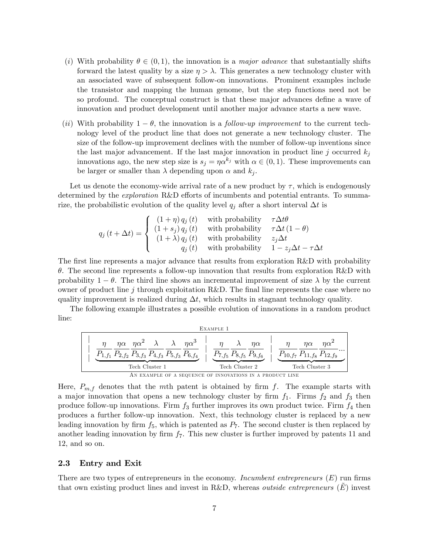- (i) With probability  $\theta \in (0, 1)$ , the innovation is a *major advance* that substantially shifts forward the latest quality by a size  $\eta > \lambda$ . This generates a new technology cluster with an associated wave of subsequent follow-on innovations. Prominent examples include the transistor and mapping the human genome, but the step functions need not be so profound. The conceptual construct is that these major advances define a wave of innovation and product development until another major advance starts a new wave.
- (ii) With probability  $1 \theta$ , the innovation is a *follow-up improvement* to the current technology level of the product line that does not generate a new technology cluster. The size of the follow-up improvement declines with the number of follow-up inventions since the last major advancement. If the last major innovation in product line j occurred  $k_i$ innovations ago, the new step size is  $s_j = \eta \alpha^{k_j}$  with  $\alpha \in (0, 1)$ . These improvements can be larger or smaller than  $\lambda$  depending upon  $\alpha$  and  $k_i$ .

Let us denote the economy-wide arrival rate of a new product by  $\tau$ , which is endogenously determined by the *exploration* R&D efforts of incumbents and potential entrants. To summarize, the probabilistic evolution of the quality level  $q_j$  after a short interval  $\Delta t$  is

$$
q_{j}(t + \Delta t) = \begin{cases} (1 + \eta) q_{j}(t) & \text{with probability} & \tau \Delta t \theta \\ (1 + s_{j}) q_{j}(t) & \text{with probability} & \tau \Delta t (1 - \theta) \\ (1 + \lambda) q_{j}(t) & \text{with probability} & z_{j} \Delta t \\ q_{j}(t) & \text{with probability} & 1 - z_{j} \Delta t - \tau \Delta t \end{cases}
$$

The first line represents a major advance that results from exploration R&D with probability  $\theta$ . The second line represents a follow-up innovation that results from exploration R&D with probability  $1 - \theta$ . The third line shows an incremental improvement of size  $\lambda$  by the current owner of product line j through exploitation R&D. The final line represents the case where no quality improvement is realized during  $\Delta t$ , which results in stagnant technology quality.

The following example illustrates a possible evolution of innovations in a random product line:

| EXAMPLE 1                                                                                                                                                                                                                                                                                                                                                                                                    |
|--------------------------------------------------------------------------------------------------------------------------------------------------------------------------------------------------------------------------------------------------------------------------------------------------------------------------------------------------------------------------------------------------------------|
| \n $\frac{\eta}{P_{1,f_1}} \frac{\eta \alpha}{P_{2,f_2}} \frac{\eta \alpha^2}{P_{3,f_3}} \frac{\lambda}{P_{4,f_3}} \frac{\eta \alpha^3}{P_{5,f_3}} \frac{\eta \alpha^3}{P_{6,f_4}} \frac{\eta}{P_{7,f_5}} \frac{\lambda}{P_{8,f_5}} \frac{\eta \alpha}{P_{9,f_6}}}{\frac{P_{7,f_5}}{\text{ Tech Cluster 2}} \frac{\eta}{P_{10,f_7}} \frac{\eta \alpha}{P_{11,f_8}} \frac{\eta \alpha^2}{P_{12,f_9}} ...}$ \n |
| \n        The Ch Cluster 1\n        The RUNPLE OF A SEQUENCE OF INNOVATIONS IN A PRODUCT LINE\n                                                                                                                                                                                                                                                                                                              |

Here,  $P_{m,f}$  denotes that the mth patent is obtained by firm f. The example starts with a major innovation that opens a new technology cluster by firm  $f_1$ . Firms  $f_2$  and  $f_3$  then produce follow-up innovations. Firm  $f_3$  further improves its own product twice. Firm  $f_4$  then produces a further follow-up innovation. Next, this technology cluster is replaced by a new leading innovation by firm  $f_5$ , which is patented as  $P_7$ . The second cluster is then replaced by another leading innovation by firm  $f_7$ . This new cluster is further improved by patents 11 and 12, and so on.

#### 2.3 Entry and Exit

There are two types of entrepreneurs in the economy. Incumbent entrepreneurs  $(E)$  run firms that own existing product lines and invest in R&D, whereas *outside entrepreneurs*  $(E)$  invest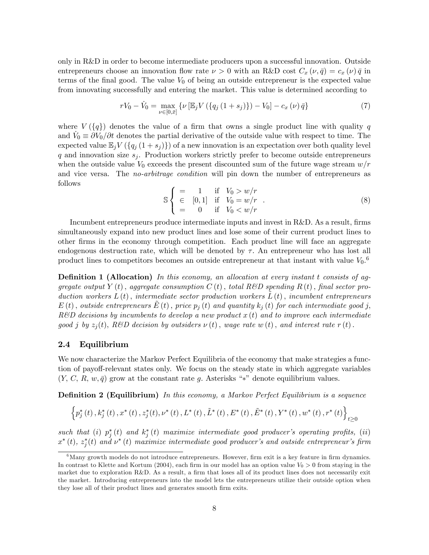only in R&D in order to become intermediate producers upon a successful innovation. Outside entrepreneurs choose an innovation flow rate  $\nu > 0$  with an R&D cost  $C_x(\nu, \bar{q}) = c_x(\nu) \bar{q}$  in terms of the final good. The value  $V_0$  of being an outside entrepreneur is the expected value from innovating successfully and entering the market. This value is determined according to

$$
rV_0 - \dot{V}_0 = \max_{\nu \in [0,\bar{x}]} \{ \nu \left[ \mathbb{E}_j V \left( \{ q_j \left( 1 + s_j \right) \} \right) - V_0 \right] - c_x \left( \nu \right) \bar{q} \} \tag{7}
$$

where  $V(\lbrace q \rbrace)$  denotes the value of a firm that owns a single product line with quality q and  $\dot{V}_0 \equiv \partial V_0/\partial t$  denotes the partial derivative of the outside value with respect to time. The expected value  $\mathbb{E}_j V(\lbrace q_j(1 + s_j) \rbrace)$  of a new innovation is an expectation over both quality level q and innovation size  $s_i$ . Production workers strictly prefer to become outside entrepreneurs when the outside value  $V_0$  exceeds the present discounted sum of the future wage stream  $w/r$ and vice versa. The *no-arbitrage condition* will pin down the number of entrepreneurs as follows

$$
\mathbb{S} \begin{cases}\n= & 1 \text{ if } V_0 > w/r \\
\in [0,1] & \text{if } V_0 = w/r \\
= & 0 \text{ if } V_0 < w/r\n\end{cases} \tag{8}
$$

Incumbent entrepreneurs produce intermediate inputs and invest in R&D. As a result, firms simultaneously expand into new product lines and lose some of their current product lines to other Örms in the economy through competition. Each product line will face an aggregate endogenous destruction rate, which will be denoted by  $\tau$ . An entrepreneur who has lost all product lines to competitors becomes an outside entrepreneur at that instant with value  $V_0$ .<sup>6</sup>

**Definition 1 (Allocation)** In this economy, an allocation at every instant t consists of aggregate output Y (t), aggregate consumption C (t), total R&D spending R (t), final sector production workers  $L(t)$ , intermediate sector production workers  $L(t)$ , incumbent entrepreneurs  $E(t)$ , outside entrepreneurs  $E(t)$ , price  $p_i(t)$  and quantity  $k_i(t)$  for each intermediate good j,  $R\&D$  decisions by incumbents to develop a new product  $x(t)$  and to improve each intermediate good j by  $z_j(t)$ , R&D decision by outsiders  $\nu(t)$ , wage rate w(t), and interest rate r(t).

## 2.4 Equilibrium

We now characterize the Markov Perfect Equilibria of the economy that make strategies a function of payoff-relevant states only. We focus on the steady state in which aggregate variables  $(Y, C, R, w, \bar{q})$  grow at the constant rate g. Asterisks "\*" denote equilibrium values.

**Definition 2 (Equilibrium)** In this economy, a Markov Perfect Equilibrium is a sequence

$$
\left\{p_{j}^{*}\left(t\right),k_{j}^{*}\left(t\right),x^{*}\left(t\right),z_{j}^{*}\left(t\right),\nu^{*}\left(t\right),L^{*}\left(t\right),\tilde{L}^{*}\left(t\right),E^{*}\left(t\right),\tilde{E}^{*}\left(t\right),Y^{*}\left(t\right),w^{*}\left(t\right),r^{*}\left(t\right)\right\}_{t\geq0}
$$

such that (i)  $p_j^*(t)$  and  $k_j^*(t)$  maximize intermediate good producer's operating profits, (ii)  $x^{*}\left(t\right)$ ,  $z_{j}^{*}(t)$  and  $\nu^{*}\left(t\right)$  maximize intermediate good producer's and outside entrepreneur's firm

 $6$ Many growth models do not introduce entrepreneurs. However, firm exit is a key feature in firm dynamics. In contrast to Klette and Kortum (2004), each firm in our model has an option value  $V_0 > 0$  from staying in the market due to exploration R&D. As a result, a firm that loses all of its product lines does not necessarily exit the market. Introducing entrepreneurs into the model lets the entrepreneurs utilize their outside option when they lose all of their product lines and generates smooth firm exits.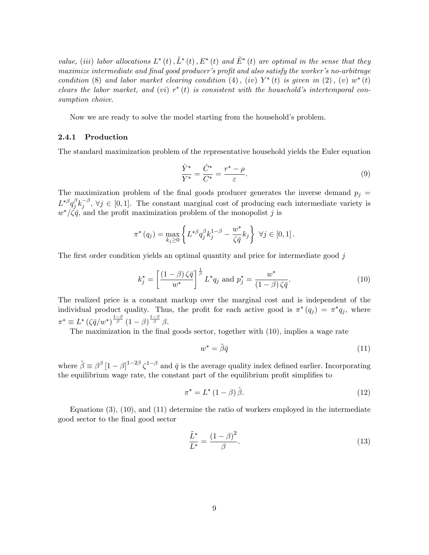value, (iii) labor allocations  $L^*(t), \tilde{L}^*(t), E^*(t)$  and  $\tilde{E}^*(t)$  are optimal in the sense that they maximize intermediate and final good producer's profit and also satisfy the worker's no-arbitrage condition (8) and labor market clearing condition (4), (iv)  $Y^*(t)$  is given in (2), (v)  $w^*(t)$ clears the labor market, and (vi)  $r^*(t)$  is consistent with the household's intertemporal consumption choice.

Now we are ready to solve the model starting from the household's problem.

#### 2.4.1 Production

The standard maximization problem of the representative household yields the Euler equation

$$
\frac{\dot{Y}^*}{Y^*} = \frac{\dot{C}^*}{C^*} = \frac{r^* - \rho}{\varepsilon}.
$$
\n(9)

The maximization problem of the final goods producer generates the inverse demand  $p_i =$  $L^{*\beta}q_i^\beta$  ${}_{j}^{\beta}k_{j}^{-\beta}, \forall j \in [0,1].$  The constant marginal cost of producing each intermediate variety is  $w^*/\zeta \bar{q}$ , and the profit maximization problem of the monopolist j is

$$
\pi^*(q_j) = \max_{k_j \ge 0} \left\{ L^{*\beta} q_j^{\beta} k_j^{1-\beta} - \frac{w^*}{\zeta \bar{q}} k_j \right\} \ \forall j \in [0, 1].
$$

The first order condition yields an optimal quantity and price for intermediate good  $j$ 

$$
k_j^* = \left[ \frac{(1 - \beta)\zeta\bar{q}}{w^*} \right]^{\frac{1}{\beta}} L^* q_j \text{ and } p_j^* = \frac{w^*}{(1 - \beta)\zeta\bar{q}}.
$$
 (10)

The realized price is a constant markup over the marginal cost and is independent of the individual product quality. Thus, the profit for each active good is  $\pi^*(q_j) = \pi^*q_j$ , where  $\pi^* \equiv L^* \left( \zeta \bar{q} / w^* \right)^{\frac{1-\beta}{\beta}} (1-\beta)^{\frac{1-\beta}{\beta}} \beta$ .

The maximization in the final goods sector, together with (10), implies a wage rate

$$
w^* = \tilde{\beta}\bar{q} \tag{11}
$$

where  $\tilde{\beta} \equiv \beta^{\beta} [1-\beta]^{1-2\beta} \zeta^{1-\beta}$  and  $\bar{q}$  is the average quality index defined earlier. Incorporating the equilibrium wage rate, the constant part of the equilibrium profit simplifies to

$$
\pi^* = L^* \left( 1 - \beta \right) \tilde{\beta}.
$$
\n<sup>(12)</sup>

Equations  $(3)$ ,  $(10)$ , and  $(11)$  determine the ratio of workers employed in the intermediate good sector to the Önal good sector

$$
\frac{\tilde{L}^*}{L^*} = \frac{(1-\beta)^2}{\beta}.
$$
\n(13)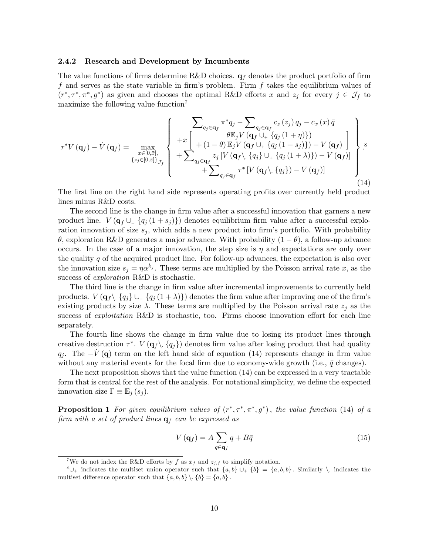#### 2.4.2 Research and Development by Incumbents

The value functions of firms determine R&D choices.  $q_f$  denotes the product portfolio of firm f and serves as the state variable in firm's problem. Firm f takes the equilibrium values of  $(r^*, \tau^*, \pi^*, g^*)$  as given and chooses the optimal R&D efforts x and  $z_j$  for every  $j \in \mathcal{J}_f$  to maximize the following value function<sup>7</sup>

$$
r^*V(\mathbf{q}_f) - \dot{V}(\mathbf{q}_f) = \max_{\substack{x \in [0,\bar{x}],\\ \{z_j \in [0,\bar{z}]\}_{\mathcal{J}_f}}} \left\{ \begin{array}{l} \sum_{q_j \in \mathbf{q}_f} \pi^*q_j - \sum_{q_j \in \mathbf{q}_f} c_z(z_j) q_j - c_x(x) \bar{q} \\ \theta \mathbb{E}_j V(\mathbf{q}_f \cup_+ \{q_j(1+\eta)\}) \\ + (1-\theta) \mathbb{E}_j V(\mathbf{q}_f \cup_+ \{q_j(1+s_j)\}) - V(\mathbf{q}_f) \end{array} \right\}.
$$

The first line on the right hand side represents operating profits over currently held product lines minus R&D costs.

The second line is the change in firm value after a successful innovation that garners a new product line.  $V(\mathbf{q}_f \cup \{q_j (1 + s_j)\})$  denotes equilibrium firm value after a successful exploration innovation of size  $s_j$ , which adds a new product into firm's portfolio. With probability  $\theta$ , exploration R&D generates a major advance. With probability  $(1 - \theta)$ , a follow-up advance occurs. In the case of a major innovation, the step size is  $\eta$  and expectations are only over the quality  $q$  of the acquired product line. For follow-up advances, the expectation is also over the innovation size  $s_j = \eta \alpha^{k_j}$ . These terms are multiplied by the Poisson arrival rate x, as the success of exploration R&D is stochastic.

The third line is the change in firm value after incremental improvements to currently held products.  $V(\mathbf{q}_f \setminus \{q_i\} \cup \{q_i (1 + \lambda)\})$  denotes the firm value after improving one of the firm's existing products by size  $\lambda$ . These terms are multiplied by the Poisson arrival rate  $z_i$  as the success of *exploitation*  $R\&D$  is stochastic, too. Firms choose innovation effort for each line separately.

The fourth line shows the change in firm value due to losing its product lines through creative destruction  $\tau^*$ .  $V(\mathbf{q}_{f} \setminus \{q_{j}\})$  denotes firm value after losing product that had quality  $q_j$ . The  $-V (q)$  term on the left hand side of equation (14) represents change in firm value without any material events for the focal firm due to economy-wide growth (i.e.,  $\bar{q}$  changes).

The next proposition shows that the value function (14) can be expressed in a very tractable form that is central for the rest of the analysis. For notational simplicity, we define the expected innovation size  $\Gamma \equiv \mathbb{E}_i (s_i)$ .

**Proposition 1** For given equilibrium values of  $(r^*, \tau^*, \pi^*, g^*)$ , the value function (14) of a firm with a set of product lines  $q_f$  can be expressed as

$$
V\left(\mathbf{q}_{f}\right) = A \sum_{q \in \mathbf{q}_{f}} q + B\bar{q} \tag{15}
$$

<sup>&</sup>lt;sup>7</sup>We do not index the R&D efforts by f as  $x_f$  and  $z_{j,f}$  to simplify notation.

 ${}^8\cup_+$  indicates the multiset union operator such that  $\{a, b\} \cup_+ \{b\} = \{a, b, b\}$ . Similarly  $\setminus$  indicates the multiset difference operator such that  $\{a, b, b\} \setminus \{b\} = \{a, b\}$ .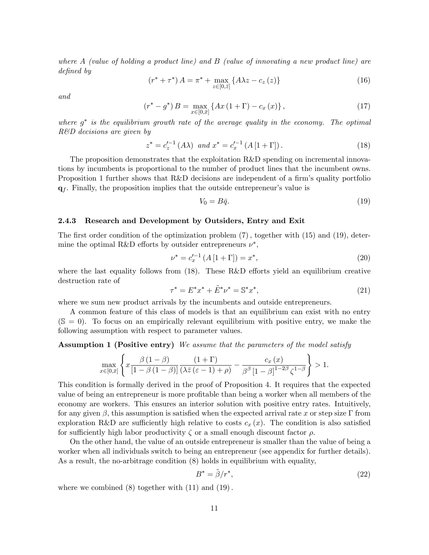where  $A$  (value of holding a product line) and  $B$  (value of innovating a new product line) are defined by

$$
(r^* + \tau^*) A = \pi^* + \max_{z \in [0,\bar{z}]} \{ A\lambda z - c_z(z) \}
$$
 (16)

and

$$
(r^* - g^*) B = \max_{x \in [0,\bar{x}]} \{ Ax (1 + \Gamma) - c_x (x) \},
$$
\n(17)

where  $g^*$  is the equilibrium growth rate of the average quality in the economy. The optimal R&D decisions are given by

$$
z^* = c_z'^{-1} (A\lambda) \text{ and } x^* = c_x'^{-1} (A [1 + \Gamma]). \tag{18}
$$

The proposition demonstrates that the exploitation R&D spending on incremental innovations by incumbents is proportional to the number of product lines that the incumbent owns. Proposition 1 further shows that  $R\&D$  decisions are independent of a firm's quality portfolio  $q_f$ . Finally, the proposition implies that the outside entrepreneur's value is

$$
V_0 = B\bar{q}.\tag{19}
$$

#### 2.4.3 Research and Development by Outsiders, Entry and Exit

The first order condition of the optimization problem  $(7)$ , together with  $(15)$  and  $(19)$ , determine the optimal R&D efforts by outsider entrepreneurs  $\nu^*$ ,

$$
\nu^* = c_x'^{-1} \left( A \left[ 1 + \Gamma \right] \right) = x^*,\tag{20}
$$

where the last equality follows from  $(18)$ . These R&D efforts yield an equilibrium creative destruction rate of

$$
\tau^* = E^* x^* + \tilde{E}^* \nu^* = \mathbb{S}^* x^*,\tag{21}
$$

where we sum new product arrivals by the incumbents and outside entrepreneurs.

A common feature of this class of models is that an equilibrium can exist with no entry  $(S = 0)$ . To focus on an empirically relevant equilibrium with positive entry, we make the following assumption with respect to parameter values.

Assumption 1 (Positive entry) We assume that the parameters of the model satisfy

$$
\max_{x \in [0,\bar{x}]} \left\{ x \frac{\beta (1-\beta)}{[1-\beta (1-\beta)]} \frac{(1+\Gamma)}{(\lambda \bar{z}(\varepsilon-1)+\rho)} - \frac{c_x(x)}{\beta^{\beta} [1-\beta]^{1-2\beta} \zeta^{1-\beta}} \right\} > 1.
$$

This condition is formally derived in the proof of Proposition 4. It requires that the expected value of being an entrepreneur is more profitable than being a worker when all members of the economy are workers. This ensures an interior solution with positive entry rates. Intuitively, for any given  $\beta$ , this assumption is satisfied when the expected arrival rate x or step size  $\Gamma$  from exploration R&D are sufficiently high relative to costs  $c_x(x)$ . The condition is also satisfied for sufficiently high labor productivity  $\zeta$  or a small enough discount factor  $\rho$ .

On the other hand, the value of an outside entrepreneur is smaller than the value of being a worker when all individuals switch to being an entrepreneur (see appendix for further details). As a result, the no-arbitrage condition (8) holds in equilibrium with equality,

$$
B^* = \tilde{\beta}/r^*,\tag{22}
$$

where we combined  $(8)$  together with  $(11)$  and  $(19)$ .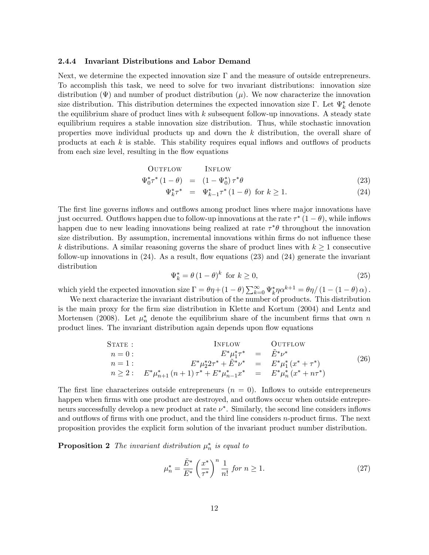#### 2.4.4 Invariant Distributions and Labor Demand

Next, we determine the expected innovation size  $\Gamma$  and the measure of outside entrepreneurs. To accomplish this task, we need to solve for two invariant distributions: innovation size distribution  $(\Psi)$  and number of product distribution  $(\mu)$ . We now characterize the innovation size distribution. This distribution determines the expected innovation size  $\Gamma$ . Let  $\Psi_k^*$  denote the equilibrium share of product lines with  $k$  subsequent follow-up innovations. A steady state equilibrium requires a stable innovation size distribution. Thus, while stochastic innovation properties move individual products up and down the k distribution, the overall share of products at each  $k$  is stable. This stability requires equal inflows and outflows of products from each size level, resulting in the flow equations

$$
\begin{array}{rcl}\n\text{OUTFLOW} & \text{INFLOW} \\
\Psi_0^* \tau^* \left( 1 - \theta \right) & = & \left( 1 - \Psi_0^* \right) \tau^* \theta\n\end{array} \tag{23}
$$

$$
\Psi_k^* \tau^* = \Psi_{k-1}^* \tau^* (1 - \theta) \text{ for } k \ge 1. \tag{24}
$$

The first line governs inflows and outflows among product lines where major innovations have just occurred. Outflows happen due to follow-up innovations at the rate  $\tau^*$   $(1 - \theta)$ , while inflows happen due to new leading innovations being realized at rate  $\tau^* \theta$  throughout the innovation size distribution. By assumption, incremental innovations within firms do not influence these k distributions. A similar reasoning governs the share of product lines with  $k \geq 1$  consecutive follow-up innovations in  $(24)$ . As a result, flow equations  $(23)$  and  $(24)$  generate the invariant distribution

$$
\Psi_k^* = \theta \left(1 - \theta\right)^k \text{ for } k \ge 0,
$$
\n<sup>(25)</sup>

which yield the expected innovation size  $\Gamma = \theta \eta + (1 - \theta) \sum_{k=0}^{\infty} \Psi_k^* \eta \alpha^{k+1} = \theta \eta / (1 - (1 - \theta) \alpha)$ .

We next characterize the invariant distribution of the number of products. This distribution is the main proxy for the firm size distribution in Klette and Kortum (2004) and Lentz and Mortensen (2008). Let  $\mu_n^*$  denote the equilibrium share of the incumbent firms that own n product lines. The invariant distribution again depends upon flow equations

$$
S\text{TATE}: \qquad \text{INFLOW} \qquad \text{OUTFlow} \n n = 0: \qquad E^* \mu_1^* \tau^* = \tilde{E}^* \nu^* \n n = 1: \qquad E^* \mu_2^* 2\tau^* + \tilde{E}^* \nu^* = E^* \mu_1^* (x^* + \tau^*) \n n \ge 2: \qquad E^* \mu_{n+1}^* (n+1) \tau^* + E^* \mu_{n-1}^* x^* = E^* \mu_n^* (x^* + n\tau^*)
$$
\n(26)

The first line characterizes outside entrepreneurs  $(n = 0)$ . Inflows to outside entrepreneurs happen when firms with one product are destroyed, and outflows occur when outside entrepreneurs successfully develop a new product at rate  $\nu^*$ . Similarly, the second line considers inflows and outflows of firms with one product, and the third line considers  $n$ -product firms. The next proposition provides the explicit form solution of the invariant product number distribution.

**Proposition 2** The invariant distribution  $\mu_n^*$  is equal to

$$
\mu_n^* = \frac{\tilde{E}^*}{E^*} \left(\frac{x^*}{\tau^*}\right)^n \frac{1}{n!} \text{ for } n \ge 1.
$$
 (27)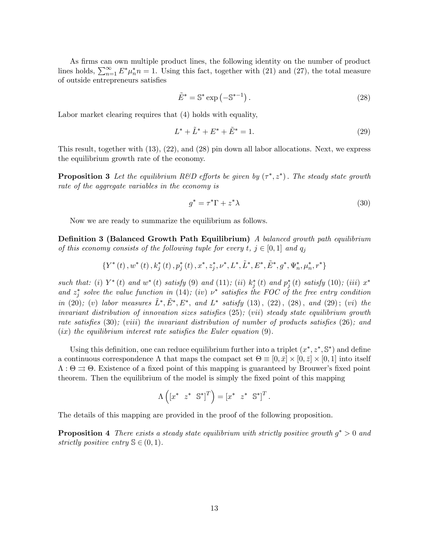As firms can own multiple product lines, the following identity on the number of product lines holds,  $\sum_{n=1}^{\infty} E^* \mu_n^* n = 1$ . Using this fact, together with (21) and (27), the total measure of outside entrepreneurs satisfies

$$
\tilde{E}^* = \mathbb{S}^* \exp\left(-\mathbb{S}^{*-1}\right). \tag{28}
$$

Labor market clearing requires that (4) holds with equality,

$$
L^* + \tilde{L}^* + E^* + \tilde{E}^* = 1.
$$
\n(29)

This result, together with (13), (22), and (28) pin down all labor allocations. Next, we express the equilibrium growth rate of the economy.

**Proposition 3** Let the equilibrium R&D efforts be given by  $(\tau^*, z^*)$ . The steady state growth rate of the aggregate variables in the economy is

$$
g^* = \tau^* \Gamma + z^* \lambda \tag{30}
$$

:

Now we are ready to summarize the equilibrium as follows.

**Definition 3 (Balanced Growth Path Equilibrium)** A balanced growth path equilibrium of this economy consists of the following tuple for every  $t, j \in [0, 1]$  and  $q_j$ 

$$
\{Y^{*}\left(t\right),w^{*}\left(t\right),k_{j}^{*}\left(t\right),p_{j}^{*}\left(t\right),x^{*},z_{j}^{*},\nu^{*},L^{*},\tilde{L}^{*},E^{*},\tilde{E}^{*},g^{*},\Psi_{n}^{*},\mu_{n}^{*},r^{*}\}
$$

such that: (i)  $Y^*(t)$  and  $w^*(t)$  satisfy (9) and (11); (ii)  $k_j^*(t)$  and  $p_j^*(t)$  satisfy (10); (iii)  $x^*$ and  $z_j^*$  solve the value function in (14); (iv)  $\nu^*$  satisfies the FOC of the free entry condition in (20); (v) labor measures  $\tilde{L}^*, \tilde{E}^*, E^*,$  and  $L^*$  satisfy (13), (22), (28), and (29); (vi) the invariant distribution of innovation sizes satisfies  $(25)$ ; (vii) steady state equilibrium growth rate satisfies  $(30)$ ; (viii) the invariant distribution of number of products satisfies  $(26)$ ; and  $(ix)$  the equilibrium interest rate satisfies the Euler equation  $(9)$ .

Using this definition, one can reduce equilibrium further into a triplet  $(x^*, z^*, \mathbb{S}^*)$  and define a continuous correspondence  $\Lambda$  that maps the compact set  $\Theta \equiv [0, \bar{x}] \times [0, \bar{z}] \times [0, 1]$  into itself  $\Lambda: \Theta \rightrightarrows \Theta$ . Existence of a fixed point of this mapping is guaranteed by Brouwer's fixed point theorem. Then the equilibrium of the model is simply the Öxed point of this mapping

$$
\Lambda\left(\begin{bmatrix}x^* & z^* & \mathbb{S}^*\end{bmatrix}^T\right) = \begin{bmatrix}x^* & z^* & \mathbb{S}^*\end{bmatrix}^T
$$

The details of this mapping are provided in the proof of the following proposition.

**Proposition 4** There exists a steady state equilibrium with strictly positive growth  $g^* > 0$  and strictly positive entry  $\mathbb{S} \in (0, 1)$ .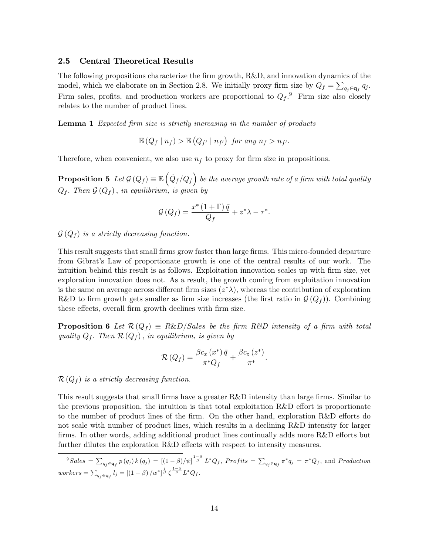#### 2.5 Central Theoretical Results

The following propositions characterize the firm growth, R&D, and innovation dynamics of the model, which we elaborate on in Section 2.8. We initially proxy firm size by  $Q_f = \sum_{q_j \in \mathbf{q}_f} q_j$ . Firm sales, profits, and production workers are proportional to  $Q_f$ .<sup>9</sup> Firm size also closely relates to the number of product lines.

**Lemma 1** Expected firm size is strictly increasing in the number of products

 $\mathbb{E}(Q_f | n_f) > \mathbb{E}(Q_{f'} | n_{f'})$  for any  $n_f > n_{f'}$ .

Therefore, when convenient, we also use  $n_f$  to proxy for firm size in propositions.

**Proposition 5** Let  $\mathcal{G}(Q_f) \equiv \mathbb{E} \left( \dot{Q}_f / Q_f \right)$  be the average growth rate of a firm with total quality  $Q_f$ . Then  $\mathcal{G}(Q_f)$ , in equilibrium, is given by

$$
\mathcal{G}\left(Q_{f}\right)=\frac{x^{*}\left(1+\Gamma\right)\bar{q}}{Q_{f}}+z^{*}\lambda-\tau^{*}.
$$

 $\mathcal{G}(Q_f)$  is a strictly decreasing function.

This result suggests that small firms grow faster than large firms. This micro-founded departure from Gibratís Law of proportionate growth is one of the central results of our work. The intuition behind this result is as follows. Exploitation innovation scales up with firm size, yet exploration innovation does not. As a result, the growth coming from exploitation innovation is the same on average across different firm sizes  $(z^*\lambda)$ , whereas the contribution of exploration R&D to firm growth gets smaller as firm size increases (the first ratio in  $\mathcal{G}(Q_f)$ ). Combining these effects, overall firm growth declines with firm size.

**Proposition 6** Let  $\mathcal{R}(Q_f) \equiv R\&D/Sales$  be the firm R&D intensity of a firm with total quality  $Q_f$ . Then  $\mathcal{R}(Q_f)$ , in equilibrium, is given by

$$
\mathcal{R}\left(Q_{f}\right) = \frac{\beta c_{x}\left(x^{*}\right)\bar{q}}{\pi^{*}Q_{f}} + \frac{\beta c_{z}\left(z^{*}\right)}{\pi^{*}}.
$$

 $\mathcal{R}(Q_f)$  is a strictly decreasing function.

This result suggests that small firms have a greater R&D intensity than large firms. Similar to the previous proposition, the intuition is that total exploitation  $R\&D$  effort is proportionate to the number of product lines of the firm. On the other hand, exploration  $R\&D$  efforts do not scale with number of product lines, which results in a declining R&D intensity for larger firms. In other words, adding additional product lines continually adds more  $R&D$  efforts but further dilutes the exploration  $R&D$  effects with respect to intensity measures.

 ${}^9Sales = \sum_{q_j \in \mathbf{q}_f} p(q_j) k(q_j) = [(1-\beta)/\psi]^{\frac{1-\beta}{\beta}} L^*Q_f,$   $Profits = \sum_{q_j \in \mathbf{q}_f} \pi^*q_j = \pi^*Q_f$ , and  $Production$  $works=\sum_{q_j\in \mathbf{q}_f}l_j=\left[\left(1-\beta\right)/w^*\right]^{\frac{1}{\beta}}\zeta^{\frac{1-\beta}{\beta}}L^*Q_f.$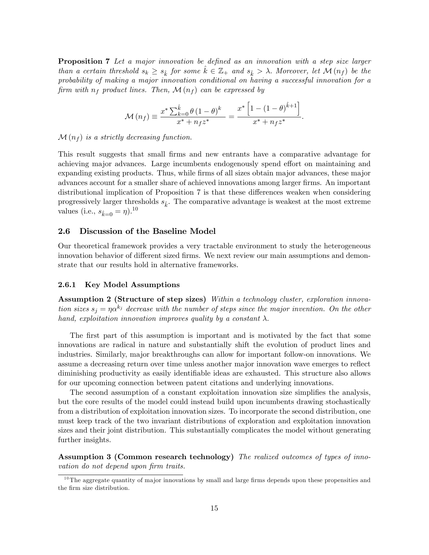**Proposition 7** Let a major innovation be defined as an innovation with a step size larger than a certain threshold  $s_k \geq s_{\hat{k}}$  for some  $\hat{k} \in \mathbb{Z}_+$  and  $s_{\hat{k}} > \lambda$ . Moreover, let  $\mathcal{M}(n_f)$  be the probability of making a major innovation conditional on having a successful innovation for a firm with  $n_f$  product lines. Then,  $\mathcal{M}(n_f)$  can be expressed by

$$
\mathcal{M}(n_f) \equiv \frac{x^* \sum_{k=0}^{\hat{k}} \theta (1-\theta)^k}{x^* + n_f z^*} = \frac{x^* \left[1 - (1-\theta)^{\hat{k}+1}\right]}{x^* + n_f z^*}.
$$

 $\mathcal{M}(n_f)$  is a strictly decreasing function.

This result suggests that small Örms and new entrants have a comparative advantage for achieving major advances. Large incumbents endogenously spend effort on maintaining and expanding existing products. Thus, while firms of all sizes obtain major advances, these major advances account for a smaller share of achieved innovations among larger Örms. An important distributional implication of Proposition 7 is that these differences weaken when considering progressively larger thresholds  $s_{\hat{k}}$ . The comparative advantage is weakest at the most extreme values (i.e.,  $s_{\hat{k}=0} = \eta$ ).<sup>10</sup>

# 2.6 Discussion of the Baseline Model

Our theoretical framework provides a very tractable environment to study the heterogeneous innovation behavior of different sized firms. We next review our main assumptions and demonstrate that our results hold in alternative frameworks.

#### 2.6.1 Key Model Assumptions

Assumption 2 (Structure of step sizes) Within a technology cluster, exploration innovation sizes  $s_j = \eta \alpha^{k_j}$  decrease with the number of steps since the major invention. On the other hand, exploitation innovation improves quality by a constant  $\lambda$ .

The first part of this assumption is important and is motivated by the fact that some innovations are radical in nature and substantially shift the evolution of product lines and industries. Similarly, major breakthroughs can allow for important follow-on innovations. We assume a decreasing return over time unless another major innovation wave emerges to reflect diminishing productivity as easily identifiable ideas are exhausted. This structure also allows for our upcoming connection between patent citations and underlying innovations.

The second assumption of a constant exploitation innovation size simplifies the analysis, but the core results of the model could instead build upon incumbents drawing stochastically from a distribution of exploitation innovation sizes. To incorporate the second distribution, one must keep track of the two invariant distributions of exploration and exploitation innovation sizes and their joint distribution. This substantially complicates the model without generating further insights.

Assumption 3 (Common research technology) The realized outcomes of types of innovation do not depend upon firm traits.

 $10$ The aggregate quantity of major innovations by small and large firms depends upon these propensities and the firm size distribution.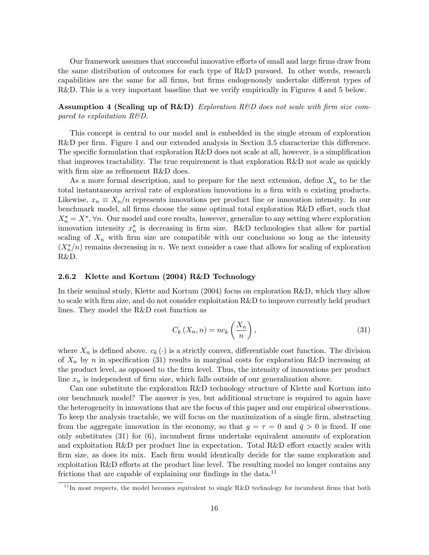Our framework assumes that successful innovative efforts of small and large firms draw from the same distribution of outcomes for each type of R&D pursued. In other words, research capabilities are the same for all firms, but firms endogenously undertake different types of R&D. This is a very important baseline that we verify empirically in Figures 4 and 5 below.

Assumption 4 (Scaling up of R&D) Exploration R&D does not scale with firm size compared to exploitation R&D.

This concept is central to our model and is embedded in the single stream of exploration R&D per firm. Figure 1 and our extended analysis in Section 3.5 characterize this difference. The specific formulation that exploration  $R\&D$  does not scale at all, however, is a simplification that improves tractability. The true requirement is that exploration R&D not scale as quickly with firm size as refinement  $R&D$  does.

As a more formal description, and to prepare for the next extension, define  $X_n$  to be the total instantaneous arrival rate of exploration innovations in a firm with  $n$  existing products. Likewise,  $x_n \equiv X_n/n$  represents innovations per product line or innovation intensity. In our benchmark model, all firms choose the same optimal total exploration  $R&D$  effort, such that  $X_n^* = X^*$ ,  $\forall n$ . Our model and core results, however, generalize to any setting where exploration innovation intensity  $x_n^*$  is decreasing in firm size. R&D technologies that allow for partial scaling of  $X_n$  with firm size are compatible with our conclusions so long as the intensity  $(X_n^*/n)$  remains decreasing in n. We next consider a case that allows for scaling of exploration R&D.

#### 2.6.2 Klette and Kortum (2004) R&D Technology

In their seminal study, Klette and Kortum (2004) focus on exploration R&D, which they allow to scale with firm size, and do not consider exploitation R&D to improve currently held product lines. They model the R&D cost function as

$$
C_k(X_n, n) = nc_k\left(\frac{X_n}{n}\right),\tag{31}
$$

where  $X_n$  is defined above.  $c_k(\cdot)$  is a strictly convex, differentiable cost function. The division of  $X_n$  by n in specification (31) results in marginal costs for exploration R&D increasing at the product level, as opposed to the firm level. Thus, the intensity of innovations per product line  $x_n$  is independent of firm size, which falls outside of our generalization above.

Can one substitute the exploration R&D technology structure of Klette and Kortum into our benchmark model? The answer is yes, but additional structure is required to again have the heterogeneity in innovations that are the focus of this paper and our empirical observations. To keep the analysis tractable, we will focus on the maximization of a single firm, abstracting from the aggregate innovation in the economy, so that  $q = \tau = 0$  and  $\bar{q} > 0$  is fixed. If one only substitutes  $(31)$  for  $(6)$ , incumbent firms undertake equivalent amounts of exploration and exploitation  $R\&D$  per product line in expectation. Total  $R\&D$  effort exactly scales with Örm size, as does its mix. Each Örm would identically decide for the same exploration and exploitation R&D efforts at the product line level. The resulting model no longer contains any frictions that are capable of explaining our findings in the data.<sup>11</sup>

 $\frac{11}{11}$  In most respects, the model becomes equivalent to single R&D technology for incumbent firms that both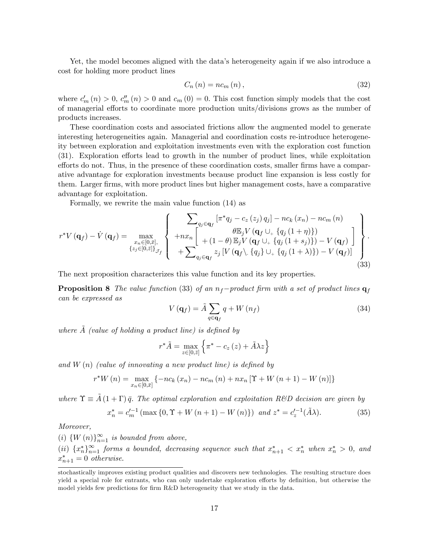Yet, the model becomes aligned with the data's heterogeneity again if we also introduce a cost for holding more product lines

$$
C_n(n) = nc_m(n), \qquad (32)
$$

where  $c'_m(n) > 0$ ,  $c''_m(n) > 0$  and  $c_m(0) = 0$ . This cost function simply models that the cost of managerial efforts to coordinate more production units/divisions grows as the number of products increases.

These coordination costs and associated frictions allow the augmented model to generate interesting heterogeneities again. Managerial and coordination costs re-introduce heterogeneity between exploration and exploitation investments even with the exploration cost function (31). Exploration efforts lead to growth in the number of product lines, while exploitation efforts do not. Thus, in the presence of these coordination costs, smaller firms have a comparative advantage for exploration investments because product line expansion is less costly for them. Larger Örms, with more product lines but higher management costs, have a comparative advantage for exploitation.

Formally, we rewrite the main value function (14) as

$$
r^*V(\mathbf{q}_f) - \dot{V}(\mathbf{q}_f) = \max_{\substack{x_n \in [0,\bar{x}],\\z_j \in [0,\bar{z}]\}_{\mathcal{J}_f}} \left\{ \begin{array}{l} \sum_{q_j \in \mathbf{q}_f} \left[ \pi^*q_j - c_z(z_j) q_j \right] - nc_k(x_n) - nc_m(n) \\ \theta E_j V(\mathbf{q}_f \cup_+ \{q_j(1+\eta)\}) \\ + (1-\theta) E_j V(\mathbf{q}_f \cup_+ \{q_j(1+s_j)\}) - V(\mathbf{q}_f) \end{array} \right\}.
$$
\n(33)

The next proposition characterizes this value function and its key properties.

**Proposition 8** The value function (33) of an  $n_f$ -product firm with a set of product lines  $q_f$ can be expressed as

$$
V\left(\mathbf{q}_{f}\right) = \tilde{A} \sum_{q \in \mathbf{q}_{f}} q + W\left(n_{f}\right) \tag{34}
$$

where  $\tilde{A}$  (value of holding a product line) is defined by

$$
r^*\tilde{A} = \max_{z \in [0,\bar{z}]} \left\{ \pi^* - c_z(z) + \tilde{A}\lambda z \right\}
$$

and  $W(n)$  (value of innovating a new product line) is defined by

$$
r^*W(n) = \max_{x_n \in [0,\bar{x}]} \{-nc_k(x_n) - nc_m(n) + nx_n \,[\Upsilon + W(n+1) - W(n)]\}
$$

where  $\Upsilon \equiv \tilde{A}(1 + \Gamma) \bar{q}$ . The optimal exploration and exploitation R&D decision are given by

$$
x_n^* = c_m'^{-1} \left( \max\left\{ 0, \Upsilon + W\left(n+1\right) - W\left(n\right) \right\} \right) \text{ and } z^* = c_z'^{-1} (\tilde{A}\lambda). \tag{35}
$$

Moreover,

(i)  $\{W(n)\}_{n=1}^{\infty}$  is bounded from above,

(ii)  $\{x_n^*\}_{n=1}^{\infty}$  forms a bounded, decreasing sequence such that  $x_{n+1}^* < x_n^*$  when  $x_n^* > 0$ , and  $x_{n+1}^* = 0$  otherwise.

stochastically improves existing product qualities and discovers new technologies. The resulting structure does yield a special role for entrants, who can only undertake exploration efforts by definition, but otherwise the model yields few predictions for firm R&D heterogeneity that we study in the data.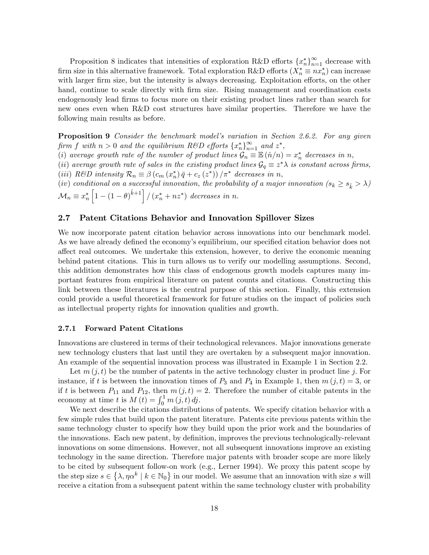Proposition 8 indicates that intensities of exploration R&D efforts  $\{x_n^*\}_{n=1}^\infty$  decrease with firm size in this alternative framework. Total exploration R&D efforts  $(X_n^* \equiv nx_n^*)$  can increase with larger firm size, but the intensity is always decreasing. Exploitation efforts, on the other hand, continue to scale directly with firm size. Rising management and coordination costs endogenously lead Örms to focus more on their existing product lines rather than search for new ones even when R&D cost structures have similar properties. Therefore we have the following main results as before.

**Proposition 9** Consider the benchmark model's variation in Section 2.6.2. For any given firm f with  $n > 0$  and the equilibrium R&D efforts  $\{x_n^*\}_{n=1}^\infty$  and  $z^*$ ,

(i) average growth rate of the number of product lines  $\mathcal{G}_n \equiv \mathbb{E} (n/n) = x_n^*$  decreases in n,

(ii) average growth rate of sales in the existing product lines  $\mathcal{G}_q \equiv z^* \lambda$  is constant across firms, (iii) R&D intensity  $\mathcal{R}_n \equiv \beta \left( c_m \left( x_n^* \right) \bar{q} + c_z \left( z^* \right) \right) / \pi^*$  decreases in n,

(iv) conditional on a successful innovation, the probability of a major innovation  $(s_k \geq s_{\hat{k}} > \lambda)$  $\mathcal{M}_n \equiv x_n^*$  $\left[1 - (1 - \theta)^{\hat{k}+1}\right] / (x_n^* + nz^*)$  decreases in n.

#### 2.7 Patent Citations Behavior and Innovation Spillover Sizes

We now incorporate patent citation behavior across innovations into our benchmark model. As we have already defined the economy's equilibrium, our specified citation behavior does not a§ect real outcomes. We undertake this extension, however, to derive the economic meaning behind patent citations. This in turn allows us to verify our modelling assumptions. Second, this addition demonstrates how this class of endogenous growth models captures many important features from empirical literature on patent counts and citations. Constructing this link between these literatures is the central purpose of this section. Finally, this extension could provide a useful theoretical framework for future studies on the impact of policies such as intellectual property rights for innovation qualities and growth.

#### 2.7.1 Forward Patent Citations

Innovations are clustered in terms of their technological relevances. Major innovations generate new technology clusters that last until they are overtaken by a subsequent major innovation. An example of the sequential innovation process was illustrated in Example 1 in Section 2.2.

Let  $m(j, t)$  be the number of patents in the active technology cluster in product line j. For instance, if t is between the innovation times of  $P_3$  and  $P_4$  in Example 1, then  $m(j, t) = 3$ , or if t is between  $P_{11}$  and  $P_{12}$ , then  $m(j, t) = 2$ . Therefore the number of citable patents in the economy at time t is  $M(t) = \int_0^1 m(j, t) \, dj$ .

We next describe the citations distributions of patents. We specify citation behavior with a few simple rules that build upon the patent literature. Patents cite previous patents within the same technology cluster to specify how they build upon the prior work and the boundaries of the innovations. Each new patent, by definition, improves the previous technologically-relevant innovations on some dimensions. However, not all subsequent innovations improve an existing technology in the same direction. Therefore major patents with broader scope are more likely to be cited by subsequent follow-on work (e.g., Lerner 1994). We proxy this patent scope by the step size  $s \in \{\lambda, \eta \alpha^k \mid k \in \mathbb{N}_0\}$  in our model. We assume that an innovation with size s will receive a citation from a subsequent patent within the same technology cluster with probability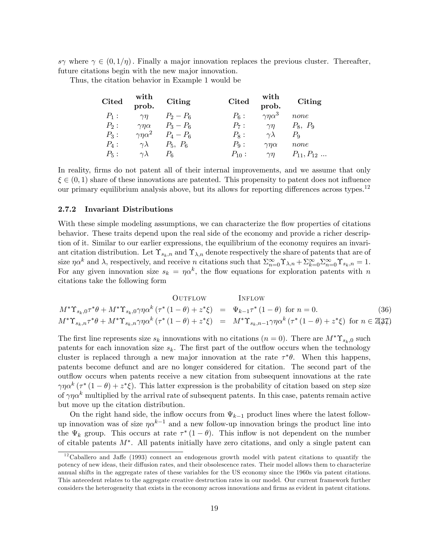$s\gamma$  where  $\gamma \in (0,1/\eta)$ . Finally a major innovation replaces the previous cluster. Thereafter, future citations begin with the new major innovation.

Thus, the citation behavior in Example 1 would be

| <b>Cited</b> | with<br>prob.       | Citing      | <b>Cited</b> | with<br>prob.        | Citing           |
|--------------|---------------------|-------------|--------------|----------------------|------------------|
| $P_1$ :      | $\gamma\eta$        | $P_2 - P_6$ | $P_6$ :      | $\gamma\eta\alpha^3$ | none             |
| $P_2$ :      | $\gamma\eta\alpha$  | $P_3 - P_6$ | $P_7$ :      | $\gamma$ n           | $P_8, P_9$       |
| $P_3$ :      | $\gamma n \alpha^2$ | $P_4 - P_6$ | $P_8$ :      | $\gamma \lambda$     | $P_{\rm Q}$      |
| $P_4$ :      | $\gamma\lambda$     | $P_5, P_6$  | $P_9$ :      | $\gamma\eta\alpha$   | none             |
| $P_5$ :      | $\gamma\lambda$     | Рĸ          | $P_{10}$ :   | $\gamma\eta$         | $P_{11}, P_{12}$ |

In reality, firms do not patent all of their internal improvements, and we assume that only  $\xi \in (0,1)$  share of these innovations are patented. This propensity to patent does not influence our primary equilibrium analysis above, but its allows for reporting differences across types.<sup>12</sup>

#### 2.7.2 Invariant Distributions

With these simple modeling assumptions, we can characterize the flow properties of citations behavior. These traits depend upon the real side of the economy and provide a richer description of it. Similar to our earlier expressions, the equilibrium of the economy requires an invariant citation distribution. Let  $\Upsilon_{s_k,n}$  and  $\Upsilon_{\lambda,n}$  denote respectively the share of patents that are of size  $\eta \alpha^k$  and  $\lambda$ , respectively, and receive n citations such that  $\sum_{n=0}^{\infty} \Upsilon_{\lambda,n} + \sum_{k=0}^{\infty} \sum_{n=0}^{\infty} \Upsilon_{s_k,n} = 1$ . For any given innovation size  $s_k = \eta \alpha^k$ , the flow equations for exploration patents with n citations take the following form

\n
$$
\text{OUTFLOW} \quad \text{INFLOW}
$$
\n
$$
M^* \Upsilon_{s_k,0} \tau^* \theta + M^* \Upsilon_{s_k,0} \gamma \eta \alpha^k \left( \tau^* (1 - \theta) + z^* \xi \right) = \Psi_{k-1} \tau^* (1 - \theta) \quad \text{for } n = 0.
$$
\n
$$
M^* \Upsilon_{s_k,n} \tau^* \theta + M^* \Upsilon_{s_k,n} \gamma \eta \alpha^k \left( \tau^* (1 - \theta) + z^* \xi \right) = M^* \Upsilon_{s_k,n-1} \gamma \eta \alpha^k \left( \tau^* (1 - \theta) + z^* \xi \right) \quad \text{for } n \in \mathbb{Z} \tag{36}
$$
\n

The first line represents size  $s_k$  innovations with no citations  $(n = 0)$ . There are  $M^* \Upsilon_{s_k,0}$  such patents for each innovation size  $s_k$ . The first part of the outflow occurs when the technology cluster is replaced through a new major innovation at the rate  $\tau^*\theta$ . When this happens, patents become defunct and are no longer considered for citation. The second part of the out flow occurs when patents receive a new citation from subsequent innovations at the rate  $\gamma \eta \alpha^k (\tau^* (1 - \theta) + z^* \xi)$ . This latter expression is the probability of citation based on step size of  $\gamma \eta \alpha^k$  multiplied by the arrival rate of subsequent patents. In this case, patents remain active but move up the citation distribution.

On the right hand side, the inflow occurs from  $\Psi_{k-1}$  product lines where the latest followup innovation was of size  $\eta \alpha^{k-1}$  and a new follow-up innovation brings the product line into the  $\Psi_k$  group. This occurs at rate  $\tau^*(1-\theta)$ . This inflow is not dependent on the number of citable patents  $M^*$ . All patents initially have zero citations, and only a single patent can

 $12$ Caballero and Jaffe (1993) connect an endogenous growth model with patent citations to quantify the potency of new ideas, their diffusion rates, and their obsolescence rates. Their model allows them to characterize annual shifts in the aggregate rates of these variables for the US economy since the 1960s via patent citations. This antecedent relates to the aggregate creative destruction rates in our model. Our current framework further considers the heterogeneity that exists in the economy across innovations and Örms as evident in patent citations.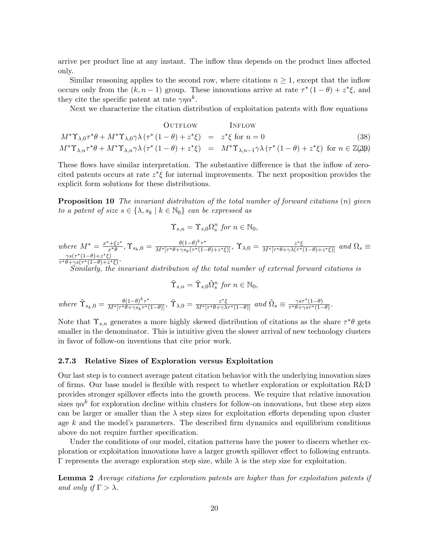arrive per product line at any instant. The inflow thus depends on the product lines affected only.

Similar reasoning applies to the second row, where citations  $n \geq 1$ , except that the inflow occurs only from the  $(k, n-1)$  group. These innovations arrive at rate  $\tau^*(1-\theta) + z^*\xi$ , and they cite the specific patent at rate  $\gamma \eta \alpha^k$ .

Next we characterize the citation distribution of exploitation patents with flow equations

\n
$$
\text{OUTFlow} \quad \text{INFLOW}
$$
\n
$$
M^* \Upsilon_{\lambda,0} \tau^* \theta + M^* \Upsilon_{\lambda,0} \gamma \lambda \left( \tau^* (1 - \theta) + z^* \xi \right) = z^* \xi \text{ for } n = 0
$$
\n
$$
M^* \Upsilon_{\lambda,n} \tau^* \theta + M^* \Upsilon_{\lambda,n} \gamma \lambda \left( \tau^* (1 - \theta) + z^* \xi \right) = M^* \Upsilon_{\lambda,n-1} \gamma \lambda \left( \tau^* (1 - \theta) + z^* \xi \right) \text{ for } n \in \mathbb{Z}(\mathfrak{A}\mathfrak{B})
$$
\n

These flows have similar interpretation. The substantive difference is that the inflow of zerocited patents occurs at rate  $z^*\xi$  for internal improvements. The next proposition provides the explicit form solutions for these distributions.

**Proposition 10** The invariant distribution of the total number of forward citations  $(n)$  given to a patent of size  $s \in \{\lambda, s_k \mid k \in \mathbb{N}_0\}$  can be expressed as

$$
\Upsilon_{s,n} = \Upsilon_{s,0} \Omega_s^n \text{ for } n \in \mathbb{N}_0,
$$

where  $M^* = \frac{x^* + \xi z^*}{x^* \theta}$  $\frac{\partial^2 f}{\partial x^*\theta^2}, \Upsilon_{s_k,0}=\frac{\theta(1-\theta)^k\tau^*}{M^*[\tau^*\theta+\gamma s_k(\tau^*(1-\theta)^k)]^2}$  $\frac{\theta(1-\theta)^{\kappa}\tau^*}{M^*[\tau^*\theta+\gamma s_k(\tau^*(1-\theta)+z^*\xi)]}, \ \Upsilon_{\lambda,0}=\frac{z^*\xi}{M^*[\tau^*\theta+\gamma\lambda(\tau^*)}$  $\frac{z^*\xi}{M^*[\tau^*\theta+\gamma\lambda(\tau^*(1-\theta)+z^*\xi)]}$  and  $\Omega_s \equiv$  $\frac{\gamma s(\tau^*(1-\theta)+z)}{2}$  $(\xi)$  $\frac{\gamma s(\tau^{\prime}(1-\theta)+z^{\prime}\xi)}{\tau^{\ast}\theta+\gamma s(\tau^{\ast}(1-\theta)+z^{\ast}\xi)}$ 

Similarly, the invariant distribution of the total number of external forward citations is

$$
\tilde{\Upsilon}_{s,n} = \tilde{\Upsilon}_{s,0} \tilde{\Omega}_s^n \text{ for } n \in \mathbb{N}_0,
$$

where  $\tilde{\Upsilon}_{s_k,0} = \frac{\theta(1-\theta)^k \tau^*}{M^* [\tau^* \theta + \gamma s_k \tau^*]}$  $\frac{\theta(1-\theta)^{\kappa}\tau^*}{M^*[\tau^*\theta+\gamma s_k\tau^*(1-\theta)]}, \ \widetilde{\Upsilon}_{\lambda,0}=\frac{z^*\xi}{M^*[\tau^*\theta+\gamma\lambda]}$  $\frac{z^*\xi}{M^*[\tau^*\theta + \gamma\lambda\tau^*(1-\theta)]}$  and  $\tilde{\Omega}_s \equiv \frac{\gamma s\tau^*(1-\theta)}{\tau^*\theta + \gamma s\tau^*(1-\theta)}$ .

Note that  $\Upsilon_{s,n}$  generates a more highly skewed distribution of citations as the share  $\tau^*\theta$  gets smaller in the denominator. This is intuitive given the slower arrival of new technology clusters in favor of follow-on inventions that cite prior work.

#### 2.7.3 Relative Sizes of Exploration versus Exploitation

Our last step is to connect average patent citation behavior with the underlying innovation sizes of firms. Our base model is flexible with respect to whether exploration or exploitation  $R\&D$ provides stronger spillover effects into the growth process. We require that relative innovation sizes  $\eta \alpha^k$  for exploration decline within clusters for follow-on innovations, but these step sizes can be larger or smaller than the  $\lambda$  step sizes for exploitation efforts depending upon cluster age  $k$  and the model's parameters. The described firm dynamics and equilibrium conditions above do not require further specification.

Under the conditions of our model, citation patterns have the power to discern whether exploration or exploitation innovations have a larger growth spillover effect to following entrants.  $\Gamma$  represents the average exploration step size, while  $\lambda$  is the step size for exploitation.

Lemma 2 Average citations for exploration patents are higher than for exploitation patents if and only if  $\Gamma > \lambda$ .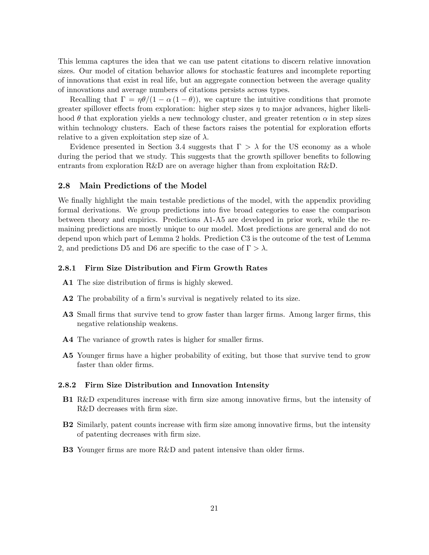This lemma captures the idea that we can use patent citations to discern relative innovation sizes. Our model of citation behavior allows for stochastic features and incomplete reporting of innovations that exist in real life, but an aggregate connection between the average quality of innovations and average numbers of citations persists across types.

Recalling that  $\Gamma = \eta \theta/(1 - \alpha (1 - \theta))$ , we capture the intuitive conditions that promote greater spillover effects from exploration: higher step sizes  $\eta$  to major advances, higher likelihood  $\theta$  that exploration yields a new technology cluster, and greater retention  $\alpha$  in step sizes within technology clusters. Each of these factors raises the potential for exploration efforts relative to a given exploitation step size of  $\lambda$ .

Evidence presented in Section 3.4 suggests that  $\Gamma > \lambda$  for the US economy as a whole during the period that we study. This suggests that the growth spillover benefits to following entrants from exploration R&D are on average higher than from exploitation R&D.

#### 2.8 Main Predictions of the Model

We finally highlight the main testable predictions of the model, with the appendix providing formal derivations. We group predictions into five broad categories to ease the comparison between theory and empirics. Predictions A1-A5 are developed in prior work, while the remaining predictions are mostly unique to our model. Most predictions are general and do not depend upon which part of Lemma 2 holds. Prediction C3 is the outcome of the test of Lemma 2, and predictions D5 and D6 are specific to the case of  $\Gamma > \lambda$ .

#### 2.8.1 Firm Size Distribution and Firm Growth Rates

- A1 The size distribution of firms is highly skewed.
- A2 The probability of a firm's survival is negatively related to its size.
- A3 Small firms that survive tend to grow faster than larger firms. Among larger firms, this negative relationship weakens.
- A4 The variance of growth rates is higher for smaller firms.
- A5 Younger firms have a higher probability of exiting, but those that survive tend to grow faster than older firms.

#### 2.8.2 Firm Size Distribution and Innovation Intensity

- B1 R&D expenditures increase with firm size among innovative firms, but the intensity of R&D decreases with firm size.
- B2 Similarly, patent counts increase with firm size among innovative firms, but the intensity of patenting decreases with Örm size.
- B3 Younger firms are more R&D and patent intensive than older firms.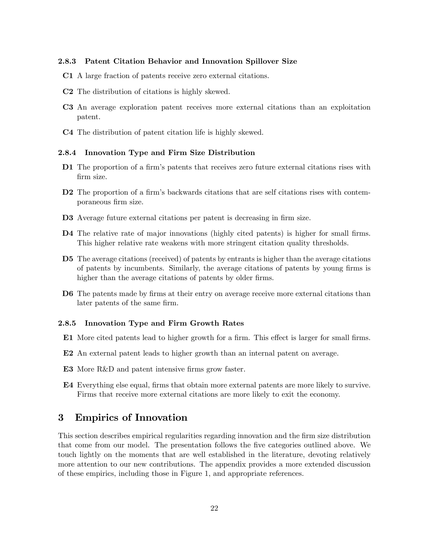#### 2.8.3 Patent Citation Behavior and Innovation Spillover Size

- C1 A large fraction of patents receive zero external citations.
- C2 The distribution of citations is highly skewed.
- C3 An average exploration patent receives more external citations than an exploitation patent.
- C4 The distribution of patent citation life is highly skewed.

#### 2.8.4 Innovation Type and Firm Size Distribution

- D1 The proportion of a firm's patents that receives zero future external citations rises with firm size.
- D2 The proportion of a firm's backwards citations that are self citations rises with contemporaneous firm size.
- D3 Average future external citations per patent is decreasing in firm size.
- D4 The relative rate of major innovations (highly cited patents) is higher for small firms. This higher relative rate weakens with more stringent citation quality thresholds.
- D5 The average citations (received) of patents by entrants is higher than the average citations of patents by incumbents. Similarly, the average citations of patents by young firms is higher than the average citations of patents by older firms.
- D6 The patents made by firms at their entry on average receive more external citations than later patents of the same firm.

#### 2.8.5 Innovation Type and Firm Growth Rates

- E1 More cited patents lead to higher growth for a firm. This effect is larger for small firms.
- E2 An external patent leads to higher growth than an internal patent on average.
- E3 More R&D and patent intensive firms grow faster.
- E4 Everything else equal, firms that obtain more external patents are more likely to survive. Firms that receive more external citations are more likely to exit the economy.

# 3 Empirics of Innovation

This section describes empirical regularities regarding innovation and the Örm size distribution that come from our model. The presentation follows the five categories outlined above. We touch lightly on the moments that are well established in the literature, devoting relatively more attention to our new contributions. The appendix provides a more extended discussion of these empirics, including those in Figure 1, and appropriate references.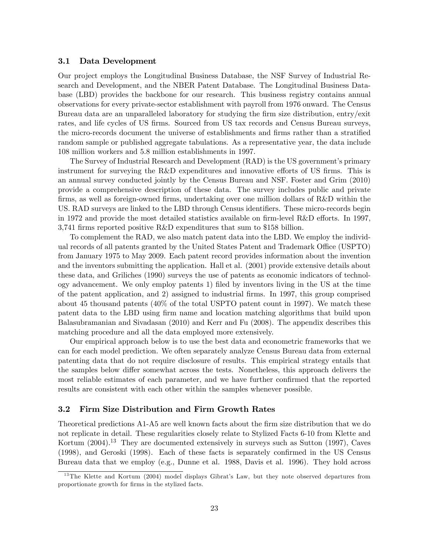#### 3.1 Data Development

Our project employs the Longitudinal Business Database, the NSF Survey of Industrial Research and Development, and the NBER Patent Database. The Longitudinal Business Database (LBD) provides the backbone for our research. This business registry contains annual observations for every private-sector establishment with payroll from 1976 onward. The Census Bureau data are an unparalleled laboratory for studying the firm size distribution, entry/exit rates, and life cycles of US firms. Sourced from US tax records and Census Bureau surveys, the micro-records document the universe of establishments and firms rather than a stratified random sample or published aggregate tabulations. As a representative year, the data include 108 million workers and 5.8 million establishments in 1997.

The Survey of Industrial Research and Development (RAD) is the US government's primary instrument for surveying the  $R&D$  expenditures and innovative efforts of US firms. This is an annual survey conducted jointly by the Census Bureau and NSF. Foster and Grim (2010) provide a comprehensive description of these data. The survey includes public and private firms, as well as foreign-owned firms, undertaking over one million dollars of  $R&D$  within the US. RAD surveys are linked to the LBD through Census identifiers. These micro-records begin in 1972 and provide the most detailed statistics available on firm-level R&D efforts. In 1997, 3,741 firms reported positive R&D expenditures that sum to \$158 billion.

To complement the RAD, we also match patent data into the LBD. We employ the individual records of all patents granted by the United States Patent and Trademark Office (USPTO) from January 1975 to May 2009. Each patent record provides information about the invention and the inventors submitting the application. Hall et al. (2001) provide extensive details about these data, and Griliches (1990) surveys the use of patents as economic indicators of technology advancement. We only employ patents 1) Öled by inventors living in the US at the time of the patent application, and 2) assigned to industrial Örms. In 1997, this group comprised about 45 thousand patents (40% of the total USPTO patent count in 1997). We match these patent data to the LBD using Örm name and location matching algorithms that build upon Balasubramanian and Sivadasan (2010) and Kerr and Fu (2008). The appendix describes this matching procedure and all the data employed more extensively.

Our empirical approach below is to use the best data and econometric frameworks that we can for each model prediction. We often separately analyze Census Bureau data from external patenting data that do not require disclosure of results. This empirical strategy entails that the samples below differ somewhat across the tests. Nonetheless, this approach delivers the most reliable estimates of each parameter, and we have further confirmed that the reported results are consistent with each other within the samples whenever possible.

#### 3.2 Firm Size Distribution and Firm Growth Rates

Theoretical predictions A1-A5 are well known facts about the firm size distribution that we do not replicate in detail. These regularities closely relate to Stylized Facts 6-10 from Klette and Kortum (2004).<sup>13</sup> They are documented extensively in surveys such as Sutton (1997), Caves  $(1998)$ , and Geroski  $(1998)$ . Each of these facts is separately confirmed in the US Census Bureau data that we employ (e.g., Dunne et al. 1988, Davis et al. 1996). They hold across

<sup>&</sup>lt;sup>13</sup>The Klette and Kortum (2004) model displays Gibrat's Law, but they note observed departures from proportionate growth for firms in the stylized facts.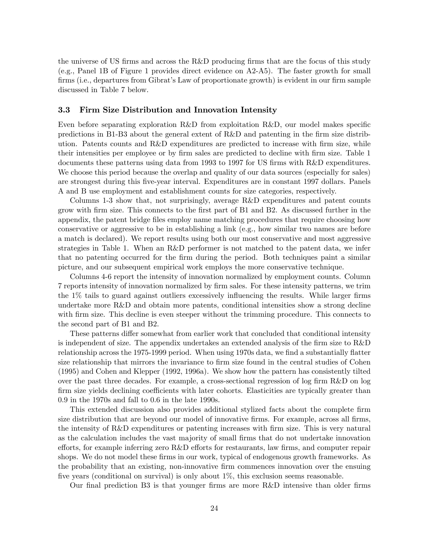the universe of US firms and across the R&D producing firms that are the focus of this study (e.g., Panel 1B of Figure 1 provides direct evidence on A2-A5). The faster growth for small firms (i.e., departures from Gibrat's Law of proportionate growth) is evident in our firm sample discussed in Table 7 below.

#### 3.3 Firm Size Distribution and Innovation Intensity

Even before separating exploration  $R&D$  from exploitation  $R&D$ , our model makes specific predictions in B1-B3 about the general extent of  $R\&D$  and patenting in the firm size distribution. Patents counts and  $R\&D$  expenditures are predicted to increase with firm size, while their intensities per employee or by firm sales are predicted to decline with firm size. Table 1 documents these patterns using data from 1993 to 1997 for US firms with R&D expenditures. We choose this period because the overlap and quality of our data sources (especially for sales) are strongest during this Öve-year interval. Expenditures are in constant 1997 dollars. Panels A and B use employment and establishment counts for size categories, respectively.

Columns 1-3 show that, not surprisingly, average R&D expenditures and patent counts grow with firm size. This connects to the first part of B1 and B2. As discussed further in the appendix, the patent bridge files employ name matching procedures that require choosing how conservative or aggressive to be in establishing a link (e.g., how similar two names are before a match is declared). We report results using both our most conservative and most aggressive strategies in Table 1. When an R&D performer is not matched to the patent data, we infer that no patenting occurred for the Örm during the period. Both techniques paint a similar picture, and our subsequent empirical work employs the more conservative technique.

Columns 4-6 report the intensity of innovation normalized by employment counts. Column 7 reports intensity of innovation normalized by Örm sales. For these intensity patterns, we trim the  $1\%$  tails to guard against outliers excessively influencing the results. While larger firms undertake more R&D and obtain more patents, conditional intensities show a strong decline with firm size. This decline is even steeper without the trimming procedure. This connects to the second part of B1 and B2.

These patterns differ somewhat from earlier work that concluded that conditional intensity is independent of size. The appendix undertakes an extended analysis of the firm size to  $R\&D$ relationship across the 1975-1999 period. When using 1970s data, we find a substantially flatter size relationship that mirrors the invariance to firm size found in the central studies of Cohen (1995) and Cohen and Klepper (1992, 1996a). We show how the pattern has consistently tilted over the past three decades. For example, a cross-sectional regression of log firm  $R&D$  on log firm size yields declining coefficients with later cohorts. Elasticities are typically greater than 0.9 in the 1970s and fall to 0.6 in the late 1990s.

This extended discussion also provides additional stylized facts about the complete Örm size distribution that are beyond our model of innovative firms. For example, across all firms, the intensity of R&D expenditures or patenting increases with firm size. This is very natural as the calculation includes the vast majority of small firms that do not undertake innovation efforts, for example inferring zero  $R\&D$  efforts for restaurants, law firms, and computer repair shops. We do not model these firms in our work, typical of endogenous growth frameworks. As the probability that an existing, non-innovative Örm commences innovation over the ensuing five years (conditional on survival) is only about  $1\%$ , this exclusion seems reasonable.

Our final prediction B3 is that younger firms are more  $R\&D$  intensive than older firms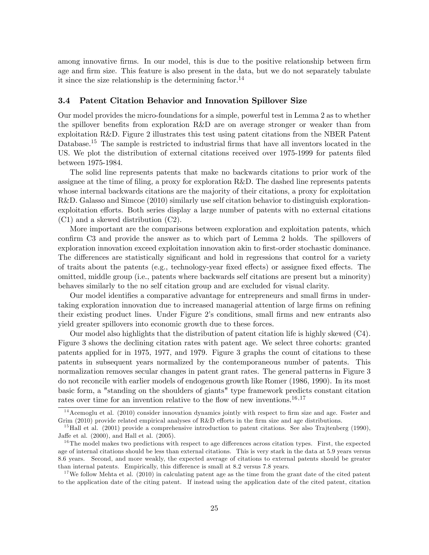among innovative firms. In our model, this is due to the positive relationship between firm age and firm size. This feature is also present in the data, but we do not separately tabulate it since the size relationship is the determining factor.<sup>14</sup>

# 3.4 Patent Citation Behavior and Innovation Spillover Size

Our model provides the micro-foundations for a simple, powerful test in Lemma 2 as to whether the spillover benefits from exploration  $R\&D$  are on average stronger or weaker than from exploitation R&D. Figure 2 illustrates this test using patent citations from the NBER Patent Database.<sup>15</sup> The sample is restricted to industrial firms that have all inventors located in the US. We plot the distribution of external citations received over 1975-1999 for patents filed between 1975-1984.

The solid line represents patents that make no backwards citations to prior work of the assignee at the time of filing, a proxy for exploration R&D. The dashed line represents patents whose internal backwards citations are the majority of their citations, a proxy for exploitation R&D. Galasso and Simcoe (2010) similarly use self citation behavior to distinguish explorationexploitation efforts. Both series display a large number of patents with no external citations (C1) and a skewed distribution (C2).

More important are the comparisons between exploration and exploitation patents, which confirm C3 and provide the answer as to which part of Lemma 2 holds. The spillovers of exploration innovation exceed exploitation innovation akin to first-order stochastic dominance. The differences are statistically significant and hold in regressions that control for a variety of traits about the patents (e.g., technology-year fixed effects) or assignee fixed effects. The omitted, middle group (i.e., patents where backwards self citations are present but a minority) behaves similarly to the no self citation group and are excluded for visual clarity.

Our model identifies a comparative advantage for entrepreneurs and small firms in undertaking exploration innovation due to increased managerial attention of large firms on refining their existing product lines. Under Figure 2's conditions, small firms and new entrants also yield greater spillovers into economic growth due to these forces.

Our model also highlights that the distribution of patent citation life is highly skewed (C4). Figure 3 shows the declining citation rates with patent age. We select three cohorts: granted patents applied for in 1975, 1977, and 1979. Figure 3 graphs the count of citations to these patents in subsequent years normalized by the contemporaneous number of patents. This normalization removes secular changes in patent grant rates. The general patterns in Figure 3 do not reconcile with earlier models of endogenous growth like Romer (1986, 1990). In its most basic form, a "standing on the shoulders of giants" type framework predicts constant citation rates over time for an invention relative to the flow of new inventions.<sup>16,17</sup>

<sup>17</sup>We follow Mehta et al.  $(2010)$  in calculating patent age as the time from the grant date of the cited patent to the application date of the citing patent. If instead using the application date of the cited patent, citation

 $14$  Acemoglu et al. (2010) consider innovation dynamics jointly with respect to firm size and age. Foster and Grim  $(2010)$  provide related empirical analyses of R&D efforts in the firm size and age distributions.

 $^{15}$ Hall et al. (2001) provide a comprehensive introduction to patent citations. See also Trajtenberg (1990), Jaffe et al.  $(2000)$ , and Hall et al.  $(2005)$ .

 $16$ The model makes two predictions with respect to age differences across citation types. First, the expected age of internal citations should be less than external citations. This is very stark in the data at 5.9 years versus 8.6 years. Second, and more weakly, the expected average of citations to external patents should be greater than internal patents. Empirically, this difference is small at 8.2 versus 7.8 years.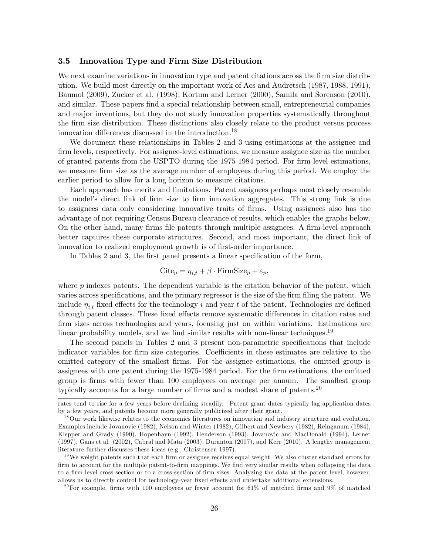#### 3.5 Innovation Type and Firm Size Distribution

We next examine variations in innovation type and patent citations across the firm size distribution. We build most directly on the important work of Acs and Audretsch (1987, 1988, 1991), Baumol (2009), Zucker et al. (1998), Kortum and Lerner (2000), Samila and Sorenson (2010), and similar. These papers find a special relationship between small, entrepreneurial companies and major inventions, but they do not study innovation properties systematically throughout the Örm size distribution. These distinctions also closely relate to the product versus process innovation differences discussed in the introduction.<sup>18</sup>

We document these relationships in Tables 2 and 3 using estimations at the assignee and firm levels, respectively. For assignee-level estimations, we measure assignee size as the number of granted patents from the USPTO during the 1975-1984 period. For firm-level estimations, we measure firm size as the average number of employees during this period. We employ the earlier period to allow for a long horizon to measure citations.

Each approach has merits and limitations. Patent assignees perhaps most closely resemble the model's direct link of firm size to firm innovation aggregates. This strong link is due to assignees data only considering innovative traits of Örms. Using assignees also has the advantage of not requiring Census Bureau clearance of results, which enables the graphs below. On the other hand, many firms file patents through multiple assignees. A firm-level approach better captures these corporate structures. Second, and most important, the direct link of innovation to realized employment growth is of first-order importance.

In Tables 2 and 3, the first panel presents a linear specification of the form,

$$
Cite_p = \eta_{i,t} + \beta \cdot \text{FirmSize}_p + \varepsilon_p,
$$

where  $p$  indexes patents. The dependent variable is the citation behavior of the patent, which varies across specifications, and the primary regressor is the size of the firm filing the patent. We include  $\eta_{i,t}$  fixed effects for the technology i and year t of the patent. Technologies are defined through patent classes. These fixed effects remove systematic differences in citation rates and firm sizes across technologies and years, focusing just on within variations. Estimations are linear probability models, and we find similar results with non-linear techniques.<sup>19</sup>

The second panels in Tables 2 and 3 present non-parametric specifications that include indicator variables for firm size categories. Coefficients in these estimates are relative to the omitted category of the smallest Örms. For the assignee estimations, the omitted group is assignees with one patent during the 1975-1984 period. For the Örm estimations, the omitted group is firms with fewer than 100 employees on average per annum. The smallest group typically accounts for a large number of firms and a modest share of patents.<sup>20</sup>

<sup>20</sup> For example, firms with 100 employees or fewer account for 61% of matched firms and 9% of matched

rates tend to rise for a few years before declining steadily. Patent grant dates typically lag application dates by a few years, and patents become more generally publicized after their grant.

<sup>&</sup>lt;sup>18</sup>Our work likewise relates to the economics literatures on innovation and industry structure and evolution. Examples include Jovanovic (1982), Nelson and Winter (1982), Gilbert and Newbery (1982), Reinganum (1984), Klepper and Grady (1990), Hopenhayn (1992), Henderson (1993), Jovanovic and MacDonald (1994), Lerner (1997), Gans et al. (2002), Cabral and Mata (2003), Duranton (2007), and Kerr (2010). A lengthy management literature further discusses these ideas (e.g., Christensen 1997).

 $19$ We weight patents such that each firm or assignee receives equal weight. We also cluster standard errors by firm to account for the multiple patent-to-firm mappings. We find very similar results when collapsing the data to a firm-level cross-section or to a cross-section of firm sizes. Analyzing the data at the patent level, however, allows us to directly control for technology-year fixed effects and undertake additional extensions.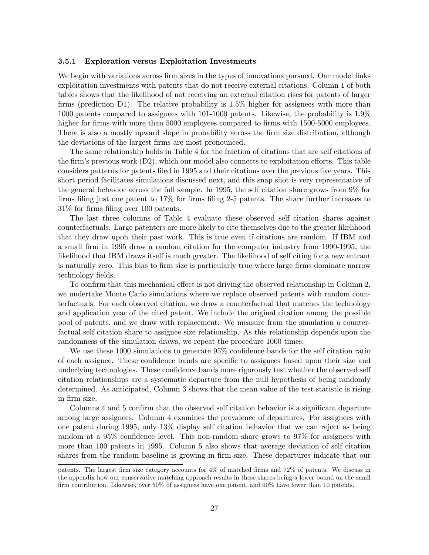#### 3.5.1 Exploration versus Exploitation Investments

We begin with variations across firm sizes in the types of innovations pursued. Our model links exploitation investments with patents that do not receive external citations. Column 1 of both tables shows that the likelihood of not receiving an external citation rises for patents of larger firms (prediction D1). The relative probability is  $1.5\%$  higher for assignees with more than 1000 patents compared to assignees with 101-1000 patents. Likewise, the probability is 1.9% higher for firms with more than 5000 employees compared to firms with 1500-5000 employees. There is also a mostly upward slope in probability across the firm size distribution, although the deviations of the largest firms are most pronounced.

The same relationship holds in Table 4 for the fraction of citations that are self citations of the firm's previous work  $(D2)$ , which our model also connects to exploitation efforts. This table considers patterns for patents filed in 1995 and their citations over the previous five years. This short period facilitates simulations discussed next, and this snap shot is very representative of the general behavior across the full sample. In 1995, the self citation share grows from 9% for firms filing just one patent to  $17\%$  for firms filing 2-5 patents. The share further increases to  $31\%$  for firms filing over 100 patents.

The last three columns of Table 4 evaluate these observed self citation shares against counterfactuals. Large patenters are more likely to cite themselves due to the greater likelihood that they draw upon their past work. This is true even if citations are random. If IBM and a small Örm in 1995 draw a random citation for the computer industry from 1990-1995, the likelihood that IBM draws itself is much greater. The likelihood of self citing for a new entrant is naturally zero. This bias to firm size is particularly true where large firms dominate narrow technology fields.

To confirm that this mechanical effect is not driving the observed relationship in Column 2, we undertake Monte Carlo simulations where we replace observed patents with random counterfactuals. For each observed citation, we draw a counterfactual that matches the technology and application year of the cited patent. We include the original citation among the possible pool of patents, and we draw with replacement. We measure from the simulation a counterfactual self citation share to assignee size relationship. As this relationship depends upon the randomness of the simulation draws, we repeat the procedure 1000 times.

We use these  $1000$  simulations to generate  $95\%$  confidence bands for the self citation ratio of each assignee. These confidence bands are specific to assignees based upon their size and underlying technologies. These confidence bands more rigorously test whether the observed self citation relationships are a systematic departure from the null hypothesis of being randomly determined. As anticipated, Column 3 shows that the mean value of the test statistic is rising in firm size.

Columns 4 and 5 confirm that the observed self citation behavior is a significant departure among large assignees. Column 4 examines the prevalence of departures. For assignees with one patent during 1995, only 13% display self citation behavior that we can reject as being random at a 95% confidence level. This non-random share grows to  $97\%$  for assignees with more than 100 patents in 1995. Column 5 also shows that average deviation of self citation shares from the random baseline is growing in firm size. These departures indicate that our

patents. The largest Örm size category accounts for 4% of matched Örms and 72% of patents. We discuss in the appendix how our conservative matching approach results in these shares being a lower bound on the small firm contribution. Likewise, over 50% of assignees have one patent, and 90% have fewer than 10 patents.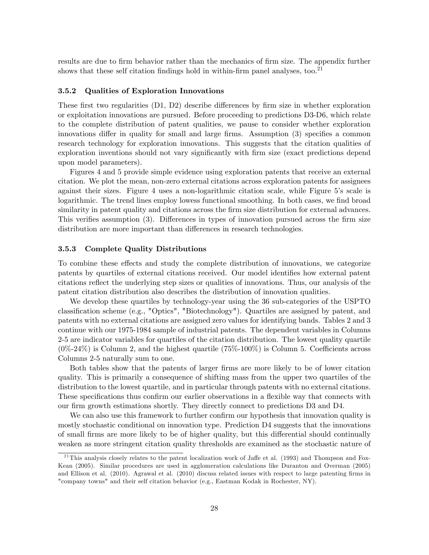results are due to firm behavior rather than the mechanics of firm size. The appendix further shows that these self citation findings hold in within-firm panel analyses, too.<sup>21</sup>

#### 3.5.2 Qualities of Exploration Innovations

These first two regularities  $(D1, D2)$  describe differences by firm size in whether exploration or exploitation innovations are pursued. Before proceeding to predictions D3-D6, which relate to the complete distribution of patent qualities, we pause to consider whether exploration innovations differ in quality for small and large firms. Assumption  $(3)$  specifies a common research technology for exploration innovations. This suggests that the citation qualities of exploration inventions should not vary significantly with firm size (exact predictions depend upon model parameters).

Figures 4 and 5 provide simple evidence using exploration patents that receive an external citation. We plot the mean, non-zero external citations across exploration patents for assignees against their sizes. Figure 4 uses a non-logarithmic citation scale, while Figure 5ís scale is logarithmic. The trend lines employ lowess functional smoothing. In both cases, we find broad similarity in patent quality and citations across the firm size distribution for external advances. This verifies assumption  $(3)$ . Differences in types of innovation pursued across the firm size distribution are more important than differences in research technologies.

#### 3.5.3 Complete Quality Distributions

To combine these effects and study the complete distribution of innovations, we categorize patents by quartiles of external citations received. Our model identifies how external patent citations reflect the underlying step sizes or qualities of innovations. Thus, our analysis of the patent citation distribution also describes the distribution of innovation qualities.

We develop these quartiles by technology-year using the 36 sub-categories of the USPTO classification scheme (e.g., "Optics", "Biotechnology"). Quartiles are assigned by patent, and patents with no external citations are assigned zero values for identifying bands. Tables 2 and 3 continue with our 1975-1984 sample of industrial patents. The dependent variables in Columns 2-5 are indicator variables for quartiles of the citation distribution. The lowest quality quartile  $(0\%–24\%)$  is Column 2, and the highest quartile  $(75\%–100\%)$  is Column 5. Coefficients across Columns 2-5 naturally sum to one.

Both tables show that the patents of larger firms are more likely to be of lower citation quality. This is primarily a consequence of shifting mass from the upper two quartiles of the distribution to the lowest quartile, and in particular through patents with no external citations. These specifications thus confirm our earlier observations in a flexible way that connects with our Örm growth estimations shortly. They directly connect to predictions D3 and D4.

We can also use this framework to further confirm our hypothesis that innovation quality is mostly stochastic conditional on innovation type. Prediction D4 suggests that the innovations of small firms are more likely to be of higher quality, but this differential should continually weaken as more stringent citation quality thresholds are examined as the stochastic nature of

 $^{21}$ This analysis closely relates to the patent localization work of Jaffe et al. (1993) and Thompson and Fox-Kean (2005). Similar procedures are used in agglomeration calculations like Duranton and Overman (2005) and Ellison et al. (2010). Agrawal et al. (2010) discuss related issues with respect to large patenting firms in "company towns" and their self citation behavior (e.g., Eastman Kodak in Rochester, NY).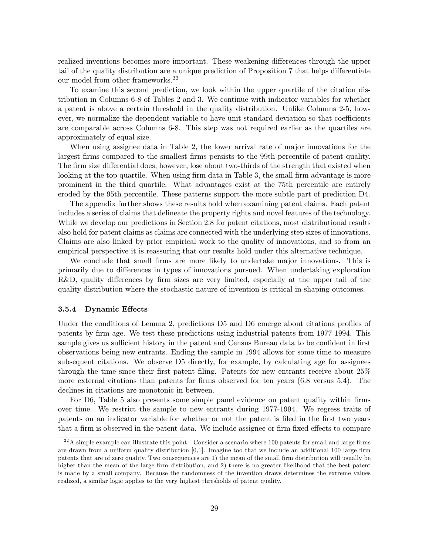realized inventions becomes more important. These weakening differences through the upper tail of the quality distribution are a unique prediction of Proposition 7 that helps differentiate our model from other frameworks.<sup>22</sup>

To examine this second prediction, we look within the upper quartile of the citation distribution in Columns 6-8 of Tables 2 and 3. We continue with indicator variables for whether a patent is above a certain threshold in the quality distribution. Unlike Columns 2-5, however, we normalize the dependent variable to have unit standard deviation so that coefficients are comparable across Columns 6-8. This step was not required earlier as the quartiles are approximately of equal size.

When using assignee data in Table 2, the lower arrival rate of major innovations for the largest firms compared to the smallest firms persists to the 99th percentile of patent quality. The firm size differential does, however, lose about two-thirds of the strength that existed when looking at the top quartile. When using firm data in Table 3, the small firm advantage is more prominent in the third quartile. What advantages exist at the 75th percentile are entirely eroded by the 95th percentile. These patterns support the more subtle part of prediction D4.

The appendix further shows these results hold when examining patent claims. Each patent includes a series of claims that delineate the property rights and novel features of the technology. While we develop our predictions in Section 2.8 for patent citations, most distributional results also hold for patent claims as claims are connected with the underlying step sizes of innovations. Claims are also linked by prior empirical work to the quality of innovations, and so from an empirical perspective it is reassuring that our results hold under this alternative technique.

We conclude that small firms are more likely to undertake major innovations. This is primarily due to differences in types of innovations pursued. When undertaking exploration  $R&D$ , quality differences by firm sizes are very limited, especially at the upper tail of the quality distribution where the stochastic nature of invention is critical in shaping outcomes.

#### 3.5.4 Dynamic Effects

Under the conditions of Lemma 2, predictions  $D5$  and  $D6$  emerge about citations profiles of patents by Örm age. We test these predictions using industrial patents from 1977-1994. This sample gives us sufficient history in the patent and Census Bureau data to be confident in first observations being new entrants. Ending the sample in 1994 allows for some time to measure subsequent citations. We observe D5 directly, for example, by calculating age for assignees through the time since their first patent filing. Patents for new entrants receive about  $25\%$ more external citations than patents for firms observed for ten years  $(6.8 \text{ versus } 5.4)$ . The declines in citations are monotonic in between.

For D6, Table 5 also presents some simple panel evidence on patent quality within firms over time. We restrict the sample to new entrants during 1977-1994. We regress traits of patents on an indicator variable for whether or not the patent is filed in the first two years that a firm is observed in the patent data. We include assignee or firm fixed effects to compare

 $^{22}$ A simple example can illustrate this point. Consider a scenario where 100 patents for small and large firms are drawn from a uniform quality distribution  $[0,1]$ . Imagine too that we include an additional 100 large firm patents that are of zero quality. Two consequences are 1) the mean of the small Örm distribution will usually be higher than the mean of the large firm distribution, and 2) there is no greater likelihood that the best patent is made by a small company. Because the randomness of the invention draws determines the extreme values realized, a similar logic applies to the very highest thresholds of patent quality.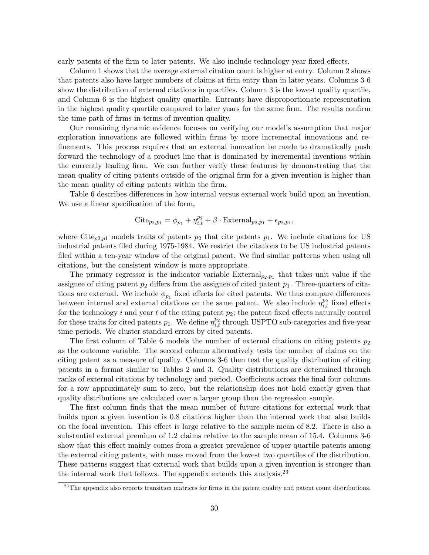early patents of the firm to later patents. We also include technology-year fixed effects.

Column 1 shows that the average external citation count is higher at entry. Column 2 shows that patents also have larger numbers of claims at firm entry than in later years. Columns 3-6 show the distribution of external citations in quartiles. Column 3 is the lowest quality quartile, and Column 6 is the highest quality quartile. Entrants have disproportionate representation in the highest quality quartile compared to later years for the same firm. The results confirm the time path of firms in terms of invention quality.

Our remaining dynamic evidence focuses on verifying our model's assumption that major exploration innovations are followed within firms by more incremental innovations and re-Önements. This process requires that an external innovation be made to dramatically push forward the technology of a product line that is dominated by incremental inventions within the currently leading Örm. We can further verify these features by demonstrating that the mean quality of citing patents outside of the original firm for a given invention is higher than the mean quality of citing patents within the firm.

Table 6 describes differences in how internal versus external work build upon an invention. We use a linear specification of the form,

$$
\mathrm{Cite}_{p_2,p_1} = \phi_{p_1} + \eta^{p_2}_{i,t} + \beta \cdot \mathrm{External}_{p_2,p_1} + \epsilon_{p_2,p_1},
$$

where Cite<sub>p2,p1</sub> models traits of patents  $p_2$  that cite patents  $p_1$ . We include citations for US industrial patents Öled during 1975-1984. We restrict the citations to be US industrial patents filed within a ten-year window of the original patent. We find similar patterns when using all citations, but the consistent window is more appropriate.

The primary regressor is the indicator variable  $External_{p_2,p_1}$  that takes unit value if the assignee of citing patent  $p_2$  differs from the assignee of cited patent  $p_1$ . Three-quarters of citations are external. We include  $\phi_{p_1}$  fixed effects for cited patents. We thus compare differences between internal and external citations on the same patent. We also include  $\eta_{i,t}^{p_2}$  fixed effects for the technology i and year t of the citing patent  $p_2$ ; the patent fixed effects naturally control for these traits for cited patents  $p_1$ . We define  $\eta_{i,t}^{p_2}$  through USPTO sub-categories and five-year time periods. We cluster standard errors by cited patents.

The first column of Table 6 models the number of external citations on citing patents  $p_2$ as the outcome variable. The second column alternatively tests the number of claims on the citing patent as a measure of quality. Columns 3-6 then test the quality distribution of citing patents in a format similar to Tables 2 and 3. Quality distributions are determined through ranks of external citations by technology and period. Coefficients across the final four columns for a row approximately sum to zero, but the relationship does not hold exactly given that quality distributions are calculated over a larger group than the regression sample.

The first column finds that the mean number of future citations for external work that builds upon a given invention is 0.8 citations higher than the internal work that also builds on the focal invention. This effect is large relative to the sample mean of 8.2. There is also a substantial external premium of 1.2 claims relative to the sample mean of 15.4. Columns 3-6 show that this effect mainly comes from a greater prevalence of upper quartile patents among the external citing patents, with mass moved from the lowest two quartiles of the distribution. These patterns suggest that external work that builds upon a given invention is stronger than the internal work that follows. The appendix extends this analysis. $^{23}$ 

 $^{23}$ The appendix also reports transition matrices for firms in the patent quality and patent count distributions.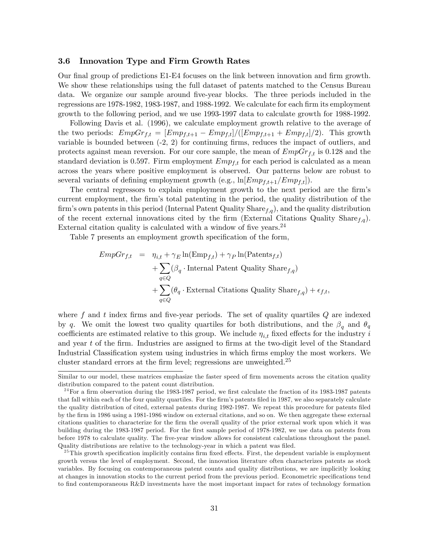#### 3.6 Innovation Type and Firm Growth Rates

Our final group of predictions E1-E4 focuses on the link between innovation and firm growth. We show these relationships using the full dataset of patents matched to the Census Bureau data. We organize our sample around five-year blocks. The three periods included in the regressions are 1978-1982, 1983-1987, and 1988-1992. We calculate for each firm its employment growth to the following period, and we use 1993-1997 data to calculate growth for 1988-1992.

Following Davis et al. (1996), we calculate employment growth relative to the average of the two periods:  $EmpGr_{f,t} = [Emp_{f,t+1} - Emp_{f,t}]/([Emp_{f,t+1} + Emp_{f,t}]/2)$ . This growth variable is bounded between  $(-2, 2)$  for continuing firms, reduces the impact of outliers, and protects against mean reversion. For our core sample, the mean of  $EmpGr_{f,t}$  is 0.128 and the standard deviation is 0.597. Firm employment  $Emp_{f,t}$  for each period is calculated as a mean across the years where positive employment is observed. Our patterns below are robust to several variants of defining employment growth (e.g.,  $\ln[Emp_{f,t+1}/Emp_{f,t}].$ 

The central regressors to explain employment growth to the next period are the firm's current employment, the firm's total patenting in the period, the quality distribution of the firm's own patents in this period (Internal Patent Quality Share $f,g$ ), and the quality distribution of the recent external innovations cited by the firm (External Citations Quality Share $f,g$ ). External citation quality is calculated with a window of five years. $^{24}$ 

Table 7 presents an employment growth specification of the form,

$$
EmpGr_{f,t} = \eta_{i,t} + \gamma_E \ln(\text{Emp}_{f,t}) + \gamma_P \ln(\text{Patterns}_{f,t})
$$
  
+  $\sum_{q \in Q} (\beta_q \cdot \text{Internal Patent QualityShare}_{f,q})$   
+  $\sum_{q \in Q} (\theta_q \cdot \text{External Citations QualityShare}_{f,q}) + \epsilon_{f,t},$ 

where f and t index firms and five-year periods. The set of quality quartiles  $Q$  are indexed by q. We omit the lowest two quality quartiles for both distributions, and the  $\beta_q$  and  $\theta_q$ coefficients are estimated relative to this group. We include  $\eta_{i,t}$  fixed effects for the industry i and year  $t$  of the firm. Industries are assigned to firms at the two-digit level of the Standard Industrial Classification system using industries in which firms employ the most workers. We cluster standard errors at the firm level; regressions are unweighted. $25$ 

Similar to our model, these matrices emphasize the faster speed of firm movements across the citation quality distribution compared to the patent count distribution.

 $^{24}$  For a firm observation during the 1983-1987 period, we first calculate the fraction of its 1983-1987 patents that fall within each of the four quality quartiles. For the firm's patents filed in 1987, we also separately calculate the quality distribution of cited, external patents during 1982-1987. We repeat this procedure for patents Öled by the Örm in 1986 using a 1981-1986 window on external citations, and so on. We then aggregate these external citations qualities to characterize for the Örm the overall quality of the prior external work upon which it was building during the 1983-1987 period. For the first sample period of 1978-1982, we use data on patents from before 1978 to calculate quality. The Öve-year window allows for consistent calculations throughout the panel. Quality distributions are relative to the technology-year in which a patent was Öled.

 $^{25}$ This growth specification implicitly contains firm fixed effects. First, the dependent variable is employment growth versus the level of employment. Second, the innovation literature often characterizes patents as stock variables. By focusing on contemporaneous patent counts and quality distributions, we are implicitly looking at changes in innovation stocks to the current period from the previous period. Econometric specifications tend to Önd contemporaneous R&D investments have the most important impact for rates of technology formation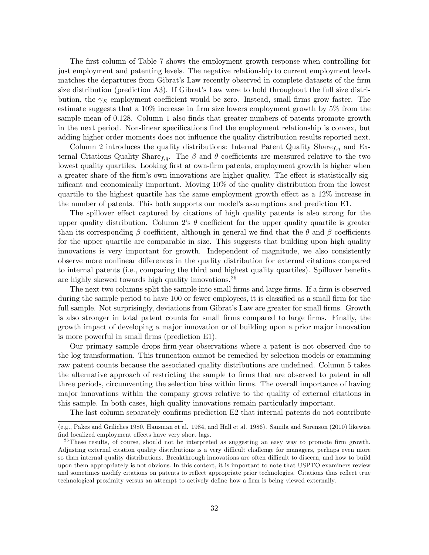The first column of Table 7 shows the employment growth response when controlling for just employment and patenting levels. The negative relationship to current employment levels matches the departures from Gibrat's Law recently observed in complete datasets of the firm size distribution (prediction A3). If Gibrat's Law were to hold throughout the full size distribution, the  $\gamma_E$  employment coefficient would be zero. Instead, small firms grow faster. The estimate suggests that a  $10\%$  increase in firm size lowers employment growth by  $5\%$  from the sample mean of 0.128. Column 1 also finds that greater numbers of patents promote growth in the next period. Non-linear specifications find the employment relationship is convex, but adding higher order moments does not influence the quality distribution results reported next.

Column 2 introduces the quality distributions: Internal Patent Quality Share $_{f,q}$  and External Citations Quality Share<sub>f,q</sub>. The  $\beta$  and  $\theta$  coefficients are measured relative to the two lowest quality quartiles. Looking first at own-firm patents, employment growth is higher when a greater share of the firm's own innovations are higher quality. The effect is statistically significant and economically important. Moving  $10\%$  of the quality distribution from the lowest quartile to the highest quartile has the same employment growth effect as a  $12\%$  increase in the number of patents. This both supports our modelís assumptions and prediction E1.

The spillover effect captured by citations of high quality patents is also strong for the upper quality distribution. Column 2's  $\theta$  coefficient for the upper quality quartile is greater than its corresponding  $\beta$  coefficient, although in general we find that the  $\theta$  and  $\beta$  coefficients for the upper quartile are comparable in size. This suggests that building upon high quality innovations is very important for growth. Independent of magnitude, we also consistently observe more nonlinear differences in the quality distribution for external citations compared to internal patents (i.e., comparing the third and highest quality quartiles). Spillover benefits are highly skewed towards high quality innovations.<sup>26</sup>

The next two columns split the sample into small firms and large firms. If a firm is observed during the sample period to have 100 or fewer employees, it is classified as a small firm for the full sample. Not surprisingly, deviations from Gibrat's Law are greater for small firms. Growth is also stronger in total patent counts for small Örms compared to large Örms. Finally, the growth impact of developing a major innovation or of building upon a prior major innovation is more powerful in small firms (prediction E1).

Our primary sample drops Örm-year observations where a patent is not observed due to the log transformation. This truncation cannot be remedied by selection models or examining raw patent counts because the associated quality distributions are undefined. Column 5 takes the alternative approach of restricting the sample to firms that are observed to patent in all three periods, circumventing the selection bias within firms. The overall importance of having major innovations within the company grows relative to the quality of external citations in this sample. In both cases, high quality innovations remain particularly important.

The last column separately confirms prediction E2 that internal patents do not contribute

<sup>(</sup>e.g., Pakes and Griliches 1980, Hausman et al. 1984, and Hall et al. 1986). Samila and Sorenson (2010) likewise find localized employment effects have very short lags.

<sup>&</sup>lt;sup>26</sup>These results, of course, should not be interpreted as suggesting an easy way to promote firm growth. Adjusting external citation quality distributions is a very difficult challenge for managers, perhaps even more so than internal quality distributions. Breakthrough innovations are often difficult to discern, and how to build upon them appropriately is not obvious. In this context, it is important to note that USPTO examiners review and sometimes modify citations on patents to reflect appropriate prior technologies. Citations thus reflect true technological proximity versus an attempt to actively define how a firm is being viewed externally.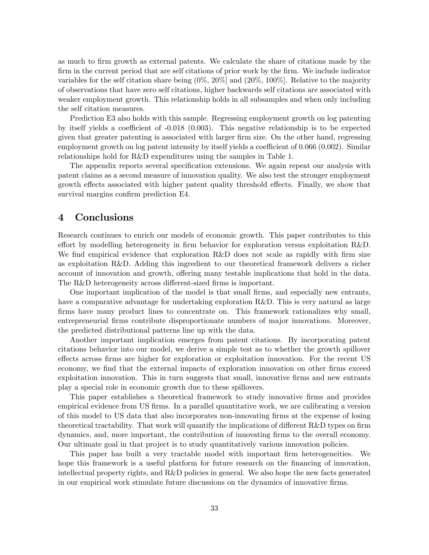as much to Örm growth as external patents. We calculate the share of citations made by the firm in the current period that are self citations of prior work by the firm. We include indicator variables for the self citation share being  $(0\%, 20\%)$  and  $(20\%, 100\%)$ . Relative to the majority of observations that have zero self citations, higher backwards self citations are associated with weaker employment growth. This relationship holds in all subsamples and when only including the self citation measures.

Prediction E3 also holds with this sample. Regressing employment growth on log patenting by itself yields a coefficient of  $-0.018$  (0.003). This negative relationship is to be expected given that greater patenting is associated with larger Örm size. On the other hand, regressing employment growth on log patent intensity by itself yields a coefficient of  $0.066 (0.002)$ . Similar relationships hold for R&D expenditures using the samples in Table 1.

The appendix reports several specification extensions. We again repeat our analysis with patent claims as a second measure of innovation quality. We also test the stronger employment growth effects associated with higher patent quality threshold effects. Finally, we show that survival margins confirm prediction E4.

# 4 Conclusions

Research continues to enrich our models of economic growth. This paper contributes to this effort by modelling heterogeneity in firm behavior for exploration versus exploitation R&D. We find empirical evidence that exploration R&D does not scale as rapidly with firm size as exploitation R&D. Adding this ingredient to our theoretical framework delivers a richer account of innovation and growth, offering many testable implications that hold in the data. The R&D heterogeneity across different-sized firms is important.

One important implication of the model is that small Örms, and especially new entrants, have a comparative advantage for undertaking exploration R&D. This is very natural as large firms have many product lines to concentrate on. This framework rationalizes why small, entrepreneurial Örms contribute disproportionate numbers of major innovations. Moreover, the predicted distributional patterns line up with the data.

Another important implication emerges from patent citations. By incorporating patent citations behavior into our model, we derive a simple test as to whether the growth spillover effects across firms are higher for exploration or exploitation innovation. For the recent US economy, we find that the external impacts of exploration innovation on other firms exceed exploitation innovation. This in turn suggests that small, innovative firms and new entrants play a special role in economic growth due to these spillovers.

This paper establishes a theoretical framework to study innovative firms and provides empirical evidence from US firms. In a parallel quantitative work, we are calibrating a version of this model to US data that also incorporates non-innovating Örms at the expense of losing theoretical tractability. That work will quantify the implications of different  $R\&D$  types on firm dynamics, and, more important, the contribution of innovating Örms to the overall economy. Our ultimate goal in that project is to study quantitatively various innovation policies.

This paper has built a very tractable model with important firm heterogeneities. We hope this framework is a useful platform for future research on the financing of innovation, intellectual property rights, and R&D policies in general. We also hope the new facts generated in our empirical work stimulate future discussions on the dynamics of innovative firms.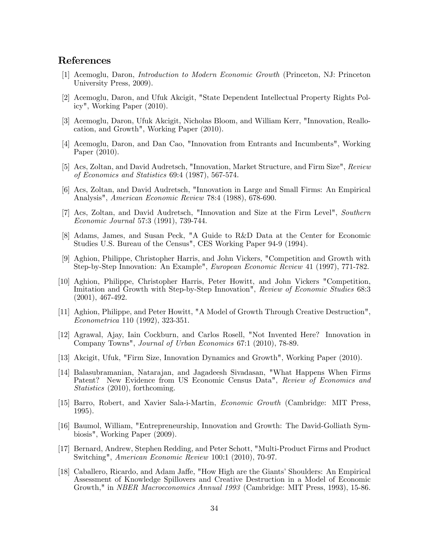# References

- [1] Acemoglu, Daron, Introduction to Modern Economic Growth (Princeton, NJ: Princeton University Press, 2009).
- [2] Acemoglu, Daron, and Ufuk Akcigit, "State Dependent Intellectual Property Rights Policy", Working Paper (2010).
- [3] Acemoglu, Daron, Ufuk Akcigit, Nicholas Bloom, and William Kerr, "Innovation, Reallocation, and Growth", Working Paper (2010).
- [4] Acemoglu, Daron, and Dan Cao, "Innovation from Entrants and Incumbents", Working Paper (2010).
- [5] Acs, Zoltan, and David Audretsch, "Innovation, Market Structure, and Firm Size", Review of Economics and Statistics 69:4 (1987), 567-574.
- [6] Acs, Zoltan, and David Audretsch, "Innovation in Large and Small Firms: An Empirical Analysis", American Economic Review 78:4 (1988), 678-690.
- [7] Acs, Zoltan, and David Audretsch, "Innovation and Size at the Firm Level", Southern Economic Journal 57:3 (1991), 739-744.
- [8] Adams, James, and Susan Peck, "A Guide to R&D Data at the Center for Economic Studies U.S. Bureau of the Census", CES Working Paper 94-9 (1994).
- [9] Aghion, Philippe, Christopher Harris, and John Vickers, "Competition and Growth with Step-by-Step Innovation: An Example", European Economic Review 41 (1997), 771-782.
- [10] Aghion, Philippe, Christopher Harris, Peter Howitt, and John Vickers "Competition, Imitation and Growth with Step-by-Step Innovation", Review of Economic Studies 68:3 (2001), 467-492.
- [11] Aghion, Philippe, and Peter Howitt, "A Model of Growth Through Creative Destruction", Econometrica 110 (1992), 323-351.
- [12] Agrawal, Ajay, Iain Cockburn, and Carlos Rosell, "Not Invented Here? Innovation in Company Towns", Journal of Urban Economics 67:1 (2010), 78-89.
- [13] Akcigit, Ufuk, "Firm Size, Innovation Dynamics and Growth", Working Paper (2010).
- [14] Balasubramanian, Natarajan, and Jagadeesh Sivadasan, "What Happens When Firms Patent? New Evidence from US Economic Census Data", Review of Economics and Statistics (2010), forthcoming.
- [15] Barro, Robert, and Xavier Sala-i-Martin, Economic Growth (Cambridge: MIT Press, 1995).
- [16] Baumol, William, "Entrepreneurship, Innovation and Growth: The David-Golliath Symbiosis", Working Paper (2009).
- [17] Bernard, Andrew, Stephen Redding, and Peter Schott, "Multi-Product Firms and Product Switching", American Economic Review 100:1 (2010), 70-97.
- [18] Caballero, Ricardo, and Adam Jaffe, "How High are the Giants' Shoulders: An Empirical Assessment of Knowledge Spillovers and Creative Destruction in a Model of Economic Growth," in NBER Macroeconomics Annual 1993 (Cambridge: MIT Press, 1993), 15-86.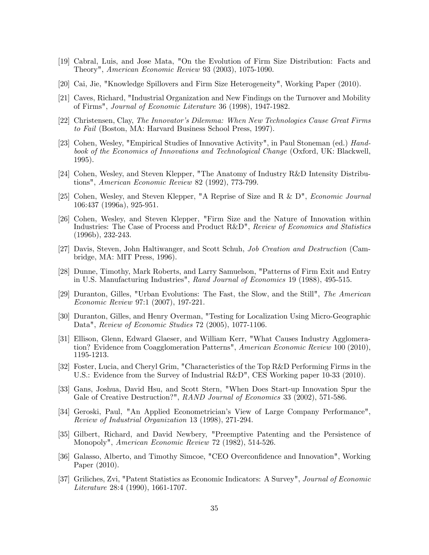- [19] Cabral, Luis, and Jose Mata, "On the Evolution of Firm Size Distribution: Facts and Theory", American Economic Review 93 (2003), 1075-1090.
- [20] Cai, Jie, "Knowledge Spillovers and Firm Size Heterogeneity", Working Paper (2010).
- [21] Caves, Richard, "Industrial Organization and New Findings on the Turnover and Mobility of Firms", Journal of Economic Literature 36 (1998), 1947-1982.
- [22] Christensen, Clay, The Innovator's Dilemma: When New Technologies Cause Great Firms to Fail (Boston, MA: Harvard Business School Press, 1997).
- [23] Cohen, Wesley, "Empirical Studies of Innovative Activity", in Paul Stoneman (ed.) Handbook of the Economics of Innovations and Technological Change (Oxford, UK: Blackwell, 1995).
- [24] Cohen, Wesley, and Steven Klepper, "The Anatomy of Industry R&D Intensity Distributions", American Economic Review 82 (1992), 773-799.
- [25] Cohen, Wesley, and Steven Klepper, "A Reprise of Size and R & D", Economic Journal 106:437 (1996a), 925-951.
- [26] Cohen, Wesley, and Steven Klepper, "Firm Size and the Nature of Innovation within Industries: The Case of Process and Product R&D", Review of Economics and Statistics (1996b), 232-243.
- [27] Davis, Steven, John Haltiwanger, and Scott Schuh, Job Creation and Destruction (Cambridge, MA: MIT Press, 1996).
- [28] Dunne, Timothy, Mark Roberts, and Larry Samuelson, "Patterns of Firm Exit and Entry in U.S. Manufacturing Industries", Rand Journal of Economics 19 (1988), 495-515.
- [29] Duranton, Gilles, "Urban Evolutions: The Fast, the Slow, and the Still", The American Economic Review 97:1 (2007), 197-221.
- [30] Duranton, Gilles, and Henry Overman, "Testing for Localization Using Micro-Geographic Data", Review of Economic Studies 72 (2005), 1077-1106.
- [31] Ellison, Glenn, Edward Glaeser, and William Kerr, "What Causes Industry Agglomeration? Evidence from Coagglomeration Patterns", American Economic Review 100 (2010), 1195-1213.
- [32] Foster, Lucia, and Cheryl Grim, "Characteristics of the Top R&D Performing Firms in the U.S.: Evidence from the Survey of Industrial R&D", CES Working paper 10-33 (2010).
- [33] Gans, Joshua, David Hsu, and Scott Stern, "When Does Start-up Innovation Spur the Gale of Creative Destruction?", RAND Journal of Economics 33 (2002), 571-586.
- [34] Geroski, Paul, "An Applied Econometricianís View of Large Company Performance", Review of Industrial Organization 13 (1998), 271-294.
- [35] Gilbert, Richard, and David Newbery, "Preemptive Patenting and the Persistence of Monopoly", American Economic Review 72 (1982), 514-526.
- [36] Galasso, Alberto, and Timothy Simcoe, "CEO Overconfidence and Innovation", Working Paper (2010).
- [37] Griliches, Zvi, "Patent Statistics as Economic Indicators: A Survey", Journal of Economic Literature 28:4 (1990), 1661-1707.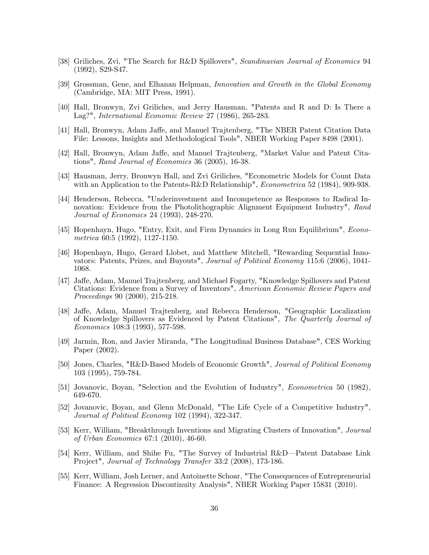- [38] Griliches, Zvi, "The Search for R&D Spillovers", Scandinavian Journal of Economics 94 (1992), S29-S47.
- [39] Grossman, Gene, and Elhanan Helpman, Innovation and Growth in the Global Economy (Cambridge, MA: MIT Press, 1991).
- [40] Hall, Bronwyn, Zvi Griliches, and Jerry Hausman, "Patents and R and D: Is There a Lag?", International Economic Review 27 (1986), 265-283.
- [41] Hall, Bronwyn, Adam Jaffe, and Manuel Trajtenberg, "The NBER Patent Citation Data File: Lessons, Insights and Methodological Tools", NBER Working Paper 8498 (2001).
- [42] Hall, Bronwyn, Adam Jaffe, and Manuel Trajtenberg, "Market Value and Patent Citations", Rand Journal of Economics 36 (2005), 16-38.
- [43] Hausman, Jerry, Bronwyn Hall, and Zvi Griliches, "Econometric Models for Count Data with an Application to the Patents-R&D Relationship", *Econometrica* 52 (1984), 909-938.
- [44] Henderson, Rebecca, "Underinvestment and Incompetence as Responses to Radical Innovation: Evidence from the Photolithographic Alignment Equipment Industry", Rand Journal of Economics 24 (1993), 248-270.
- [45] Hopenhayn, Hugo, "Entry, Exit, and Firm Dynamics in Long Run Equilibrium", Econometrica 60:5 (1992), 1127-1150.
- [46] Hopenhayn, Hugo, Gerard Llobet, and Matthew Mitchell, "Rewarding Sequential Innovators: Patents, Prizes, and Buyouts", Journal of Political Economy 115:6 (2006), 1041- 1068.
- [47] Jaffe, Adam, Manuel Trajtenberg, and Michael Fogarty, "Knowledge Spillovers and Patent Citations: Evidence from a Survey of Inventors", American Economic Review Papers and Proceedings 90 (2000), 215-218.
- [48] Jaffe, Adam, Manuel Trajtenberg, and Rebecca Henderson, "Geographic Localization of Knowledge Spillovers as Evidenced by Patent Citations", The Quarterly Journal of Economics 108:3 (1993), 577-598.
- [49] Jarmin, Ron, and Javier Miranda, "The Longitudinal Business Database", CES Working Paper (2002).
- [50] Jones, Charles, "R&D-Based Models of Economic Growth", Journal of Political Economy 103 (1995), 759-784.
- [51] Jovanovic, Boyan, "Selection and the Evolution of Industry", Econometrica 50 (1982), 649-670.
- [52] Jovanovic, Boyan, and Glenn McDonald, "The Life Cycle of a Competitive Industry", Journal of Political Economy 102 (1994), 322-347.
- [53] Kerr, William, "Breakthrough Inventions and Migrating Clusters of Innovation", Journal of Urban Economics 67:1 (2010), 46-60.
- [54] Kerr, William, and Shihe Fu, "The Survey of Industrial R&D—Patent Database Link Project", Journal of Technology Transfer 33:2 (2008), 173-186.
- [55] Kerr, William, Josh Lerner, and Antoinette Schoar, "The Consequences of Entrepreneurial Finance: A Regression Discontinuity Analysis", NBER Working Paper 15831 (2010).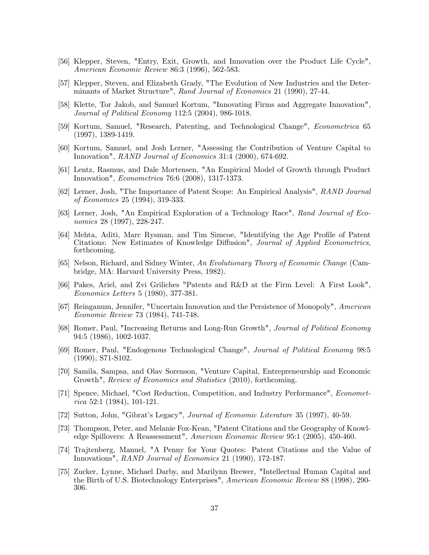- [56] Klepper, Steven, "Entry, Exit, Growth, and Innovation over the Product Life Cycle", American Economic Review 86:3 (1996), 562-583.
- [57] Klepper, Steven, and Elizabeth Grady, "The Evolution of New Industries and the Determinants of Market Structure", Rand Journal of Economics 21 (1990), 27-44.
- [58] Klette, Tor Jakob, and Samuel Kortum, "Innovating Firms and Aggregate Innovation", Journal of Political Economy 112:5 (2004), 986-1018.
- [59] Kortum, Samuel, "Research, Patenting, and Technological Change", Econometrica 65 (1997), 1389-1419.
- [60] Kortum, Samuel, and Josh Lerner, "Assessing the Contribution of Venture Capital to Innovation", RAND Journal of Economics 31:4 (2000), 674-692.
- [61] Lentz, Rasmus, and Dale Mortensen, "An Empirical Model of Growth through Product Innovation", Econometrica 76:6 (2008), 1317-1373.
- [62] Lerner, Josh, "The Importance of Patent Scope: An Empirical Analysis", RAND Journal of Economics 25 (1994), 319-333.
- [63] Lerner, Josh, "An Empirical Exploration of a Technology Race", Rand Journal of Economics 28 (1997), 228-247.
- [64] Mehta, Aditi, Marc Rysman, and Tim Simcoe, "Identifying the Age Profile of Patent Citations: New Estimates of Knowledge Diffusion", Journal of Applied Econometrics, forthcoming.
- [65] Nelson, Richard, and Sidney Winter, An Evolutionary Theory of Economic Change (Cambridge, MA: Harvard University Press, 1982).
- [66] Pakes, Ariel, and Zvi Griliches "Patents and R&D at the Firm Level: A First Look", Economics Letters 5 (1980), 377-381.
- [67] Reinganum, Jennifer, "Uncertain Innovation and the Persistence of Monopoly", American Economic Review 73 (1984), 741-748.
- [68] Romer, Paul, "Increasing Returns and Long-Run Growth", Journal of Political Economy 94:5 (1986), 1002-1037.
- [69] Romer, Paul, "Endogenous Technological Change", Journal of Political Economy 98:5 (1990), S71-S102.
- [70] Samila, Sampsa, and Olav Sorenson, "Venture Capital, Entrepreneurship and Economic Growth", Review of Economics and Statistics (2010), forthcoming.
- [71] Spence, Michael, "Cost Reduction, Competition, and Industry Performance", Economet $rica 52:1 (1984), 101-121.$
- [72] Sutton, John, "Gibrat's Legacy", *Journal of Economic Literature* 35 (1997), 40-59.
- [73] Thompson, Peter, and Melanie Fox-Kean, "Patent Citations and the Geography of Knowledge Spillovers: A Reassessment", American Economic Review 95:1 (2005), 450-460.
- [74] Trajtenberg, Manuel, "A Penny for Your Quotes: Patent Citations and the Value of Innovations", RAND Journal of Economics 21 (1990), 172-187.
- [75] Zucker, Lynne, Michael Darby, and Marilynn Brewer, "Intellectual Human Capital and the Birth of U.S. Biotechnology Enterprises", American Economic Review 88 (1998), 290- 306.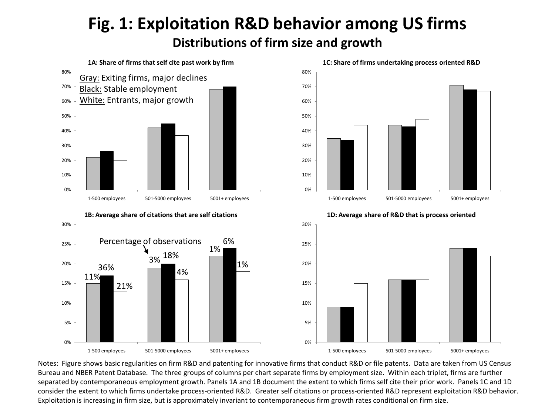# **Fig. 1: Exploitation R&D behavior among US firms Distributions of firm size and growth**



1%

1-500 employees 501-5000 employees 5001+ employees

Notes: Figure shows basic regularities on firm R&D and patenting for innovative firms that conduct R&D or file patents. Data are taken from US Census Bureau and NBER Patent Database. The three groups of columns per chart separate firms by employment size. Within each triplet, firms are further separated by contemporaneous employment growth. Panels 1A and 1B document the extent to which firms self cite their prior work. Panels 1C and 1D consider the extent to which firms undertake process-oriented R&D. Greater self citations or process-oriented R&D represent exploitation R&D behavior. Exploitation is increasing in firm size, but is approximately invariant to contemporaneous firm growth rates conditional on firm size.

0%

5%

10%

15%

20%

0%

1-500 employees 501-5000 employees 5001+ employees

4%

5%

10%

15%

11%

36%

21%

20%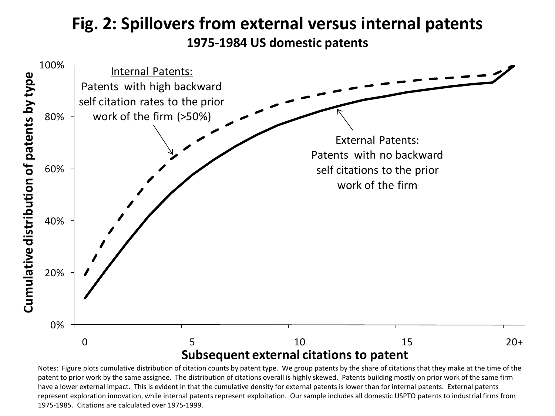## **Fig. 2: Spillovers from external versus internal patents 1975-1984 US domestic patents**



Notes: Figure plots cumulative distribution of citation counts by patent type. We group patents by the share of citations that they make at the time of the patent to prior work by the same assignee. The distribution of citations overall is highly skewed. Patents building mostly on prior work of the same firm have a lower external impact. This is evident in that the cumulative density for external patents is lower than for internal patents. External patents represent exploration innovation, while internal patents represent exploitation. Our sample includes all domestic USPTO patents to industrial firms from 1975-1985. Citations are calculated over 1975-1999.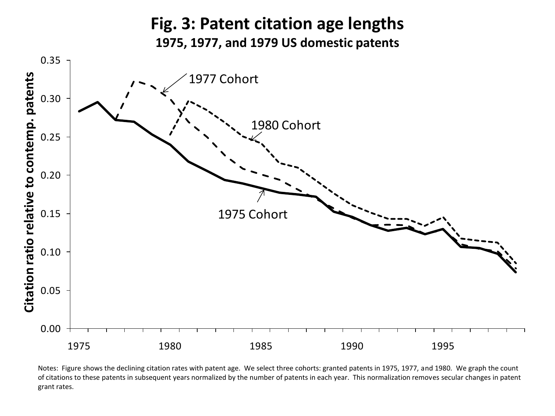

Notes: Figure shows the declining citation rates with patent age. We select three cohorts: granted patents in 1975, 1977, and 1980. We graph the count of citations to these patents in subsequent years normalized by the number of patents in each year. This normalization removes secular changes in patent grant rates.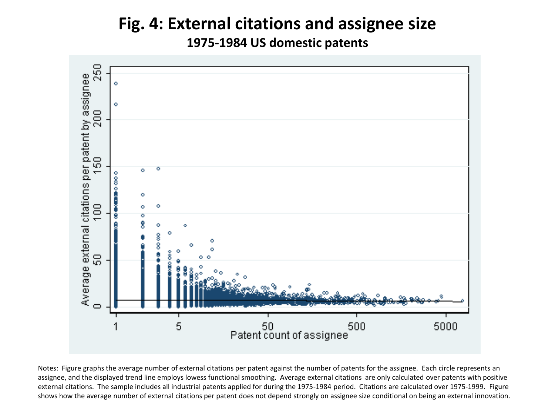# **Fig. 4: External citations and assignee size**

**1975-1984 US domestic patents**



Notes: Figure graphs the average number of external citations per patent against the number of patents for the assignee. Each circle represents an assignee, and the displayed trend line employs lowess functional smoothing. Average external citations are only calculated over patents with positive external citations. The sample includes all industrial patents applied for during the 1975-1984 period. Citations are calculated over 1975-1999. Figure shows how the average number of external citations per patent does not depend strongly on assignee size conditional on being an external innovation.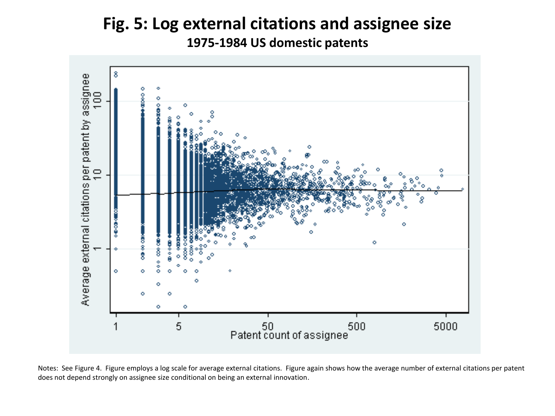# **Fig. 5: Log external citations and assignee size 1975-1984 US domestic patents**



Notes: See Figure 4. Figure employs a log scale for average external citations. Figure again shows how the average number of external citations per patent does not depend strongly on assignee size conditional on being an external innovation.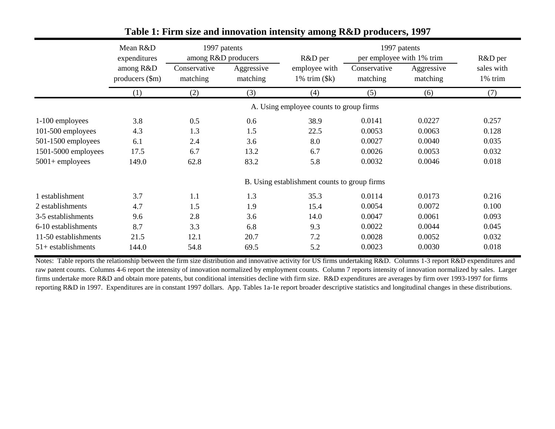|                      | Mean R&D<br>expenditures                | 1997 patents<br>among R&D producers |                        | 1997 patents<br>per employee with 1% trim<br>R&D per |                          |                        | R&D per               |  |  |  |
|----------------------|-----------------------------------------|-------------------------------------|------------------------|------------------------------------------------------|--------------------------|------------------------|-----------------------|--|--|--|
|                      | among R&D<br>producers $(\text{Sm})$    | Conservative<br>matching            | Aggressive<br>matching | employee with<br>$1\%$ trim $(\$k)$                  | Conservative<br>matching | Aggressive<br>matching | sales with<br>1% trim |  |  |  |
|                      | (1)                                     | (2)                                 | (3)                    | (4)                                                  | (5)                      | (6)                    | (7)                   |  |  |  |
|                      | A. Using employee counts to group firms |                                     |                        |                                                      |                          |                        |                       |  |  |  |
| 1-100 employees      | 3.8                                     | 0.5                                 | 0.6                    | 38.9                                                 | 0.0141                   | 0.0227                 | 0.257                 |  |  |  |
| 101-500 employees    | 4.3                                     | 1.3                                 | 1.5                    | 22.5                                                 | 0.0053                   | 0.0063                 | 0.128                 |  |  |  |
| 501-1500 employees   | 6.1                                     | 2.4                                 | 3.6                    | 8.0                                                  | 0.0027                   | 0.0040                 | 0.035                 |  |  |  |
| 1501-5000 employees  | 17.5                                    | 6.7                                 | 13.2                   | 6.7                                                  | 0.0026                   | 0.0053                 | 0.032                 |  |  |  |
| $5001 +$ employees   | 149.0                                   | 62.8                                | 83.2                   | 5.8                                                  | 0.0032                   | 0.0046                 | 0.018                 |  |  |  |
|                      |                                         |                                     |                        | B. Using establishment counts to group firms         |                          |                        |                       |  |  |  |
| 1 establishment      | 3.7                                     | 1.1                                 | 1.3                    | 35.3                                                 | 0.0114                   | 0.0173                 | 0.216                 |  |  |  |
| 2 establishments     | 4.7                                     | 1.5                                 | 1.9                    | 15.4                                                 | 0.0054                   | 0.0072                 | 0.100                 |  |  |  |
| 3-5 establishments   | 9.6                                     | 2.8                                 | 3.6                    | 14.0                                                 | 0.0047                   | 0.0061                 | 0.093                 |  |  |  |
| 6-10 establishments  | 8.7                                     | 3.3                                 | 6.8                    | 9.3                                                  | 0.0022                   | 0.0044                 | 0.045                 |  |  |  |
| 11-50 establishments | 21.5                                    | 12.1                                | 20.7                   | 7.2                                                  | 0.0028                   | 0.0052                 | 0.032                 |  |  |  |
| $51+$ establishments | 144.0                                   | 54.8                                | 69.5                   | 5.2                                                  | 0.0023                   | 0.0030                 | 0.018                 |  |  |  |

## **Table 1: Firm size and innovation intensity among R&D producers, 1997**

Notes: Table reports the relationship between the firm size distribution and innovative activity for US firms undertaking R&D. Columns 1-3 report R&D expenditures and raw patent counts. Columns 4-6 report the intensity of innovation normalized by employment counts. Column 7 reports intensity of innovation normalized by sales. Larger firms undertake more R&D and obtain more patents, but conditional intensities decline with firm size. R&D expenditures are averages by firm over 1993-1997 for firms reporting R&D in 1997. Expenditures are in constant 1997 dollars. App. Tables 1a-1e report broader descriptive statistics and longitudinal changes in these distributions.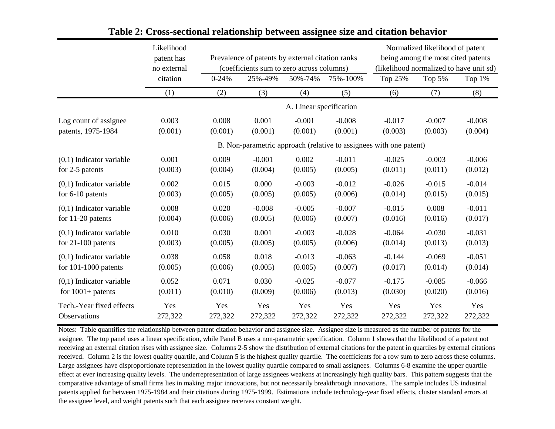|                            | Likelihood<br>patent has<br>no external |           | Prevalence of patents by external citation ranks<br>(coefficients sum to zero across columns) |                         |          | Normalized likelihood of patent<br>being among the most cited patents<br>(likelihood normalized to have unit sd) |          |          |
|----------------------------|-----------------------------------------|-----------|-----------------------------------------------------------------------------------------------|-------------------------|----------|------------------------------------------------------------------------------------------------------------------|----------|----------|
|                            | citation                                | $0 - 24%$ | 25%-49%                                                                                       | 50%-74%                 | 75%-100% | Top 25%                                                                                                          | Top 5%   | Top 1%   |
|                            | (1)                                     | (2)       | (3)                                                                                           | (4)                     | (5)      | (6)                                                                                                              | (7)      | (8)      |
|                            |                                         |           |                                                                                               | A. Linear specification |          |                                                                                                                  |          |          |
| Log count of assignee      | 0.003                                   | 0.008     | 0.001                                                                                         | $-0.001$                | $-0.008$ | $-0.017$                                                                                                         | $-0.007$ | $-0.008$ |
| patents, 1975-1984         | (0.001)                                 | (0.001)   | (0.001)                                                                                       | (0.001)                 | (0.001)  | (0.003)                                                                                                          | (0.003)  | (0.004)  |
|                            |                                         |           |                                                                                               |                         |          | B. Non-parametric approach (relative to assignees with one patent)                                               |          |          |
| $(0,1)$ Indicator variable | 0.001                                   | 0.009     | $-0.001$                                                                                      | 0.002                   | $-0.011$ | $-0.025$                                                                                                         | $-0.003$ | $-0.006$ |
| for 2-5 patents            | (0.003)                                 | (0.004)   | (0.004)                                                                                       | (0.005)                 | (0.005)  | (0.011)                                                                                                          | (0.011)  | (0.012)  |
| $(0,1)$ Indicator variable | 0.002                                   | 0.015     | 0.000                                                                                         | $-0.003$                | $-0.012$ | $-0.026$                                                                                                         | $-0.015$ | $-0.014$ |
| for $6-10$ patents         | (0.003)                                 | (0.005)   | (0.005)                                                                                       | (0.005)                 | (0.006)  | (0.014)                                                                                                          | (0.015)  | (0.015)  |
| $(0,1)$ Indicator variable | 0.008                                   | 0.020     | $-0.008$                                                                                      | $-0.005$                | $-0.007$ | $-0.015$                                                                                                         | 0.008    | $-0.011$ |
| for $11-20$ patents        | (0.004)                                 | (0.006)   | (0.005)                                                                                       | (0.006)                 | (0.007)  | (0.016)                                                                                                          | (0.016)  | (0.017)  |
| $(0,1)$ Indicator variable | 0.010                                   | 0.030     | 0.001                                                                                         | $-0.003$                | $-0.028$ | $-0.064$                                                                                                         | $-0.030$ | $-0.031$ |
| for $21-100$ patents       | (0.003)                                 | (0.005)   | (0.005)                                                                                       | (0.005)                 | (0.006)  | (0.014)                                                                                                          | (0.013)  | (0.013)  |
| $(0,1)$ Indicator variable | 0.038                                   | 0.058     | 0.018                                                                                         | $-0.013$                | $-0.063$ | $-0.144$                                                                                                         | $-0.069$ | $-0.051$ |
| for $101-1000$ patents     | (0.005)                                 | (0.006)   | (0.005)                                                                                       | (0.005)                 | (0.007)  | (0.017)                                                                                                          | (0.014)  | (0.014)  |
| $(0,1)$ Indicator variable | 0.052                                   | 0.071     | 0.030                                                                                         | $-0.025$                | $-0.077$ | $-0.175$                                                                                                         | $-0.085$ | $-0.066$ |
| for $1001+$ patents        | (0.011)                                 | (0.010)   | (0.009)                                                                                       | (0.006)                 | (0.013)  | (0.030)                                                                                                          | (0.020)  | (0.016)  |
| Tech.-Year fixed effects   | Yes                                     | Yes       | Yes                                                                                           | Yes                     | Yes      | Yes                                                                                                              | Yes      | Yes      |
| Observations               | 272,322                                 | 272,322   | 272,322                                                                                       | 272,322                 | 272,322  | 272,322                                                                                                          | 272,322  | 272,322  |

### **Table 2: Cross-sectional relationship between assignee size and citation behavior**

Notes: Table quantifies the relationship between patent citation behavior and assignee size. Assignee size is measured as the number of patents for the assignee. The top panel uses a linear specification, while Panel B uses a non-parametric specification. Column 1 shows that the likelihood of a patent not receiving an external citation rises with assignee size. Columns 2-5 show the distribution of external citations for the patent in quartiles by external citations received. Column 2 is the lowest quality quartile, and Column 5 is the highest quality quartile. The coefficients for a row sum to zero across these columns. Large assignees have disproportionate representation in the lowest quality quartile compared to small assignees. Columns 6-8 examine the upper quartile effect at ever increasing quality levels. The underrepresentation of large assignees weakens at increasingly high quality bars. This pattern suggests that the comparative advantage of small firms lies in making major innovations, but not necessarily breakthrough innovations. The sample includes US industrial patents applied for between 1975-1984 and their citations during 1975-1999. Estimations include technology-year fixed effects, cluster standard errors at the assignee level, and weight patents such that each assignee receives constant weight.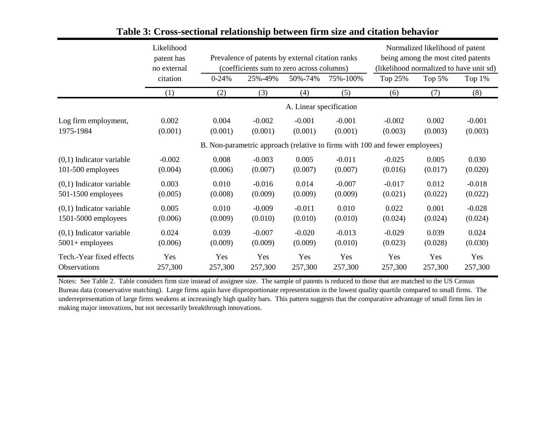|                            | Likelihood<br>patent has<br>no external |           | Prevalence of patents by external citation ranks<br>(coefficients sum to zero across columns) |                         |          | Normalized likelihood of patent<br>being among the most cited patents<br>(likelihood normalized to have unit sd) |          |           |
|----------------------------|-----------------------------------------|-----------|-----------------------------------------------------------------------------------------------|-------------------------|----------|------------------------------------------------------------------------------------------------------------------|----------|-----------|
|                            | citation                                | $0 - 24%$ | 25%-49%                                                                                       | 50%-74%                 | 75%-100% | Top 25%                                                                                                          | Top $5%$ | Top $1\%$ |
|                            | (1)                                     | (2)       | (3)                                                                                           | (4)                     | (5)      | (6)                                                                                                              | (7)      | (8)       |
|                            |                                         |           |                                                                                               | A. Linear specification |          |                                                                                                                  |          |           |
| Log firm employment,       | 0.002                                   | 0.004     | $-0.002$                                                                                      | $-0.001$                | $-0.001$ | $-0.002$                                                                                                         | 0.002    | $-0.001$  |
| 1975-1984                  | (0.001)                                 | (0.001)   | (0.001)                                                                                       | (0.001)                 | (0.001)  | (0.003)                                                                                                          | (0.003)  | (0.003)   |
|                            |                                         |           |                                                                                               |                         |          | B. Non-parametric approach (relative to firms with 100 and fewer employees)                                      |          |           |
| $(0,1)$ Indicator variable | $-0.002$                                | 0.008     | $-0.003$                                                                                      | 0.005                   | $-0.011$ | $-0.025$                                                                                                         | 0.005    | 0.030     |
| 101-500 employees          | (0.004)                                 | (0.006)   | (0.007)                                                                                       | (0.007)                 | (0.007)  | (0.016)                                                                                                          | (0.017)  | (0.020)   |
| $(0,1)$ Indicator variable | 0.003                                   | 0.010     | $-0.016$                                                                                      | 0.014                   | $-0.007$ | $-0.017$                                                                                                         | 0.012    | $-0.018$  |
| $501-1500$ employees       | (0.005)                                 | (0.008)   | (0.009)                                                                                       | (0.009)                 | (0.009)  | (0.021)                                                                                                          | (0.022)  | (0.022)   |
| $(0,1)$ Indicator variable | 0.005                                   | 0.010     | $-0.009$                                                                                      | $-0.011$                | 0.010    | 0.022                                                                                                            | 0.001    | $-0.028$  |
| 1501-5000 employees        | (0.006)                                 | (0.009)   | (0.010)                                                                                       | (0.010)                 | (0.010)  | (0.024)                                                                                                          | (0.024)  | (0.024)   |
| $(0,1)$ Indicator variable | 0.024                                   | 0.039     | $-0.007$                                                                                      | $-0.020$                | $-0.013$ | $-0.029$                                                                                                         | 0.039    | 0.024     |
| $5001 +$ employees         | (0.006)                                 | (0.009)   | (0.009)                                                                                       | (0.009)                 | (0.010)  | (0.023)                                                                                                          | (0.028)  | (0.030)   |
| Tech.-Year fixed effects   | Yes                                     | Yes       | Yes                                                                                           | Yes                     | Yes      | Yes                                                                                                              | Yes      | Yes       |
| Observations               | 257,300                                 | 257,300   | 257,300                                                                                       | 257,300                 | 257,300  | 257,300                                                                                                          | 257,300  | 257,300   |

## **Table 3: Cross-sectional relationship between firm size and citation behavior**

Notes: See Table 2. Table considers firm size instead of assignee size. The sample of patents is reduced to those that are matched to the US Census Bureau data (conservative matching). Large firms again have disproportionate representation in the lowest quality quartile compared to small firms. The underrepresentation of large firms weakens at increasingly high quality bars. This pattern suggests that the comparative advantage of small firms lies in making major innovations, but not necessarily breakthrough innovations.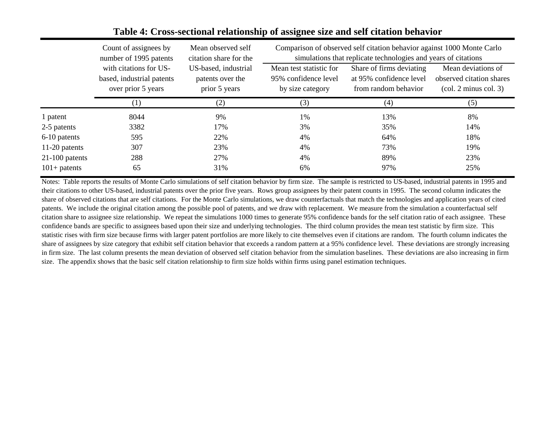|                  | Comparison of observed self citation behavior against 1000 Monte Carlo<br>Count of assignees by<br>Mean observed self |                        |                         |                                                                |                                                     |  |  |
|------------------|-----------------------------------------------------------------------------------------------------------------------|------------------------|-------------------------|----------------------------------------------------------------|-----------------------------------------------------|--|--|
|                  | number of 1995 patents                                                                                                | citation share for the |                         | simulations that replicate technologies and years of citations |                                                     |  |  |
|                  | with citations for US-                                                                                                | US-based, industrial   | Mean test statistic for | Share of firms deviating                                       | Mean deviations of                                  |  |  |
|                  | based, industrial patents                                                                                             | patents over the       | 95% confidence level    | at 95% confidence level                                        | observed citation shares                            |  |  |
|                  | over prior 5 years                                                                                                    | prior 5 years          | by size category        | from random behavior                                           | $\left(\text{col. } 2 \text{ minus col. } 3\right)$ |  |  |
|                  | (1)                                                                                                                   | (2)                    | (3)                     | (4)                                                            | (5)                                                 |  |  |
| 1 patent         | 8044                                                                                                                  | 9%                     | $1\%$                   | 13%                                                            | 8%                                                  |  |  |
| 2-5 patents      | 3382                                                                                                                  | 17%                    | 3%                      | 35%                                                            | 14%                                                 |  |  |
| 6-10 patents     | 595                                                                                                                   | 22%                    | 4%                      | 64%                                                            | 18%                                                 |  |  |
| 11-20 patents    | 307                                                                                                                   | 23%                    | 4%                      | 73%                                                            | 19%                                                 |  |  |
| $21-100$ patents | 288                                                                                                                   | 27%                    | 4%                      | 89%                                                            | 23%                                                 |  |  |
| $101+$ patents   | 65                                                                                                                    | 31%                    | 6%                      | 97%                                                            | 25%                                                 |  |  |

## **Table 4: Cross-sectional relationship of assignee size and self citation behavior**

Notes: Table reports the results of Monte Carlo simulations of self citation behavior by firm size. The sample is restricted to US-based, industrial patents in 1995 and their citations to other US-based, industrial patents over the prior five years. Rows group assignees by their patent counts in 1995. The second column indicates the share of observed citations that are self citations. For the Monte Carlo simulations, we draw counterfactuals that match the technologies and application years of cited patents. We include the original citation among the possible pool of patents, and we draw with replacement. We measure from the simulation a counterfactual self citation share to assignee size relationship. We repeat the simulations 1000 times to generate 95% confidence bands for the self citation ratio of each assignee. These confidence bands are specific to assignees based upon their size and underlying technologies. The third column provides the mean test statistic by firm size. This statistic rises with firm size because firms with larger patent portfolios are more likely to cite themselves even if citations are random. The fourth column indicates the share of assignees by size category that exhibit self citation behavior that exceeds a random pattern at a 95% confidence level. These deviations are strongly increasing in firm size. The last column presents the mean deviation of observed self citation behavior from the simulation baselines. These deviations are also increasing in firm size. The appendix shows that the basic self citation relationship to firm size holds within firms using panel estimation techniques.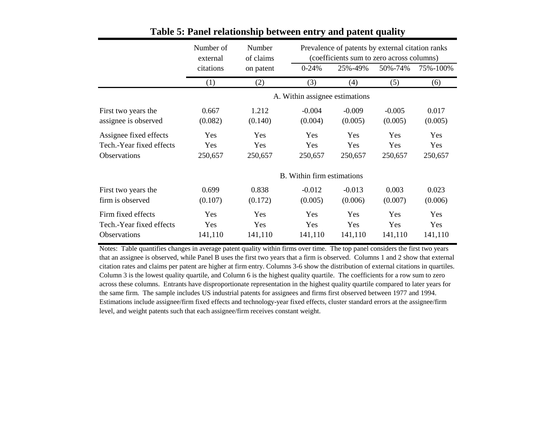|                                                                           | Number of<br>external | Number<br>of claims   |                                | Prevalence of patents by external citation ranks<br>(coefficients sum to zero across columns) |                       |                              |  |
|---------------------------------------------------------------------------|-----------------------|-----------------------|--------------------------------|-----------------------------------------------------------------------------------------------|-----------------------|------------------------------|--|
|                                                                           | citations             | on patent             | $0 - 24%$                      | 25%-49%                                                                                       | 50%-74%               | 75%-100%                     |  |
|                                                                           | (1)                   | (2)                   | (3)                            | (4)                                                                                           | (5)                   | (6)                          |  |
|                                                                           |                       |                       | A. Within assignee estimations |                                                                                               |                       |                              |  |
| First two years the<br>assignee is observed                               | 0.667<br>(0.082)      | 1.212<br>(0.140)      | $-0.004$<br>(0.004)            | $-0.009$<br>(0.005)                                                                           | $-0.005$<br>(0.005)   | 0.017<br>(0.005)             |  |
| Assignee fixed effects<br>Tech.-Year fixed effects<br><b>Observations</b> | Yes<br>Yes<br>250,657 | Yes<br>Yes<br>250,657 | Yes<br>Yes<br>250,657          | Yes<br>Yes<br>250,657                                                                         | Yes<br>Yes<br>250,657 | Yes<br><b>Yes</b><br>250,657 |  |
|                                                                           |                       |                       | B. Within firm estimations     |                                                                                               |                       |                              |  |
| First two years the<br>firm is observed                                   | 0.699<br>(0.107)      | 0.838<br>(0.172)      | $-0.012$<br>(0.005)            | $-0.013$<br>(0.006)                                                                           | 0.003<br>(0.007)      | 0.023<br>(0.006)             |  |
| Firm fixed effects<br>Tech.-Year fixed effects<br>Observations            | Yes<br>Yes<br>141,110 | Yes<br>Yes<br>141,110 | Yes<br>Yes<br>141,110          | Yes<br>Yes<br>141,110                                                                         | Yes<br>Yes<br>141,110 | Yes<br>Yes<br>141,110        |  |

## **Table 5: Panel relationship between entry and patent quality**

Notes: Table quantifies changes in average patent quality within firms over time. The top panel considers the first two years that an assignee is observed, while Panel B uses the first two years that a firm is observed. Columns 1 and 2 show that external citation rates and claims per patent are higher at firm entry. Columns 3-6 show the distribution of external citations in quartiles. Column 3 is the lowest quality quartile, and Column 6 is the highest quality quartile. The coefficients for a row sum to zero across these columns. Entrants have disproportionate representation in the highest quality quartile compared to later years for the same firm. The sample includes US industrial patents for assignees and firms first observed between 1977 and 1994. Estimations include assignee/firm fixed effects and technology-year fixed effects, cluster standard errors at the assignee/firm level, and weight patents such that each assignee/firm receives constant weight.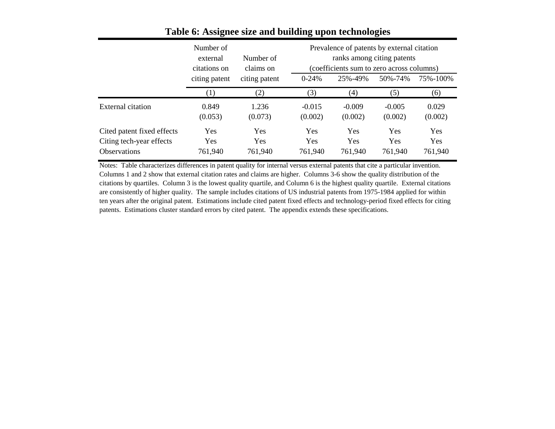|                                                                               | Number of<br>external<br>citations on | Number of<br>claims on | Prevalence of patents by external citation<br>ranks among citing patents<br>(coefficients sum to zero across columns) |                                     |                       |                              |  |
|-------------------------------------------------------------------------------|---------------------------------------|------------------------|-----------------------------------------------------------------------------------------------------------------------|-------------------------------------|-----------------------|------------------------------|--|
|                                                                               | citing patent                         | citing patent          | $0 - 24%$                                                                                                             | 25%-49%                             | 50%-74%               | 75%-100%                     |  |
|                                                                               | T                                     | (2)                    | (3)                                                                                                                   | (4)                                 | (5)                   | (6)                          |  |
| External citation                                                             | 0.849<br>(0.053)                      | 1.236<br>(0.073)       | $-0.015$<br>(0.002)                                                                                                   | $-0.009$<br>(0.002)                 | $-0.005$<br>(0.002)   | 0.029<br>(0.002)             |  |
| Cited patent fixed effects<br>Citing tech-year effects<br><b>Observations</b> | Yes<br>Yes<br>761,940                 | Yes<br>Yes<br>761,940  | <b>Yes</b><br><b>Yes</b><br>761,940                                                                                   | <b>Yes</b><br><b>Yes</b><br>761,940 | Yes<br>Yes<br>761,940 | Yes<br><b>Yes</b><br>761,940 |  |

## **Table 6: Assignee size and building upon technologies**

Notes: Table characterizes differences in patent quality for internal versus external patents that cite a particular invention. Columns 1 and 2 show that external citation rates and claims are higher. Columns 3-6 show the quality distribution of the citations by quartiles. Column 3 is the lowest quality quartile, and Column 6 is the highest quality quartile. External citations are consistently of higher quality. The sample includes citations of US industrial patents from 1975-1984 applied for within ten years after the original patent. Estimations include cited patent fixed effects and technology-period fixed effects for citing patents. Estimations cluster standard errors by cited patent. The appendix extends these specifications.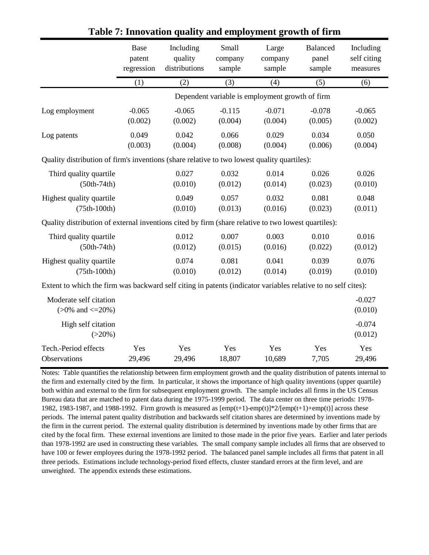|                                                                                                               | Base       | Including     | Small    | Large                                           | Balanced | Including           |
|---------------------------------------------------------------------------------------------------------------|------------|---------------|----------|-------------------------------------------------|----------|---------------------|
|                                                                                                               | patent     | quality       | company  | company                                         | panel    | self citing         |
|                                                                                                               | regression | distributions | sample   | sample                                          | sample   | measures            |
|                                                                                                               | (1)        | (2)           | (3)      | (4)                                             | (5)      | (6)                 |
|                                                                                                               |            |               |          | Dependent variable is employment growth of firm |          |                     |
| Log employment                                                                                                | $-0.065$   | $-0.065$      | $-0.115$ | $-0.071$                                        | $-0.078$ | $-0.065$            |
|                                                                                                               | (0.002)    | (0.002)       | (0.004)  | (0.004)                                         | (0.005)  | (0.002)             |
| Log patents                                                                                                   | 0.049      | 0.042         | 0.066    | 0.029                                           | 0.034    | 0.050               |
|                                                                                                               | (0.003)    | (0.004)       | (0.008)  | (0.004)                                         | (0.006)  | (0.004)             |
| Quality distribution of firm's inventions (share relative to two lowest quality quartiles):                   |            |               |          |                                                 |          |                     |
| Third quality quartile                                                                                        |            | 0.027         | 0.032    | 0.014                                           | 0.026    | 0.026               |
| $(50th-74th)$                                                                                                 |            | (0.010)       | (0.012)  | (0.014)                                         | (0.023)  | (0.010)             |
| Highest quality quartile                                                                                      |            | 0.049         | 0.057    | 0.032                                           | 0.081    | 0.048               |
| $(75th-100th)$                                                                                                |            | (0.010)       | (0.013)  | (0.016)                                         | (0.023)  | (0.011)             |
| Quality distribution of external inventions cited by firm (share relative to two lowest quartiles):           |            |               |          |                                                 |          |                     |
| Third quality quartile                                                                                        |            | 0.012         | 0.007    | 0.003                                           | 0.010    | 0.016               |
| $(50th-74th)$                                                                                                 |            | (0.012)       | (0.015)  | (0.016)                                         | (0.022)  | (0.012)             |
| Highest quality quartile                                                                                      |            | 0.074         | 0.081    | 0.041                                           | 0.039    | 0.076               |
| $(75th-100th)$                                                                                                |            | (0.010)       | (0.012)  | (0.014)                                         | (0.019)  | (0.010)             |
| Extent to which the firm was backward self citing in patents (indicator variables relative to no self cites): |            |               |          |                                                 |          |                     |
| Moderate self citation<br>$(>0\%$ and $\leq$ 20%)                                                             |            |               |          |                                                 |          | $-0.027$<br>(0.010) |
| High self citation<br>$(>20\%)$                                                                               |            |               |          |                                                 |          | $-0.074$<br>(0.012) |
| Tech.-Period effects                                                                                          | Yes        | Yes           | Yes      | Yes                                             | Yes      | Yes                 |
| Observations                                                                                                  | 29,496     | 29,496        | 18,807   | 10,689                                          | 7,705    | 29,496              |

## **Table 7: Innovation quality and employment growth of firm**

Notes: Table quantifies the relationship between firm employment growth and the quality distribution of patents internal to the firm and externally cited by the firm. In particular, it shows the importance of high quality inventions (upper quartile) both within and external to the firm for subsequent employment growth. The sample includes all firms in the US Census Bureau data that are matched to patent data during the 1975-1999 period. The data center on three time periods: 1978- 1982, 1983-1987, and 1988-1992. Firm growth is measured as  $[emp(t+1)-emp(t)]^{*2}/[emp(t+1)+emp(t)]$  across these periods. The internal patent quality distribution and backwards self citation shares are determined by inventions made by the firm in the current period. The external quality distribution is determined by inventions made by other firms that are cited by the focal firm. These external inventions are limited to those made in the prior five years. Earlier and later periods than 1978-1992 are used in constructing these variables. The small company sample includes all firms that are observed to have 100 or fewer employees during the 1978-1992 period. The balanced panel sample includes all firms that patent in all three periods. Estimations include technology-period fixed effects, cluster standard errors at the firm level, and are unweighted. The appendix extends these estimations.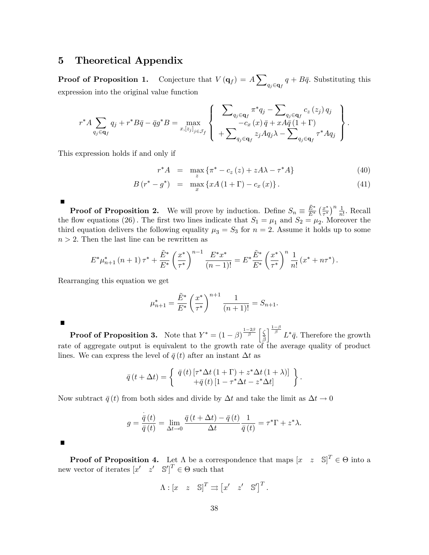### 5 Theoretical Appendix

**Proof of Proposition 1.** Conjecture that  $V(\mathbf{q}_f) = A \sum$  $q_j \in \mathbf{q}_f$  $q + B\bar{q}$ . Substituting this expression into the original value function

$$
r^*A \sum_{q_j \in \mathbf{q}_f} q_j + r^*B\bar{q} - \bar{q}g^*B = \max_{x, [z_j]_{j \in \mathcal{J}_f}} \left\{ \begin{array}{l} \sum_{q_j \in \mathbf{q}_f} \pi^*q_j - \sum_{q_j \in \mathbf{q}_f} c_z(z_j) q_j \\ -c_x(x)\bar{q} + xA\bar{q}(1+\Gamma) \\ + \sum_{q_j \in \mathbf{q}_f} z_j Aq_j \lambda - \sum_{q_j \in \mathbf{q}_f} \tau^*Aq_j \end{array} \right\}.
$$

This expression holds if and only if

$$
r^*A = \max_{z} \{ \pi^* - c_z(z) + zA\lambda - \tau^*A \}
$$
 (40)

$$
B(r^* - g^*) = \max_x \{ xA(1+\Gamma) - c_x(x) \}.
$$
 (41)

**Proof of Proposition 2.** We will prove by induction. Define  $S_n \equiv \frac{\tilde{E}^*}{E^*}$  $\frac{\tilde{E}^*}{E^*} \left(\frac{x^*}{\tau^*}\right)^n \frac{1}{n!}$ . Recall the flow equations (26). The first two lines indicate that  $S_1 = \mu_1$  and  $S_2 = \mu_2$ . Moreover the third equation delivers the following equality  $\mu_3 = S_3$  for  $n = 2$ . Assume it holds up to some  $n > 2$ . Then the last line can be rewritten as

$$
E^* \mu_{n+1}^* (n+1) \tau^* + \frac{\tilde{E}^*}{E^*} \left(\frac{x^*}{\tau^*}\right)^{n-1} \frac{E^* x^*}{(n-1)!} = E^* \frac{\tilde{E}^*}{E^*} \left(\frac{x^*}{\tau^*}\right)^n \frac{1}{n!} \left(x^* + n\tau^*\right).
$$

Rearranging this equation we get

$$
\mu_{n+1}^* = \frac{\tilde{E}^*}{E^*} \left(\frac{x^*}{\tau^*}\right)^{n+1} \frac{1}{(n+1)!} = S_{n+1}.
$$

П

 $\blacksquare$ 

**Proof of Proposition 3.** Note that  $Y^* = (1 - \beta)^{\frac{1-2\beta}{\beta}} \begin{bmatrix} \frac{\zeta}{\beta} \end{bmatrix}$  $\tilde{\tilde{\beta}}$  $\int_{0}^{\frac{1-\beta}{\beta}} L^* \bar{q}$ . Therefore the growth rate of aggregate output is equivalent to the growth rate of the average quality of product lines. We can express the level of  $\bar{q}(t)$  after an instant  $\Delta t$  as

$$
\bar{q}(t+\Delta t) = \begin{cases} \bar{q}(t) \left[ \tau^* \Delta t (1+\Gamma) + z^* \Delta t (1+\lambda) \right] \\ + \bar{q}(t) \left[ 1 - \tau^* \Delta t - z^* \Delta t \right] \end{cases}.
$$

Now subtract  $\bar{q}(t)$  from both sides and divide by  $\Delta t$  and take the limit as  $\Delta t \to 0$ 

$$
g = \frac{\dot{\overline{q}}(t)}{\overline{q}(t)} = \lim_{\Delta t \to 0} \frac{\overline{q}(t + \Delta t) - \overline{q}(t)}{\Delta t} \frac{1}{\overline{q}(t)} = \tau^* \Gamma + z^* \lambda.
$$

 $\blacksquare$ 

**Proof of Proposition 4.** Let  $\Lambda$  be a correspondence that maps  $[x \ z \ S]^T \in \Theta$  into a new vector of iterates  $[x' \quad z' \quad \mathbb{S}']^T \in \Theta$  such that

$$
\Lambda : [x \ z \ S]^T \rightrightarrows [x' \ z' \ S']^T
$$

: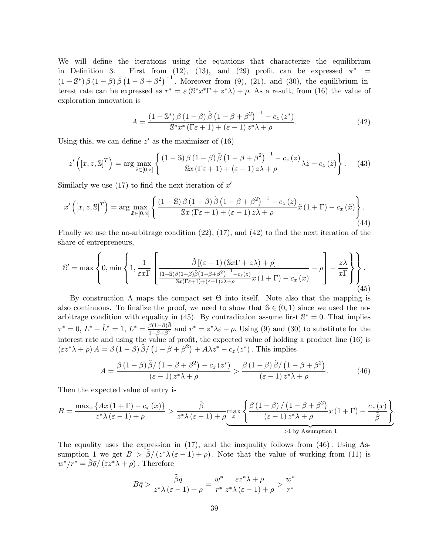We will define the iterations using the equations that characterize the equilibrium in Definition 3. First from (12), (13), and (29) profit can be expressed  $\pi^*$  =  $(1-\mathbb{S}^*)\,\beta\,(1-\beta)\,\tilde{\beta}\,(1-\beta+\beta^2)^{-1}$ . Moreover from (9), (21), and (30), the equilibrium interest rate can be expressed as  $r^* = \varepsilon (S^* x^* \Gamma + z^* \lambda) + \rho$ . As a result, from (16) the value of exploration innovation is

$$
A = \frac{\left(1 - \mathbb{S}^*\right)\beta\left(1 - \beta\right)\tilde{\beta}\left(1 - \beta + \beta^2\right)^{-1} - c_z\left(z^*\right)}{\mathbb{S}^*x^*\left(\Gamma\varepsilon + 1\right) + \left(\varepsilon - 1\right)z^*\lambda + \rho}.\tag{42}
$$

Using this, we can define  $z'$  as the maximizer of  $(16)$ 

$$
z'\left([x,z,\mathbb{S}]^T\right) = \arg\max_{\tilde{z}\in[0,\tilde{z}]} \left\{ \frac{\left(1-\mathbb{S}\right)\beta\left(1-\beta\right)\tilde{\beta}\left(1-\beta+\beta^2\right)^{-1} - c_z\left(z\right)}{\mathbb{S}x\left(\Gamma\varepsilon+1\right) + \left(\varepsilon-1\right)z\lambda + \rho} \lambda\tilde{z} - c_z\left(\tilde{z}\right) \right\}.
$$
 (43)

Similarly we use  $(17)$  to find the next iteration of  $x'$ 

$$
x'\left([x,z,\mathbb{S}]^T\right) = \arg\max_{\tilde{x}\in[0,\bar{x}]} \left\{ \frac{(1-\mathbb{S})\,\beta\,(1-\beta)\,\tilde{\beta}\left(1-\beta+\beta^2\right)^{-1} - c_z\left(z\right)}{\mathbb{S}x\left(\Gamma\varepsilon+1\right) + \left(\varepsilon-1\right)z\lambda + \rho} \tilde{x}\left(1+\Gamma\right) - c_x\left(\tilde{x}\right) \right\}.\tag{44}
$$

Finally we use the no-arbitrage condition  $(22)$ ,  $(17)$ , and  $(42)$  to find the next iteration of the share of entrepreneurs,

$$
\mathbb{S}' = \max \left\{ 0, \min \left\{ 1, \frac{1}{\varepsilon x \Gamma} \left[ \frac{\tilde{\beta} \left[ (\varepsilon - 1) \left( \mathbb{S} x \Gamma + z \lambda \right) + \rho \right]}{\frac{(1 - \mathbb{S}) \beta (1 - \beta) \tilde{\beta} (1 - \beta + \beta^2)^{-1} - c_z(z)}{\mathbb{S} x (\Gamma \varepsilon + 1) + (\varepsilon - 1) z \lambda + \rho} x (1 + \Gamma) - c_x(x)} - \rho \right] - \frac{z \lambda}{x \Gamma} \right\} \right\}.
$$
\n(45)

By construction  $\Lambda$  maps the compact set  $\Theta$  into itself. Note also that the mapping is also continuous. To finalize the proof, we need to show that  $\mathcal{S} \in (0, 1)$  since we used the noarbitrage condition with equality in (45). By contradiction assume first  $\mathbb{S}^* = 0$ . That implies  $\tau^* = 0, L^* + \tilde{L}^* = 1, L^* = \frac{\beta(1-\beta)\tilde{\beta}}{1-\beta+\beta^2}$  $\frac{\rho(1-\rho)\rho}{1-\beta+\beta^2}$  and  $r^* = z^*\lambda \varepsilon + \rho$ . Using (9) and (30) to substitute for the interest rate and using the value of profit, the expected value of holding a product line  $(16)$  is  $(zz^*\lambda + \rho) A = \beta (1 - \beta) \tilde{\beta} / (1 - \beta + \beta^2) + A\lambda z^* - c_z (z^*)$ . This implies

$$
A = \frac{\beta (1 - \beta) \tilde{\beta} / (1 - \beta + \beta^2) - c_z (z^*)}{(\varepsilon - 1) z^* \lambda + \rho} > \frac{\beta (1 - \beta) \tilde{\beta} / (1 - \beta + \beta^2)}{(\varepsilon - 1) z^* \lambda + \rho}.
$$
 (46)

Then the expected value of entry is

$$
B = \frac{\max_x \{Ax(1+\Gamma) - c_x(x)\}}{z^*\lambda(\varepsilon - 1) + \rho} > \frac{\tilde{\beta}}{z^*\lambda(\varepsilon - 1) + \rho}\max_x \left\{\frac{\beta(1-\beta)/(1-\beta+\beta^2)}{(\varepsilon - 1)z^*\lambda + \rho}x(1+\Gamma) - \frac{c_x(x)}{\tilde{\beta}}\right\}}{>1 \text{ by Assumption 1}}.
$$

The equality uses the expression in  $(17)$ , and the inequality follows from  $(46)$ . Using Assumption 1 we get  $B > \tilde{\beta}/(z^*\lambda(\varepsilon-1)+\rho)$ . Note that the value of working from (11) is  $w^*/r^* = \tilde{\beta}\bar{q}/(\varepsilon z^*\lambda + \rho)$ . Therefore

$$
B\bar{q} > \frac{\tilde{\beta}\bar{q}}{z^*\lambda(\varepsilon - 1) + \rho} = \frac{w^*}{r^*} \frac{\varepsilon z^*\lambda + \rho}{z^*\lambda(\varepsilon - 1) + \rho} > \frac{w^*}{r^*}
$$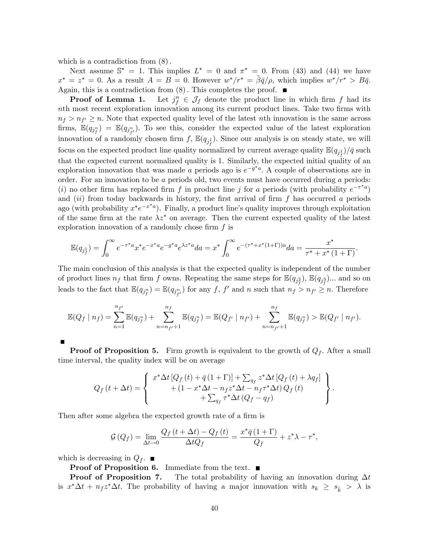which is a contradiction from  $(8)$ .

Next assume  $\mathbb{S}^* = 1$ . This implies  $L^* = 0$  and  $\pi^* = 0$ . From (43) and (44) we have  $x^* = z^* = 0$ . As a result  $A = B = 0$ . However  $w^*/r^* = \tilde{\beta}\bar{q}/\rho$ , which implies  $w^*/r^* > B\bar{q}$ . Again, this is a contradiction from  $(8)$ . This completes the proof.  $\blacksquare$ 

Proof of Lemma 1.  $f \in \mathcal{J}_f$  denote the product line in which firm f had its nth most recent exploration innovation among its current product lines. Take two firms with  $n_f > n_{f'} \geq n$ . Note that expected quality level of the latest *n*th innovation is the same across firms,  $\mathbb{E}(q_{j^n_f}) = \mathbb{E}(q_{j^n_{f'}})$ . To see this, consider the expected value of the latest exploration innovation of a randomly chosen firm  $f$ ,  $\mathbb{E}(q_{j_i^1})$ . Since our analysis is on steady state, we will focus on the expected product line quality normalized by current average quality  $\mathbb{E}(q_{j^1_f})/\bar{q}$  such that the expected current normalized quality is 1. Similarly, the expected initial quality of an exploration innovation that was made a periods ago is  $e^{-g^*a}$ . A couple of observations are in order. For an innovation to be  $a$  periods old, two events must have occurred during  $a$  periods: (i) no other firm has replaced firm f in product line j for a periods (with probability  $e^{-\tau^* a}$ ) and  $(ii)$  from today backwards in history, the first arrival of firm f has occurred a periods ago (with probability  $x^*e^{-x^*a}$ ). Finally, a product line's quality improves through exploitation of the same firm at the rate  $\lambda z^*$  on average. Then the current expected quality of the latest exploration innovation of a randomly chose firm  $f$  is

$$
\mathbb{E}(q_{j_f^1}) = \int_0^\infty e^{-\tau^* a} x^* e^{-x^* a} e^{-g^* a} e^{\lambda z^* a} da = x^* \int_0^\infty e^{-(\tau^* + x^* (1+\Gamma)) a} da = \frac{x^*}{\tau^* + x^* (1+\Gamma)}.
$$

The main conclusion of this analysis is that the expected quality is independent of the number of product lines  $n_f$  that firm f owns. Repeating the same steps for  $\mathbb{E}(q_{j_f^2}), \mathbb{E}(q_{j_f^3})...$  and so on leads to the fact that  $\mathbb{E}(q_{j_p^n}) = \mathbb{E}(q_{j_{f'}^n})$  for any f, f' and n such that  $n_f > n_{f'} \ge n$ . Therefore

$$
\mathbb{E}(Q_f | n_f) = \sum_{n=1}^{n_{f'}} \mathbb{E}(q_{j_f^n}) + \sum_{n=n_{f'}+1}^{n_f} \mathbb{E}(q_{j_f^n}) = \mathbb{E}(Q_{f'} | n_{f'}) + \sum_{n=n_{f'}+1}^{n_f} \mathbb{E}(q_{j_f^n}) > \mathbb{E}(Q_{f'} | n_{f'}).
$$

**Proof of Proposition 5.** Firm growth is equivalent to the growth of  $Q_f$ . After a small time interval, the quality index will be on average

$$
Q_f(t + \Delta t) = \begin{cases} x^* \Delta t \left[ Q_f(t) + \bar{q} (1 + \Gamma) \right] + \sum_{q_f} z^* \Delta t \left[ Q_f(t) + \lambda q_f \right] \\ + \left( 1 - x^* \Delta t - n_f z^* \Delta t - n_f \tau^* \Delta t \right) Q_f(t) \\ + \sum_{q_f} \tau^* \Delta t \left( Q_f - q_f \right) \end{cases}.
$$

Then after some algebra the expected growth rate of a firm is

$$
\mathcal{G}\left(Q_{f}\right) = \lim_{\Delta t \to 0} \frac{Q_{f}\left(t + \Delta t\right) - Q_{f}\left(t\right)}{\Delta t Q_{f}} = \frac{x^{*} \bar{q}\left(1 + \Gamma\right)}{Q_{f}} + z^{*} \lambda - \tau^{*},
$$

which is decreasing in  $Q_f$ .

**Proof of Proposition 6.** Immediate from the text.  $\blacksquare$ 

**Proof of Proposition 7.** The total probability of having an innovation during  $\Delta t$ is  $x^*\Delta t + n_f z^*\Delta t$ . The probability of having a major innovation with  $s_k \geq s_{\hat{k}} > \lambda$  is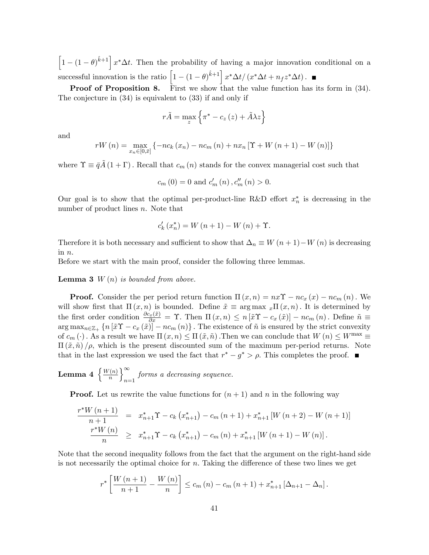$\left[1 - (1 - \theta)^{\hat{k}+1}\right] x^* \Delta t$ . Then the probability of having a major innovation conditional on a successful innovation is the ratio  $\left[1 - (1 - \theta)^{\hat{k}+1}\right] x^* \Delta t / (x^* \Delta t + n_f z^* \Delta t)$ .

Proof of Proposition 8. First we show that the value function has its form in  $(34)$ . The conjecture in (34) is equivalent to (33) if and only if

$$
r\tilde{A} = \max_{z} \left\{ \pi^* - c_z \left( z \right) + \tilde{A} \lambda z \right\}
$$

and

$$
rW(n) = \max_{x_n \in [0,\bar{x}]} \{-nc_k(x_n) - nc_m(n) + nx_n \,[\Upsilon + W(n+1) - W(n)]\}
$$

where  $\Upsilon \equiv \bar{q}A(1 + \Gamma)$ . Recall that  $c_m(n)$  stands for the convex managerial cost such that

$$
c_m(0) = 0
$$
 and  $c'_m(n), c''_m(n) > 0$ .

Our goal is to show that the optimal per-product-line R&D effort  $x_n^*$  is decreasing in the number of product lines *n*. Note that

$$
c'_{k}(x_{n}^{*}) = W(n+1) - W(n) + \Upsilon.
$$

Therefore it is both necessary and sufficient to show that  $\Delta_n \equiv W(n + 1) - W(n)$  is decreasing in n:

Before we start with the main proof, consider the following three lemmas.

**Lemma 3**  $W(n)$  is bounded from above.

**Proof.** Consider the per period return function  $\Pi(x, n) = nx\Upsilon - nc_x(x) - nc_m(n)$ . We will show first that  $\Pi(x, n)$  is bounded. Define  $\tilde{x} \equiv \arg \max_{x} \Pi(x, n)$ . It is determined by the first order condition  $\frac{\partial c_x(\tilde{x})}{\partial x} = \Upsilon$ . Then  $\Pi(x,n) \leq n[\tilde{x}\Upsilon - c_x(\tilde{x})] - nc_m(n)$ . Define  $\tilde{n} \equiv$  $\arg \max_{n \in \mathbb{Z}_+} \{n \left[ \tilde{x}\Upsilon - c_x \left( \tilde{x} \right) \right] - n c_m \left( n \right) \}$ . The existence of  $\tilde{n}$  is ensured by the strict convexity of  $c_m(\cdot)$ . As a result we have  $\Pi(x, n) \le \Pi(\tilde{x}, \tilde{n})$ . Then we can conclude that  $W(n) \le W^{\max} \equiv$  $\Pi(\tilde{x}, \tilde{n})/\rho$ , which is the present discounted sum of the maximum per-period returns. Note that in the last expression we used the fact that  $r^* - g^* > \rho$ . This completes the proof.

Lemma 4  $\left\{\frac{W(n)}{n}\right\}$ n  $\Gamma^{\infty}$  $_{n=1}$  forms a decreasing sequence.

**Proof.** Let us rewrite the value functions for  $(n + 1)$  and n in the following way

$$
\frac{r^*W(n+1)}{n+1} = x_{n+1}^* \Upsilon - c_k (x_{n+1}^*) - c_m (n+1) + x_{n+1}^* [W(n+2) - W(n+1)]
$$
  

$$
\frac{r^*W(n)}{n} \geq x_{n+1}^* \Upsilon - c_k (x_{n+1}^*) - c_m (n) + x_{n+1}^* [W(n+1) - W(n)].
$$

Note that the second inequality follows from the fact that the argument on the right-hand side is not necessarily the optimal choice for  $n$ . Taking the difference of these two lines we get

$$
r^{*}\left[\frac{W(n+1)}{n+1} - \frac{W(n)}{n}\right] \leq c_{m}(n) - c_{m}(n+1) + x_{n+1}^{*}\left[\Delta_{n+1} - \Delta_{n}\right].
$$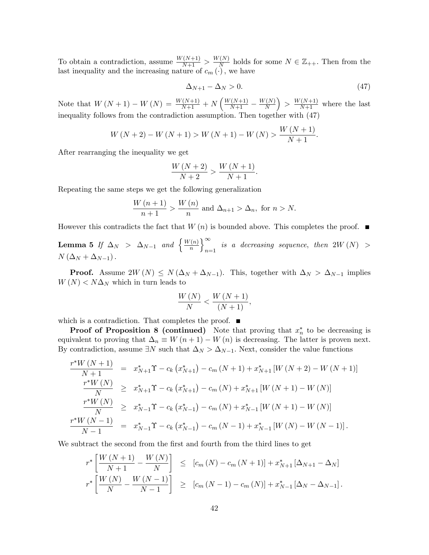To obtain a contradiction, assume  $\frac{W(N+1)}{N+1} > \frac{W(N)}{N}$  $\frac{N}{N}$  holds for some  $N \in \mathbb{Z}_{++}$ . Then from the last inequality and the increasing nature of  $c_m(\cdot)$ , we have

$$
\Delta_{N+1} - \Delta_N > 0. \tag{47}
$$

Note that  $W(N + 1) - W(N) = \frac{W(N+1)}{N+1} + N \left( \frac{W(N+1)}{N+1} - \frac{W(N)}{N} \right)$ N  $\Big) > \frac{W(N+1)}{N+1}$  where the last inequality follows from the contradiction assumption: Then together with (47)

$$
W(N+2) - W(N+1) > W(N+1) - W(N) > \frac{W(N+1)}{N+1}.
$$

After rearranging the inequality we get

$$
\frac{W(N+2)}{N+2} > \frac{W(N+1)}{N+1}.
$$

Repeating the same steps we get the following generalization

$$
\frac{W(n+1)}{n+1} > \frac{W(n)}{n} \text{ and } \Delta_{n+1} > \Delta_n, \text{ for } n > N.
$$

However this contradicts the fact that  $W(n)$  is bounded above. This completes the proof.  $\blacksquare$ 

**Lemma 5** If  $\Delta_N$  >  $\Delta_{N-1}$  and  $\left\{\frac{W(n)}{n}\right\}$  $\overline{n}$  $\Gamma^{\infty}$ is a decreasing sequence, then  $2W(N) > n=1$  $N\left(\Delta_N + \Delta_{N-1}\right).$ 

**Proof.** Assume  $2W(N) \leq N(\Delta_N + \Delta_{N-1})$ . This, together with  $\Delta_N > \Delta_{N-1}$  implies  $W(N) < N\Delta_N$  which in turn leads to

$$
\frac{W\left(N\right)}{N} < \frac{W\left(N+1\right)}{\left(N+1\right)},
$$

which is a contradiction. That completes the proof.  $\blacksquare$ 

**Proof of Proposition 8 (continued)** Note that proving that  $x_n^*$  to be decreasing is equivalent to proving that  $\Delta_n \equiv W (n + 1) - W (n)$  is decreasing. The latter is proven next. By contradiction, assume  $\exists N$  such that  $\Delta_N > \Delta_{N-1}$ . Next, consider the value functions

$$
\frac{r^*W(N+1)}{N+1} = x_{N+1}^* \Upsilon - c_k (x_{N+1}^*) - c_m (N+1) + x_{N+1}^* [W(N+2) - W(N+1)]
$$
  
\n
$$
\frac{r^*W(N)}{N} \ge x_{N+1}^* \Upsilon - c_k (x_{N+1}^*) - c_m (N) + x_{N+1}^* [W(N+1) - W(N)]
$$
  
\n
$$
\frac{r^*W(N)}{N} \ge x_{N-1}^* \Upsilon - c_k (x_{N-1}^*) - c_m (N) + x_{N-1}^* [W(N+1) - W(N)]
$$
  
\n
$$
\frac{r^*W(N-1)}{N-1} = x_{N-1}^* \Upsilon - c_k (x_{N-1}^*) - c_m (N-1) + x_{N-1}^* [W(N) - W(N-1)].
$$

We subtract the second from the first and fourth from the third lines to get

$$
r^* \left[ \frac{W (N+1)}{N+1} - \frac{W (N)}{N} \right] \leq [c_m (N) - c_m (N+1)] + x_{N+1}^* [\Delta_{N+1} - \Delta_N]
$$
  

$$
r^* \left[ \frac{W (N)}{N} - \frac{W (N-1)}{N-1} \right] \geq [c_m (N-1) - c_m (N)] + x_{N-1}^* [\Delta_N - \Delta_{N-1}].
$$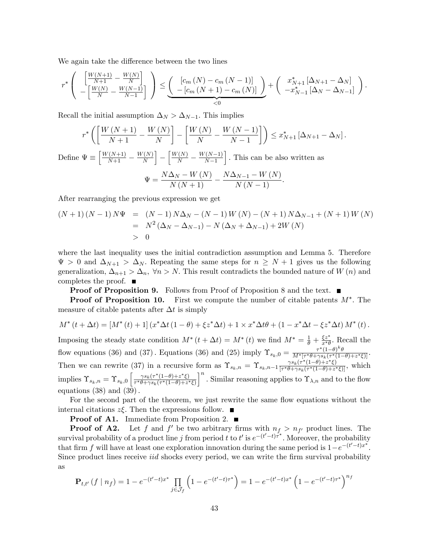We again take the difference between the two lines

$$
r^* \left( \begin{array}{c} \left[ \frac{W(N+1)}{N+1} - \frac{W(N)}{N} \right] \\ -\left[ \frac{W(N)}{N} - \frac{W(N-1)}{N-1} \right] \end{array} \right) \leq \underbrace{\left( \begin{array}{c} \left[ c_m\left( N \right) - c_m\left( N-1 \right) \right] \\ -\left[ c_m\left( N+1 \right) - c_m\left( N \right) \right] \end{array} \right)}_{< 0} + \left( \begin{array}{c} x^*_{N+1}\left[ \Delta_{N+1} - \Delta_N \right] \\ -x^*_{N-1}\left[ \Delta_N - \Delta_{N-1} \right] \end{array} \right).
$$

Recall the initial assumption  $\Delta_N > \Delta_{N-1}$ . This implies

$$
r^* \left( \left[ \frac{W\left(N+1\right)}{N+1} - \frac{W\left(N\right)}{N} \right] - \left[ \frac{W\left(N\right)}{N} - \frac{W\left(N-1\right)}{N-1} \right] \right) \leq x_{N+1}^* \left[ \Delta_{N+1} - \Delta_N \right].
$$
  
Define 
$$
\Psi \equiv \left[ \frac{W\left(N+1\right)}{N+1} - \frac{W\left(N\right)}{N} \right] - \left[ \frac{W\left(N\right)}{N} - \frac{W\left(N-1\right)}{N-1} \right].
$$
 This can be also written as  

$$
\Psi = \frac{N\Delta_N - W\left(N\right)}{N\left(N+1\right)} - \frac{N\Delta_{N-1} - W\left(N\right)}{N\left(N-1\right)}.
$$

After rearranging the previous expression we get

$$
(N+1) (N-1) N\Psi = (N-1) N\Delta_N - (N-1) W(N) - (N+1) N\Delta_{N-1} + (N+1) W(N)
$$
  
=  $N^2 (\Delta_N - \Delta_{N-1}) - N (\Delta_N + \Delta_{N-1}) + 2W(N)$   
> 0

where the last inequality uses the initial contradiction assumption and Lemma 5. Therefore  $\Psi > 0$  and  $\Delta_{N+1} > \Delta_N$ . Repeating the same steps for  $n \geq N+1$  gives us the following generalization,  $\Delta_{n+1} > \Delta_n$ ,  $\forall n > N$ . This result contradicts the bounded nature of W (n) and completes the proof.  $\blacksquare$ 

**Proof of Proposition 9.** Follows from Proof of Proposition 8 and the text. ■

**Proof of Proposition 10.** First we compute the number of citable patents  $M^*$ . The measure of citable patents after  $\Delta t$  is simply

$$
M^{*}(t + \Delta t) = [M^{*}(t) + 1] (x^{*} \Delta t (1 - \theta) + \xi z^{*} \Delta t) + 1 \times x^{*} \Delta t \theta + (1 - x^{*} \Delta t - \xi z^{*} \Delta t) M^{*}(t).
$$

Imposing the steady state condition  $M^*(t + \Delta t) = M^*(t)$  we find  $M^* = \frac{1}{\theta} + \frac{\xi z^*}{x^*\theta}$  $\frac{\xi z}{x^*\theta}$ . Recall the flow equations (36) and (37). Equations (36) and (25) imply  $\Upsilon_{s_k,0} = \frac{\tau^*(1-\theta)^k \theta}{M^*[\tau^*\theta + \gamma s_k(\tau^*)]}$  $\frac{\tau^{\alpha}(1-\theta)}{M^*[\tau^*\theta+\gamma s_k(\tau^*(1-\theta)+z^*\xi)]}.$ Then we can rewrite (37) in a recursive form as  $\Upsilon_{s_k,n} = \Upsilon_{s_k,n-1} \frac{\gamma s_k(\tau^*(1-\theta)+z^*\xi)}{[\tau^*\theta+\gamma s_k(\tau^*(1-\theta)+z^*\xi)]}$  $\frac{\gamma s_k(\tau^*(1-\theta)+z^*\zeta)}{[\tau^*\theta+\gamma s_k(\tau^*(1-\theta)+z^*\zeta)]},$  which implies  $\Upsilon_{s_k,n} = \Upsilon_{s_k,0} \left[ \frac{\gamma s_k(\tau^*(1-\theta)+z^*\xi)}{\tau^*\theta + \gamma s_k(\tau^*(1-\theta)+z^*)} \right]$  $\tau^*\theta + \gamma s_k(\tau^*(1-\theta)+z^*\xi)$ <sup>n</sup>. Similar reasoning applies to  $\Upsilon_{\lambda,n}$  and to the flow equations  $(38)$  and  $(39)$ .

For the second part of the theorem, we just rewrite the same flow equations without the internal citations  $z\xi$ . Then the expressions follow.  $\blacksquare$ 

**Proof of A1.** Immediate from Proposition 2.  $\blacksquare$ 

**Proof of A2.** Let f and f' be two arbitrary firms with  $n_f > n_{f'}$  product lines. The survival probability of a product line j from period t to t' is  $e^{-(t'-t)\tau^*}$ . Moreover, the probability that firm f will have at least one exploration innovation during the same period is  $1-e^{-(t'-t)x^*}$ . Since product lines receive *iid* shocks every period, we can write the firm survival probability as

$$
\mathbf{P}_{t,t'}\left(f \mid n_f\right) = 1 - e^{-\left(t'-t\right)x^*} \prod_{j \in \mathcal{J}_f} \left(1 - e^{-\left(t'-t\right)\tau^*}\right) = 1 - e^{-\left(t'-t\right)x^*} \left(1 - e^{-\left(t'-t\right)\tau^*}\right)^{n_f}
$$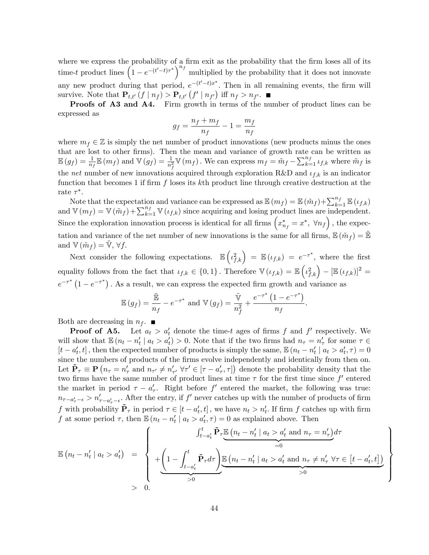where we express the probability of a firm exit as the probability that the firm loses all of its time-t product lines  $\left(1-e^{-(t'-t)\tau^*}\right)^{n_f}$  multiplied by the probability that it does not innovate any new product during that period,  $e^{-(t'-t)x^*}$ . Then in all remaining events, the firm will survive. Note that  $\mathbf{P}_{t,t'}(f \mid n_f) > \mathbf{P}_{t,t'}(f' \mid n_{f'})$  iff  $n_f > n_{f'}$ .

Proofs of A3 and A4. Firm growth in terms of the number of product lines can be expressed as

$$
g_f = \frac{n_f + m_f}{n_f} - 1 = \frac{m_f}{n_f}
$$

where  $m_f \in \mathbb{Z}$  is simply the net number of product innovations (new products minus the ones that are lost to other firms). Then the mean and variance of growth rate can be written as  $\mathbb{E}(g_f) = \frac{1}{n_f} \mathbb{E}(m_f)$  and  $\mathbb{V}(g_f) = \frac{1}{n_f^2} \mathbb{V}(m_f)$ . We can express  $m_f = \tilde{m}_f - \sum_{k=1}^{n_f} \iota_{f,k}$  where  $\tilde{m}_f$  is the net number of new innovations acquired through exploration R&D and  $\iota_{f,k}$  is an indicator function that becomes 1 if firm  $f$  loses its kth product line through creative destruction at the rate  $\tau^*$ .

Note that the expectation and variance can be expressed as  $\mathbb{E}(m_f) = \mathbb{E}(\tilde{m}_f) + \sum_{k=1}^{n_f} \mathbb{E}(\iota_{f,k})$ and  $\mathbb{V}(m_f) = \mathbb{V}(\tilde{m}_f) + \sum_{k=1}^{n_f} \mathbb{V}(\iota_{f,k})$  since acquiring and losing product lines are independent. Since the exploration innovation process is identical for all firms  $\left(x_{n_f}^* = x^*, \ \forall n_f\right)$ , the expectation and variance of the net number of new innovations is the same for all firms,  $\mathbb{E}(\tilde{m}_f) = \tilde{\mathbb{E}}$ and  $\mathbb{V}(\tilde{m}_f) = \mathbb{V}, \forall f.$ 

Next consider the following expectations.  $\mathbb{E}\left(\iota_{f,k}^2\right) = \mathbb{E}\left(\iota_{f,k}\right) = e^{-\tau^*}$ , where the first equality follows from the fact that  $\iota_{f,k} \in \{0,1\}$ . Therefore  $\mathbb{V}(\iota_{f,k}) = \mathbb{E}\left(\iota_{f,k}^2\right) - \left[\mathbb{E}(\iota_{f,k})\right]^2 =$  $e^{-\tau^*}(1-e^{-\tau^*})$ . As a result, we can express the expected firm growth and variance as

$$
\mathbb{E}(g_f) = \frac{\tilde{\mathbb{E}}}{n_f} - e^{-\tau^*} \text{ and } \mathbb{V}(g_f) = \frac{\tilde{\mathbb{V}}}{n_f^2} + \frac{e^{-\tau^*} (1 - e^{-\tau^*})}{n_f}
$$

.

 $\mathbf{A}$  $\overline{\phantom{a}}$ 

 $\int$ 

Both are decreasing in  $n_f$ .

**Proof of A5.** Let  $a_t > a'_t$  denote the time-t ages of firms f and f' respectively. We will show that  $\mathbb{E}(n_t - n'_t \mid a_t > a'_t) > 0$ . Note that if the two firms had  $n_\tau = n'_\tau$  for some  $\tau \in$  $[t - a'_t, t]$ , then the expected number of products is simply the same,  $\mathbb{E}(n_t - n'_t | a_t > a'_t, \tau) = 0$ since the numbers of products of the firms evolve independently and identically from then on. Let  $\tilde{\mathbf{P}}_{\tau} \equiv \mathbf{P} \left( n_{\tau} = n'_{\tau} \text{ and } n_{\tau'} \neq n'_{\tau'} \; \forall \tau' \in [\tau - a'_{\tau}, \tau] \right)$  denote the probability density that the two firms have the same number of product lines at time  $\tau$  for the first time since  $f'$  entered the market in period  $\tau - a'_\tau$ . Right before f' entered the market, the following was true:  $n_{\tau-a'_{\tau}-\epsilon} > n'_{\tau-a'_{\tau}-\epsilon}$ . After the entry, if  $f'$  never catches up with the number of products of firm f with probability  $\tilde{\mathbf{P}}_{\tau}$  in period  $\tau \in [t - a'_t, t]$ , we have  $n_t > n'_t$ . If firm f catches up with firm f at some period  $\tau$ , then  $\mathbb{E}(n_t - n'_t \mid a_t > a'_t, \tau) = 0$  as explained above. Then

$$
\mathbb{E}\left(n_t - n'_t \mid a_t > a'_t\right) = \begin{cases}\n\int_{t-a'_t}^t \tilde{\mathbf{P}}_\tau \underline{\mathbb{E}\left(n_t - n'_t \mid a_t > a'_t \text{ and } n_\tau = n'_\tau\right)} d\tau \\
+\underbrace{\left(1 - \int_{t-a'_t}^t \tilde{\mathbf{P}}_\tau d\tau\right)}_{>0} \underline{\mathbb{E}\left(n_t - n'_t \mid a_t > a'_t \text{ and } n_\tau \neq n'_\tau \forall \tau \in [t-a'_t, t]\right)}_{>0} \\
>0.\n\end{cases}
$$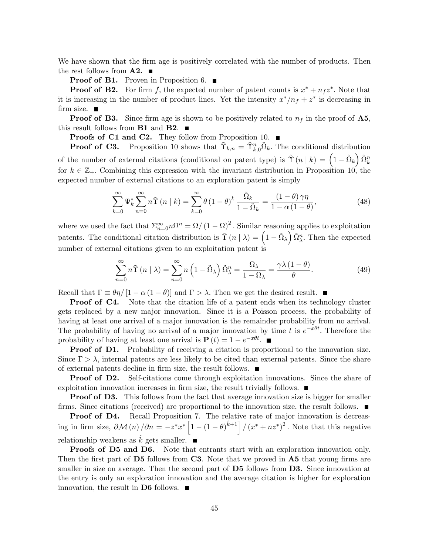We have shown that the firm age is positively correlated with the number of products. Then the rest follows from  $\mathbf{A2.}$ 

**Proof of B1.** Proven in Proposition 6.  $\blacksquare$ 

**Proof of B2.** For firm f, the expected number of patent counts is  $x^* + n_f z^*$ . Note that it is increasing in the number of product lines. Yet the intensity  $x^*/n_f + z^*$  is decreasing in firm size.  $\blacksquare$ 

**Proof of B3.** Since firm age is shown to be positively related to  $n_f$  in the proof of A5, this result follows from **B1** and **B2**.

**Proofs of C1 and C2.** They follow from Proposition 10.  $\blacksquare$ 

**Proof of C3.** Proposition 10 shows that  $\tilde{\Upsilon}_{k,n} = \tilde{\Upsilon}_{k,0}^n \tilde{\Omega}_k$ . The conditional distribution of the number of external citations (conditional on patent type) is  $\tilde{\Upsilon}(n | k) = (1 - \tilde{\Omega}_k) \tilde{\Omega}_k^n$ for  $k \in \mathbb{Z}_+$ . Combining this expression with the invariant distribution in Proposition 10, the expected number of external citations to an exploration patent is simply

$$
\sum_{k=0}^{\infty} \Psi_k^* \sum_{n=0}^{\infty} n\tilde{\Upsilon}(n \mid k) = \sum_{k=0}^{\infty} \theta (1 - \theta)^k \frac{\tilde{\Omega}_k}{1 - \tilde{\Omega}_k} = \frac{(1 - \theta)\gamma\eta}{1 - \alpha(1 - \theta)},
$$
\n(48)

where we used the fact that  $\sum_{n=0}^{\infty} n \Omega^n = \Omega / (1 - \Omega)^2$ . Similar reasoning applies to exploitation patents. The conditional citation distribution is  $\tilde{\Upsilon}(n | \lambda) = \left(1 - \tilde{\Omega}_{\lambda}\right) \tilde{\Omega}_{\lambda}^{n}$ . Then the expected number of external citations given to an exploitation patent is

$$
\sum_{n=0}^{\infty} n\tilde{\Upsilon}(n \mid \lambda) = \sum_{n=0}^{\infty} n\left(1 - \tilde{\Omega}_{\lambda}\right) \tilde{\Omega}_{\lambda}^{n} = \frac{\Omega_{\lambda}}{1 - \Omega_{\lambda}} = \frac{\gamma \lambda \left(1 - \theta\right)}{\theta}.
$$
\n(49)

Recall that  $\Gamma \equiv \theta \eta / [1 - \alpha (1 - \theta)]$  and  $\Gamma > \lambda$ . Then we get the desired result.

**Proof of C4.** Note that the citation life of a patent ends when its technology cluster gets replaced by a new major innovation. Since it is a Poisson process, the probability of having at least one arrival of a major innovation is the remainder probability from no arrival. The probability of having no arrival of a major innovation by time t is  $e^{-x\theta t}$ . Therefore the probability of having at least one arrival is  $P(t) = 1 - e^{-x\theta t}$ .

**Proof of D1.** Probability of receiving a citation is proportional to the innovation size. Since  $\Gamma > \lambda$ , internal patents are less likely to be cited than external patents. Since the share of external patents decline in firm size, the result follows.  $\blacksquare$ 

Proof of D2. Self-citations come through exploitation innovations. Since the share of exploitation innovation increases in firm size, the result trivially follows.  $\blacksquare$ 

**Proof of D3.** This follows from the fact that average innovation size is bigger for smaller firms. Since citations (received) are proportional to the innovation size, the result follows.  $\blacksquare$ 

Proof of D4. Recall Proposition 7. The relative rate of major innovation is decreasing in firm size,  $\partial \mathcal{M}(n) / \partial n = -z^* x^* \left[ 1 - (1 - \theta)^{\hat{k}+1} \right] / (x^* + nz^*)^2$ . Note that this negative relationship weakens as  $\hat{k}$  gets smaller.  $\blacksquare$ 

Proofs of D5 and D6. Note that entrants start with an exploration innovation only. Then the first part of  $\overline{D5}$  follows from C3. Note that we proved in  $\overline{A5}$  that young firms are smaller in size on average. Then the second part of **D5** follows from **D3.** Since innovation at the entry is only an exploration innovation and the average citation is higher for exploration innovation, the result in D6 follows.  $\blacksquare$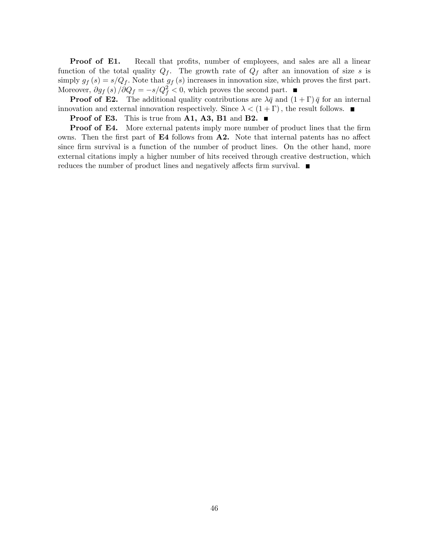**Proof of E1.** Recall that profits, number of employees, and sales are all a linear function of the total quality  $Q_f$ . The growth rate of  $Q_f$  after an innovation of size s is simply  $g_f(s) = s/Q_f$ . Note that  $g_f(s)$  increases in innovation size, which proves the first part. Moreover,  $\partial g_f(s) / \partial Q_f = -s/Q_f^2 < 0$ , which proves the second part.

**Proof of E2.** The additional quality contributions are  $\lambda \bar{q}$  and  $(1 + \Gamma) \bar{q}$  for an internal innovation and external innovation respectively. Since  $\lambda < (1 + \Gamma)$ , the result follows.

**Proof of E3.** This is true from A1, A3, B1 and B2.  $\blacksquare$ 

**Proof of E4.** More external patents imply more number of product lines that the firm owns. Then the first part of  $E4$  follows from  $A2$ . Note that internal patents has no affect since firm survival is a function of the number of product lines. On the other hand, more external citations imply a higher number of hits received through creative destruction, which reduces the number of product lines and negatively affects firm survival.  $\blacksquare$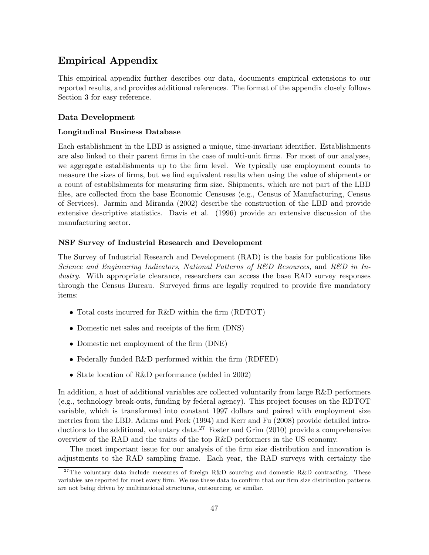## Empirical Appendix

This empirical appendix further describes our data, documents empirical extensions to our reported results, and provides additional references. The format of the appendix closely follows Section 3 for easy reference.

#### Data Development

#### Longitudinal Business Database

Each establishment in the LBD is assigned a unique, time-invariant identifier. Establishments are also linked to their parent firms in the case of multi-unit firms. For most of our analyses, we aggregate establishments up to the firm level. We typically use employment counts to measure the sizes of firms, but we find equivalent results when using the value of shipments or a count of establishments for measuring firm size. Shipments, which are not part of the LBD files, are collected from the base Economic Censuses (e.g., Census of Manufacturing, Census of Services). Jarmin and Miranda (2002) describe the construction of the LBD and provide extensive descriptive statistics. Davis et al. (1996) provide an extensive discussion of the manufacturing sector.

#### NSF Survey of Industrial Research and Development

The Survey of Industrial Research and Development (RAD) is the basis for publications like Science and Engineering Indicators, National Patterns of R&D Resources, and R&D in Industry. With appropriate clearance, researchers can access the base RAD survey responses through the Census Bureau. Surveyed firms are legally required to provide five mandatory items:

- Total costs incurred for R&D within the firm (RDTOT)
- Domestic net sales and receipts of the firm (DNS)
- Domestic net employment of the firm (DNE)
- $\bullet$  Federally funded R&D performed within the firm (RDFED)
- State location of R&D performance (added in 2002)

In addition, a host of additional variables are collected voluntarily from large R&D performers (e.g., technology break-outs, funding by federal agency). This project focuses on the RDTOT variable, which is transformed into constant 1997 dollars and paired with employment size metrics from the LBD. Adams and Peck (1994) and Kerr and Fu (2008) provide detailed introductions to the additional, voluntary data.<sup>27</sup> Foster and Grim (2010) provide a comprehensive overview of the RAD and the traits of the top R&D performers in the US economy.

The most important issue for our analysis of the firm size distribution and innovation is adjustments to the RAD sampling frame. Each year, the RAD surveys with certainty the

<sup>&</sup>lt;sup>27</sup>The voluntary data include measures of foreign R&D sourcing and domestic R&D contracting. These variables are reported for most every firm. We use these data to confirm that our firm size distribution patterns are not being driven by multinational structures, outsourcing, or similar.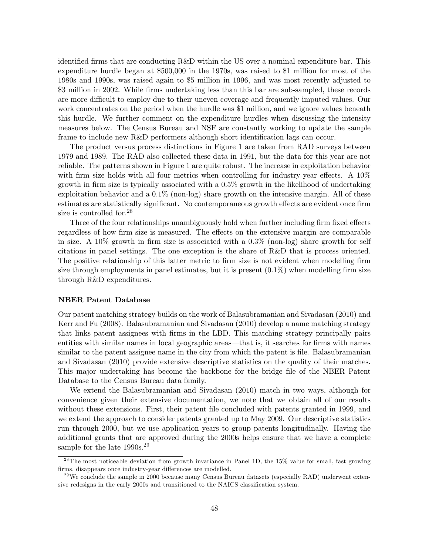identified firms that are conducting R&D within the US over a nominal expenditure bar. This expenditure hurdle began at \$500,000 in the 1970s, was raised to \$1 million for most of the 1980s and 1990s, was raised again to \$5 million in 1996, and was most recently adjusted to \$3 million in 2002. While firms undertaking less than this bar are sub-sampled, these records are more difficult to employ due to their uneven coverage and frequently imputed values. Our work concentrates on the period when the hurdle was \$1 million, and we ignore values beneath this hurdle. We further comment on the expenditure hurdles when discussing the intensity measures below. The Census Bureau and NSF are constantly working to update the sample frame to include new R&D performers although short identification lags can occur.

The product versus process distinctions in Figure 1 are taken from RAD surveys between 1979 and 1989. The RAD also collected these data in 1991, but the data for this year are not reliable. The patterns shown in Figure 1 are quite robust. The increase in exploitation behavior with firm size holds with all four metrics when controlling for industry-year effects. A  $10\%$ growth in firm size is typically associated with a  $0.5\%$  growth in the likelihood of undertaking exploitation behavior and a  $0.1\%$  (non-log) share growth on the intensive margin. All of these estimates are statistically significant. No contemporaneous growth effects are evident once firm size is controlled for.<sup>28</sup>

Three of the four relationships unambiguously hold when further including firm fixed effects regardless of how firm size is measured. The effects on the extensive margin are comparable in size. A  $10\%$  growth in firm size is associated with a  $0.3\%$  (non-log) share growth for self citations in panel settings. The one exception is the share of R&D that is process oriented. The positive relationship of this latter metric to firm size is not evident when modelling firm size through employments in panel estimates, but it is present  $(0.1\%)$  when modelling firm size through R&D expenditures.

#### NBER Patent Database

Our patent matching strategy builds on the work of Balasubramanian and Sivadasan (2010) and Kerr and Fu (2008). Balasubramanian and Sivadasan (2010) develop a name matching strategy that links patent assignees with Örms in the LBD. This matching strategy principally pairs entities with similar names in local geographic areas—that is, it searches for firms with names similar to the patent assignee name in the city from which the patent is file. Balasubramanian and Sivadasan (2010) provide extensive descriptive statistics on the quality of their matches. This major undertaking has become the backbone for the bridge file of the NBER Patent Database to the Census Bureau data family.

We extend the Balasubramanian and Sivadasan (2010) match in two ways, although for convenience given their extensive documentation, we note that we obtain all of our results without these extensions. First, their patent file concluded with patents granted in 1999, and we extend the approach to consider patents granted up to May 2009. Our descriptive statistics run through 2000, but we use application years to group patents longitudinally. Having the additional grants that are approved during the 2000s helps ensure that we have a complete sample for the late  $1990s.<sup>29</sup>$ 

 $2<sup>28</sup>$ The most noticeable deviation from growth invariance in Panel 1D, the 15% value for small, fast growing firms, disappears once industry-year differences are modelled.

 $^{29}$  We conclude the sample in 2000 because many Census Bureau datasets (especially RAD) underwent extensive redesigns in the early 2000s and transitioned to the NAICS classification system.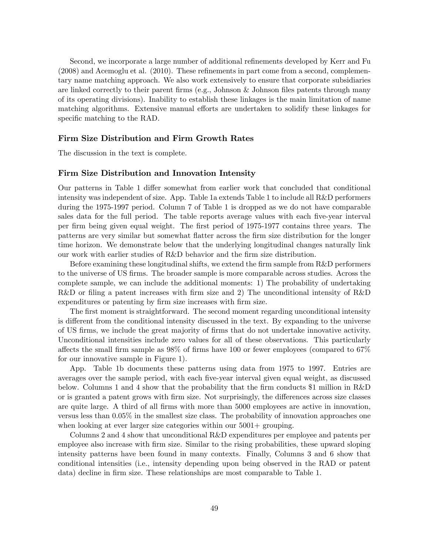Second, we incorporate a large number of additional refinements developed by Kerr and Fu  $(2008)$  and Acemoglu et al.  $(2010)$ . These refinements in part come from a second, complementary name matching approach. We also work extensively to ensure that corporate subsidiaries are linked correctly to their parent firms (e.g., Johnson & Johnson files patents through many of its operating divisions). Inability to establish these linkages is the main limitation of name matching algorithms. Extensive manual efforts are undertaken to solidify these linkages for specific matching to the RAD.

#### Firm Size Distribution and Firm Growth Rates

The discussion in the text is complete.

#### Firm Size Distribution and Innovation Intensity

Our patterns in Table 1 differ somewhat from earlier work that concluded that conditional intensity was independent of size. App. Table 1a extends Table 1 to include all R&D performers during the 1975-1997 period. Column 7 of Table 1 is dropped as we do not have comparable sales data for the full period. The table reports average values with each five-year interval per Örm being given equal weight. The Örst period of 1975-1977 contains three years. The patterns are very similar but somewhat áatter across the Örm size distribution for the longer time horizon. We demonstrate below that the underlying longitudinal changes naturally link our work with earlier studies of R&D behavior and the firm size distribution.

Before examining these longitudinal shifts, we extend the firm sample from R&D performers to the universe of US firms. The broader sample is more comparable across studies. Across the complete sample, we can include the additional moments: 1) The probability of undertaking R&D or filing a patent increases with firm size and 2) The unconditional intensity of  $R&D$ expenditures or patenting by firm size increases with firm size.

The first moment is straightforward. The second moment regarding unconditional intensity is different from the conditional intensity discussed in the text. By expanding to the universe of US Örms, we include the great majority of Örms that do not undertake innovative activity. Unconditional intensities include zero values for all of these observations. This particularly affects the small firm sample as  $98\%$  of firms have 100 or fewer employees (compared to  $67\%$ for our innovative sample in Figure 1).

App. Table 1b documents these patterns using data from 1975 to 1997. Entries are averages over the sample period, with each Öve-year interval given equal weight, as discussed below. Columns 1 and 4 show that the probability that the firm conducts  $$1$  million in R&D or is granted a patent grows with firm size. Not surprisingly, the differences across size classes are quite large. A third of all firms with more than 5000 employees are active in innovation, versus less than 0.05% in the smallest size class. The probability of innovation approaches one when looking at ever larger size categories within our  $5001+$  grouping.

Columns 2 and 4 show that unconditional R&D expenditures per employee and patents per employee also increase with firm size. Similar to the rising probabilities, these upward sloping intensity patterns have been found in many contexts. Finally, Columns 3 and 6 show that conditional intensities (i.e., intensity depending upon being observed in the RAD or patent data) decline in firm size. These relationships are most comparable to Table 1.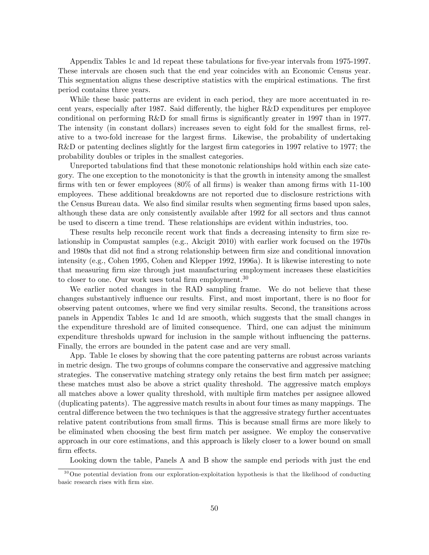Appendix Tables 1c and 1d repeat these tabulations for five-year intervals from 1975-1997. These intervals are chosen such that the end year coincides with an Economic Census year. This segmentation aligns these descriptive statistics with the empirical estimations. The first period contains three years.

While these basic patterns are evident in each period, they are more accentuated in recent years, especially after 1987. Said differently, the higher  $R&D$  expenditures per employee conditional on performing R&D for small firms is significantly greater in 1997 than in 1977. The intensity (in constant dollars) increases seven to eight fold for the smallest firms, relative to a two-fold increase for the largest Örms. Likewise, the probability of undertaking R&D or patenting declines slightly for the largest firm categories in 1997 relative to 1977; the probability doubles or triples in the smallest categories.

Unreported tabulations find that these monotonic relationships hold within each size category. The one exception to the monotonicity is that the growth in intensity among the smallest firms with ten or fewer employees  $(80\%$  of all firms) is weaker than among firms with 11-100 employees. These additional breakdowns are not reported due to disclosure restrictions with the Census Bureau data. We also find similar results when segmenting firms based upon sales, although these data are only consistently available after 1992 for all sectors and thus cannot be used to discern a time trend. These relationships are evident within industries, too.

These results help reconcile recent work that finds a decreasing intensity to firm size relationship in Compustat samples (e.g., Akcigit 2010) with earlier work focused on the 1970s and 1980s that did not find a strong relationship between firm size and conditional innovation intensity (e.g., Cohen 1995, Cohen and Klepper 1992, 1996a). It is likewise interesting to note that measuring Örm size through just manufacturing employment increases these elasticities to closer to one. Our work uses total firm employment.<sup>30</sup>

We earlier noted changes in the RAD sampling frame. We do not believe that these changes substantively influence our results. First, and most important, there is no floor for observing patent outcomes, where we Önd very similar results. Second, the transitions across panels in Appendix Tables 1c and 1d are smooth, which suggests that the small changes in the expenditure threshold are of limited consequence. Third, one can adjust the minimum expenditure thresholds upward for inclusion in the sample without ináuencing the patterns. Finally, the errors are bounded in the patent case and are very small.

App. Table 1e closes by showing that the core patenting patterns are robust across variants in metric design. The two groups of columns compare the conservative and aggressive matching strategies. The conservative matching strategy only retains the best firm match per assignee; these matches must also be above a strict quality threshold. The aggressive match employs all matches above a lower quality threshold, with multiple Örm matches per assignee allowed (duplicating patents). The aggressive match results in about four times as many mappings. The central difference between the two techniques is that the aggressive strategy further accentuates relative patent contributions from small firms. This is because small firms are more likely to be eliminated when choosing the best Örm match per assignee. We employ the conservative approach in our core estimations, and this approach is likely closer to a lower bound on small firm effects.

Looking down the table, Panels A and B show the sample end periods with just the end

 $30$ One potential deviation from our exploration-exploitation hypothesis is that the likelihood of conducting basic research rises with firm size.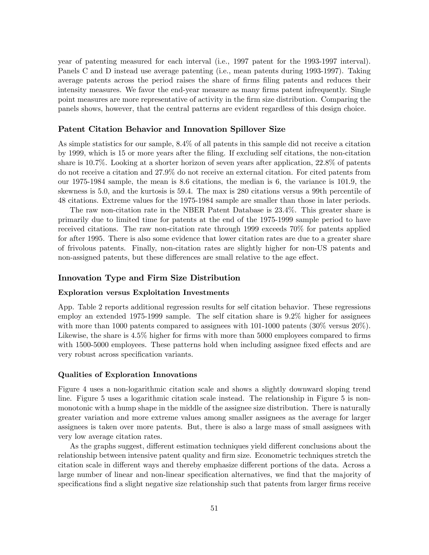year of patenting measured for each interval (i.e., 1997 patent for the 1993-1997 interval). Panels C and D instead use average patenting (i.e., mean patents during 1993-1997). Taking average patents across the period raises the share of firms filing patents and reduces their intensity measures. We favor the end-year measure as many firms patent infrequently. Single point measures are more representative of activity in the firm size distribution. Comparing the panels shows, however, that the central patterns are evident regardless of this design choice.

#### Patent Citation Behavior and Innovation Spillover Size

As simple statistics for our sample, 8.4% of all patents in this sample did not receive a citation by 1999, which is 15 or more years after the Öling. If excluding self citations, the non-citation share is 10.7%. Looking at a shorter horizon of seven years after application, 22.8% of patents do not receive a citation and 27.9% do not receive an external citation. For cited patents from our 1975-1984 sample, the mean is 8.6 citations, the median is 6, the variance is 101.9, the skewness is 5.0, and the kurtosis is 59.4. The max is 280 citations versus a 99th percentile of 48 citations. Extreme values for the 1975-1984 sample are smaller than those in later periods.

The raw non-citation rate in the NBER Patent Database is 23.4%. This greater share is primarily due to limited time for patents at the end of the 1975-1999 sample period to have received citations. The raw non-citation rate through 1999 exceeds 70% for patents applied for after 1995. There is also some evidence that lower citation rates are due to a greater share of frivolous patents. Finally, non-citation rates are slightly higher for non-US patents and non-assigned patents, but these differences are small relative to the age effect.

#### Innovation Type and Firm Size Distribution

#### Exploration versus Exploitation Investments

App. Table 2 reports additional regression results for self citation behavior. These regressions employ an extended 1975-1999 sample. The self citation share is 9.2% higher for assignees with more than 1000 patents compared to assignees with  $101-1000$  patents  $(30\%$  versus  $20\%)$ . Likewise, the share is  $4.5\%$  higher for firms with more than 5000 employees compared to firms with 1500-5000 employees. These patterns hold when including assignee fixed effects and are very robust across specification variants.

#### Qualities of Exploration Innovations

Figure 4 uses a non-logarithmic citation scale and shows a slightly downward sloping trend line. Figure 5 uses a logarithmic citation scale instead. The relationship in Figure 5 is nonmonotonic with a hump shape in the middle of the assignee size distribution. There is naturally greater variation and more extreme values among smaller assignees as the average for larger assignees is taken over more patents. But, there is also a large mass of small assignees with very low average citation rates.

As the graphs suggest, different estimation techniques yield different conclusions about the relationship between intensive patent quality and firm size. Econometric techniques stretch the citation scale in different ways and thereby emphasize different portions of the data. Across a large number of linear and non-linear specification alternatives, we find that the majority of specifications find a slight negative size relationship such that patents from larger firms receive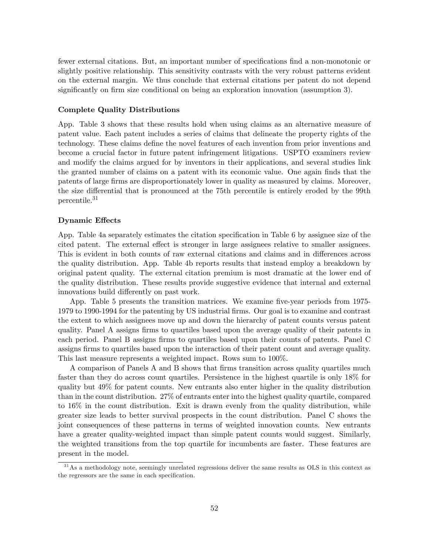fewer external citations. But, an important number of specifications find a non-monotonic or slightly positive relationship. This sensitivity contrasts with the very robust patterns evident on the external margin. We thus conclude that external citations per patent do not depend significantly on firm size conditional on being an exploration innovation (assumption 3).

#### Complete Quality Distributions

App. Table 3 shows that these results hold when using claims as an alternative measure of patent value. Each patent includes a series of claims that delineate the property rights of the technology. These claims define the novel features of each invention from prior inventions and become a crucial factor in future patent infringement litigations. USPTO examiners review and modify the claims argued for by inventors in their applications, and several studies link the granted number of claims on a patent with its economic value. One again Önds that the patents of large Örms are disproportionately lower in quality as measured by claims. Moreover, the size differential that is pronounced at the 75th percentile is entirely eroded by the 99th percentile.<sup>31</sup>

#### Dynamic Effects

App. Table 4a separately estimates the citation specification in Table 6 by assignee size of the cited patent. The external effect is stronger in large assignees relative to smaller assignees. This is evident in both counts of raw external citations and claims and in differences across the quality distribution. App. Table 4b reports results that instead employ a breakdown by original patent quality. The external citation premium is most dramatic at the lower end of the quality distribution. These results provide suggestive evidence that internal and external innovations build differently on past work.

App. Table 5 presents the transition matrices. We examine five-year periods from 1975-1979 to 1990-1994 for the patenting by US industrial Örms. Our goal is to examine and contrast the extent to which assignees move up and down the hierarchy of patent counts versus patent quality. Panel A assigns Örms to quartiles based upon the average quality of their patents in each period. Panel B assigns firms to quartiles based upon their counts of patents. Panel C assigns Örms to quartiles based upon the interaction of their patent count and average quality. This last measure represents a weighted impact. Rows sum to 100%.

A comparison of Panels A and B shows that Örms transition across quality quartiles much faster than they do across count quartiles. Persistence in the highest quartile is only 18% for quality but 49% for patent counts. New entrants also enter higher in the quality distribution than in the count distribution. 27% of entrants enter into the highest quality quartile, compared to 16% in the count distribution. Exit is drawn evenly from the quality distribution, while greater size leads to better survival prospects in the count distribution. Panel C shows the joint consequences of these patterns in terms of weighted innovation counts. New entrants have a greater quality-weighted impact than simple patent counts would suggest. Similarly, the weighted transitions from the top quartile for incumbents are faster. These features are present in the model.

<sup>&</sup>lt;sup>31</sup>As a methodology note, seemingly unrelated regressions deliver the same results as OLS in this context as the regressors are the same in each specification.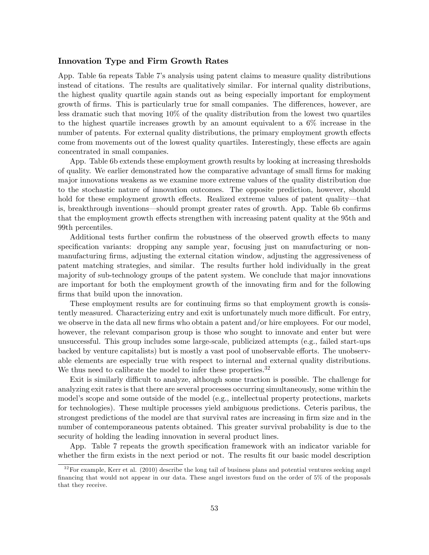#### Innovation Type and Firm Growth Rates

App. Table 6a repeats Table 7ís analysis using patent claims to measure quality distributions instead of citations. The results are qualitatively similar. For internal quality distributions, the highest quality quartile again stands out as being especially important for employment growth of firms. This is particularly true for small companies. The differences, however, are less dramatic such that moving 10% of the quality distribution from the lowest two quartiles to the highest quartile increases growth by an amount equivalent to a 6% increase in the number of patents. For external quality distributions, the primary employment growth effects come from movements out of the lowest quality quartiles. Interestingly, these effects are again concentrated in small companies.

App. Table 6b extends these employment growth results by looking at increasing thresholds of quality. We earlier demonstrated how the comparative advantage of small firms for making major innovations weakens as we examine more extreme values of the quality distribution due to the stochastic nature of innovation outcomes. The opposite prediction, however, should hold for these employment growth effects. Realized extreme values of patent quality—that is, breakthrough inventions—should prompt greater rates of growth. App. Table 6b confirms that the employment growth effects strengthen with increasing patent quality at the 95th and 99th percentiles.

Additional tests further confirm the robustness of the observed growth effects to many specification variants: dropping any sample year, focusing just on manufacturing or nonmanufacturing firms, adjusting the external citation window, adjusting the aggressiveness of patent matching strategies, and similar. The results further hold individually in the great majority of sub-technology groups of the patent system. We conclude that major innovations are important for both the employment growth of the innovating firm and for the following firms that build upon the innovation.

These employment results are for continuing firms so that employment growth is consistently measured. Characterizing entry and exit is unfortunately much more difficult. For entry, we observe in the data all new firms who obtain a patent and/or hire employees. For our model, however, the relevant comparison group is those who sought to innovate and enter but were unsuccessful. This group includes some large-scale, publicized attempts (e.g., failed start-ups backed by venture capitalists) but is mostly a vast pool of unobservable efforts. The unobservable elements are especially true with respect to internal and external quality distributions. We thus need to calibrate the model to infer these properties.<sup>32</sup>

Exit is similarly difficult to analyze, although some traction is possible. The challenge for analyzing exit rates is that there are several processes occurring simultaneously, some within the model's scope and some outside of the model (e.g., intellectual property protections, markets for technologies). These multiple processes yield ambiguous predictions. Ceteris paribus, the strongest predictions of the model are that survival rates are increasing in firm size and in the number of contemporaneous patents obtained. This greater survival probability is due to the security of holding the leading innovation in several product lines.

App. Table 7 repeats the growth specification framework with an indicator variable for whether the firm exists in the next period or not. The results fit our basic model description

 $3<sup>32</sup>$  For example, Kerr et al. (2010) describe the long tail of business plans and potential ventures seeking angel financing that would not appear in our data. These angel investors fund on the order of  $5\%$  of the proposals that they receive.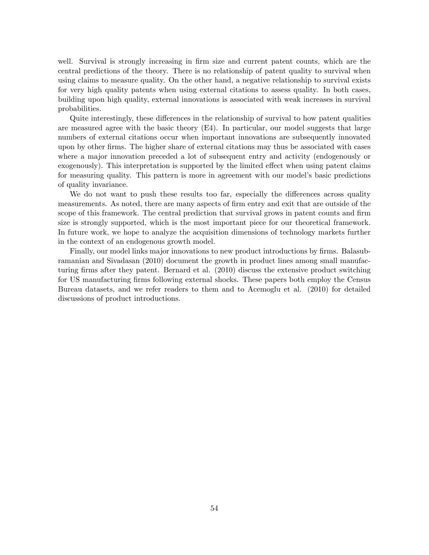well. Survival is strongly increasing in firm size and current patent counts, which are the central predictions of the theory. There is no relationship of patent quality to survival when using claims to measure quality. On the other hand, a negative relationship to survival exists for very high quality patents when using external citations to assess quality. In both cases, building upon high quality, external innovations is associated with weak increases in survival probabilities.

Quite interestingly, these differences in the relationship of survival to how patent qualities are measured agree with the basic theory (E4). In particular, our model suggests that large numbers of external citations occur when important innovations are subsequently innovated upon by other Örms. The higher share of external citations may thus be associated with cases where a major innovation preceded a lot of subsequent entry and activity (endogenously or exogenously). This interpretation is supported by the limited effect when using patent claims for measuring quality. This pattern is more in agreement with our model's basic predictions of quality invariance.

We do not want to push these results too far, especially the differences across quality measurements. As noted, there are many aspects of firm entry and exit that are outside of the scope of this framework. The central prediction that survival grows in patent counts and firm size is strongly supported, which is the most important piece for our theoretical framework. In future work, we hope to analyze the acquisition dimensions of technology markets further in the context of an endogenous growth model.

Finally, our model links major innovations to new product introductions by firms. Balasubramanian and Sivadasan (2010) document the growth in product lines among small manufacturing firms after they patent. Bernard et al. (2010) discuss the extensive product switching for US manufacturing firms following external shocks. These papers both employ the Census Bureau datasets, and we refer readers to them and to Acemoglu et al. (2010) for detailed discussions of product introductions.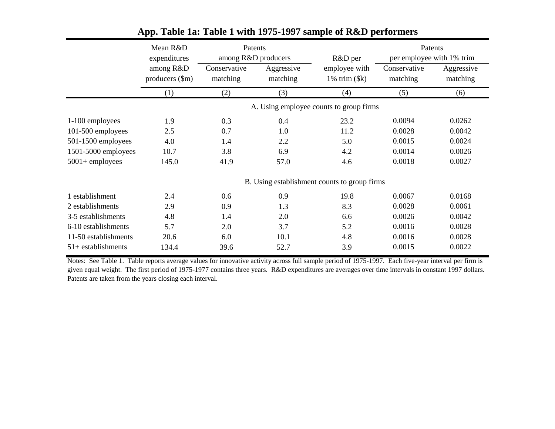|                      | Mean R&D<br>expenditures     | Patents<br>among R&D producers |                        | R&D per                                      | Patents<br>per employee with 1% trim |                        |
|----------------------|------------------------------|--------------------------------|------------------------|----------------------------------------------|--------------------------------------|------------------------|
|                      | among R&D<br>producers (\$m) | Conservative<br>matching       | Aggressive<br>matching | employee with<br>$1\%$ trim $(\$k)$          | Conservative<br>matching             | Aggressive<br>matching |
|                      | (1)                          | (2)                            | (3)                    | (4)                                          | (5)                                  | (6)                    |
|                      |                              |                                |                        | A. Using employee counts to group firms      |                                      |                        |
| 1-100 employees      | 1.9                          | 0.3                            | 0.4                    | 23.2                                         | 0.0094                               | 0.0262                 |
| 101-500 employees    | 2.5                          | 0.7                            | 1.0                    | 11.2                                         | 0.0028                               | 0.0042                 |
| 501-1500 employees   | 4.0                          | 1.4                            | 2.2                    | 5.0                                          | 0.0015                               | 0.0024                 |
| 1501-5000 employees  | 10.7                         | 3.8                            | 6.9                    | 4.2                                          | 0.0014                               | 0.0026                 |
| $5001 +$ employees   | 145.0                        | 41.9                           | 57.0                   | 4.6                                          | 0.0018                               | 0.0027                 |
|                      |                              |                                |                        | B. Using establishment counts to group firms |                                      |                        |
| 1 establishment      | 2.4                          | 0.6                            | 0.9                    | 19.8                                         | 0.0067                               | 0.0168                 |
| 2 establishments     | 2.9                          | 0.9                            | 1.3                    | 8.3                                          | 0.0028                               | 0.0061                 |
| 3-5 establishments   | 4.8                          | 1.4                            | 2.0                    | 6.6                                          | 0.0026                               | 0.0042                 |
| 6-10 establishments  | 5.7                          | 2.0                            | 3.7                    | 5.2                                          | 0.0016                               | 0.0028                 |
| 11-50 establishments | 20.6                         | 6.0                            | 10.1                   | 4.8                                          | 0.0016                               | 0.0028                 |
| $51+$ establishments | 134.4                        | 39.6                           | 52.7                   | 3.9                                          | 0.0015                               | 0.0022                 |

## **App. Table 1a: Table 1 with 1975-1997 sample of R&D performers**

Notes: See Table 1. Table reports average values for innovative activity across full sample period of 1975-1997. Each five-year interval per firm is given equal weight. The first period of 1975-1977 contains three years. R&D expenditures are averages over time intervals in constant 1997 dollars. Patents are taken from the years closing each interval.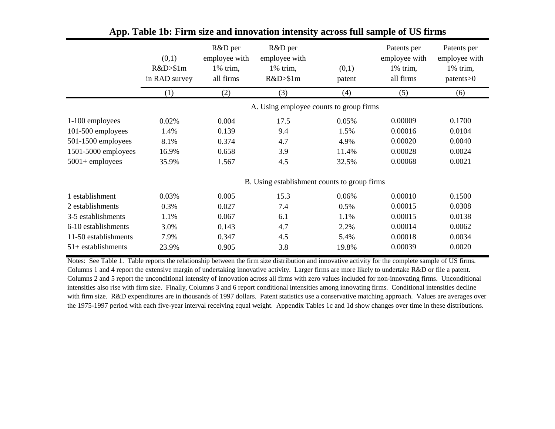|                      | (0,1)<br>R&D>\$1m<br>in RAD survey | R&D per<br>employee with<br>1% trim,<br>all firms | R&D per<br>employee with<br>1% trim,<br>R&D>\$1m | (0,1)<br>patent                              | Patents per<br>employee with<br>1% trim,<br>all firms | Patents per<br>employee with<br>$1\%$ trim,<br>$\text{patterns} > 0$ |
|----------------------|------------------------------------|---------------------------------------------------|--------------------------------------------------|----------------------------------------------|-------------------------------------------------------|----------------------------------------------------------------------|
|                      | (1)                                | (2)                                               | (3)                                              | (4)                                          | (5)                                                   | (6)                                                                  |
|                      |                                    |                                                   |                                                  | A. Using employee counts to group firms      |                                                       |                                                                      |
| 1-100 employees      | 0.02%                              | 0.004                                             | 17.5                                             | 0.05%                                        | 0.00009                                               | 0.1700                                                               |
| 101-500 employees    | 1.4%                               | 0.139                                             | 9.4                                              | 1.5%                                         | 0.00016                                               | 0.0104                                                               |
| 501-1500 employees   | 8.1%                               | 0.374                                             | 4.7                                              | 4.9%                                         | 0.00020                                               | 0.0040                                                               |
| 1501-5000 employees  | 16.9%                              | 0.658                                             | 3.9                                              | 11.4%                                        | 0.00028                                               | 0.0024                                                               |
| $5001 +$ employees   | 35.9%                              | 1.567                                             | 4.5                                              | 32.5%                                        | 0.00068                                               | 0.0021                                                               |
|                      |                                    |                                                   |                                                  | B. Using establishment counts to group firms |                                                       |                                                                      |
| 1 establishment      | 0.03%                              | 0.005                                             | 15.3                                             | 0.06%                                        | 0.00010                                               | 0.1500                                                               |
| 2 establishments     | 0.3%                               | 0.027                                             | 7.4                                              | 0.5%                                         | 0.00015                                               | 0.0308                                                               |
| 3-5 establishments   | 1.1%                               | 0.067                                             | 6.1                                              | 1.1%                                         | 0.00015                                               | 0.0138                                                               |
| 6-10 establishments  | 3.0%                               | 0.143                                             | 4.7                                              | 2.2%                                         | 0.00014                                               | 0.0062                                                               |
| 11-50 establishments | 7.9%                               | 0.347                                             | 4.5                                              | 5.4%                                         | 0.00018                                               | 0.0034                                                               |
| $51+$ establishments | 23.9%                              | 0.905                                             | 3.8                                              | 19.8%                                        | 0.00039                                               | 0.0020                                                               |

## **App. Table 1b: Firm size and innovation intensity across full sample of US firms**

Notes: See Table 1. Table reports the relationship between the firm size distribution and innovative activity for the complete sample of US firms. Columns 1 and 4 report the extensive margin of undertaking innovative activity. Larger firms are more likely to undertake R&D or file a patent. Columns 2 and 5 report the unconditional intensity of innovation across all firms with zero values included for non-innovating firms. Unconditional intensities also rise with firm size. Finally, Columns 3 and 6 report conditional intensities among innovating firms. Conditional intensities decline with firm size. R&D expenditures are in thousands of 1997 dollars. Patent statistics use a conservative matching approach. Values are averages over the 1975-1997 period with each five-year interval receiving equal weight. Appendix Tables 1c and 1d show changes over time in these distributions.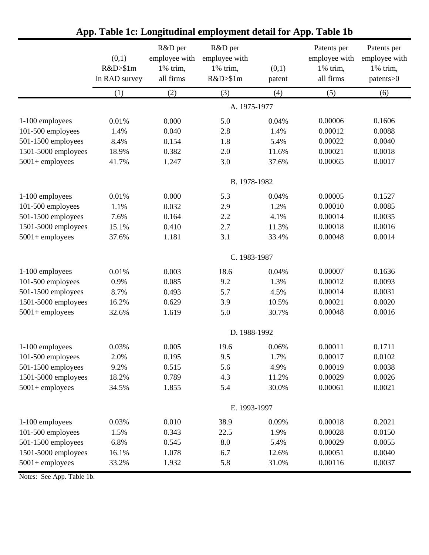|                     | (0,1)<br>R&D>\$1m<br>in RAD survey | R&D per<br>employee with<br>1% trim,<br>all firms | R&D per<br>employee with<br>1% trim,<br>R&D>\$1m | (0,1)<br>patent | Patents per<br>employee with<br>1% trim,<br>all firms | Patents per<br>employee with<br>1% trim,<br>patents>0 |
|---------------------|------------------------------------|---------------------------------------------------|--------------------------------------------------|-----------------|-------------------------------------------------------|-------------------------------------------------------|
|                     | (1)                                | (2)                                               | (3)                                              | (4)             | (5)                                                   | (6)                                                   |
|                     |                                    |                                                   | A. 1975-1977                                     |                 |                                                       |                                                       |
| 1-100 employees     | 0.01%                              | 0.000                                             | 5.0                                              | 0.04%           | 0.00006                                               | 0.1606                                                |
| 101-500 employees   | 1.4%                               | 0.040                                             | 2.8                                              | 1.4%            | 0.00012                                               | 0.0088                                                |
| 501-1500 employees  | 8.4%                               | 0.154                                             | 1.8                                              | 5.4%            | 0.00022                                               | 0.0040                                                |
| 1501-5000 employees | 18.9%                              | 0.382                                             | 2.0                                              | 11.6%           | 0.00021                                               | 0.0018                                                |
| $5001 +$ employees  | 41.7%                              | 1.247                                             | 3.0                                              | 37.6%           | 0.00065                                               | 0.0017                                                |
|                     |                                    |                                                   | B. 1978-1982                                     |                 |                                                       |                                                       |
| 1-100 employees     | 0.01%                              | 0.000                                             | 5.3                                              | 0.04%           | 0.00005                                               | 0.1527                                                |
| 101-500 employees   | 1.1%                               | 0.032                                             | 2.9                                              | 1.2%            | 0.00010                                               | 0.0085                                                |
| 501-1500 employees  | 7.6%                               | 0.164                                             | 2.2                                              | 4.1%            | 0.00014                                               | 0.0035                                                |
| 1501-5000 employees | 15.1%                              | 0.410                                             | 2.7                                              | 11.3%           | 0.00018                                               | 0.0016                                                |
| $5001 +$ employees  | 37.6%                              | 1.181                                             | 3.1                                              | 33.4%           | 0.00048                                               | 0.0014                                                |
|                     |                                    |                                                   | C. 1983-1987                                     |                 |                                                       |                                                       |
| 1-100 employees     | 0.01%                              | 0.003                                             | 18.6                                             | 0.04%           | 0.00007                                               | 0.1636                                                |
| 101-500 employees   | 0.9%                               | 0.085                                             | 9.2                                              | 1.3%            | 0.00012                                               | 0.0093                                                |
| 501-1500 employees  | 8.7%                               | 0.493                                             | 5.7                                              | 4.5%            | 0.00014                                               | 0.0031                                                |
| 1501-5000 employees | 16.2%                              | 0.629                                             | 3.9                                              | 10.5%           | 0.00021                                               | 0.0020                                                |
| $5001 +$ employees  | 32.6%                              | 1.619                                             | 5.0                                              | 30.7%           | 0.00048                                               | 0.0016                                                |
|                     |                                    |                                                   | D. 1988-1992                                     |                 |                                                       |                                                       |
| 1-100 employees     | 0.03%                              | 0.005                                             | 19.6                                             | 0.06%           | 0.00011                                               | 0.1711                                                |
| 101-500 employees   | 2.0%                               | 0.195                                             | 9.5                                              | 1.7%            | 0.00017                                               | 0.0102                                                |
| 501-1500 employees  | 9.2%                               | 0.515                                             | 5.6                                              | 4.9%            | 0.00019                                               | 0.0038                                                |
| 1501-5000 employees | 18.2%                              | 0.789                                             | 4.3                                              | 11.2%           | 0.00029                                               | 0.0026                                                |
| $5001 +$ employees  | 34.5%                              | 1.855                                             | 5.4                                              | 30.0%           | 0.00061                                               | 0.0021                                                |
|                     |                                    |                                                   | E. 1993-1997                                     |                 |                                                       |                                                       |
| 1-100 employees     | 0.03%                              | 0.010                                             | 38.9                                             | 0.09%           | 0.00018                                               | 0.2021                                                |
| 101-500 employees   | 1.5%                               | 0.343                                             | 22.5                                             | 1.9%            | 0.00028                                               | 0.0150                                                |
| 501-1500 employees  | 6.8%                               | 0.545                                             | 8.0                                              | 5.4%            | 0.00029                                               | 0.0055                                                |
| 1501-5000 employees | 16.1%                              | 1.078                                             | 6.7                                              | 12.6%           | 0.00051                                               | 0.0040                                                |
| $5001 +$ employees  | 33.2%                              | 1.932                                             | 5.8                                              | 31.0%           | 0.00116                                               | 0.0037                                                |

## **App. Table 1c: Longitudinal employment detail for App. Table 1b**

Notes: See App. Table 1b.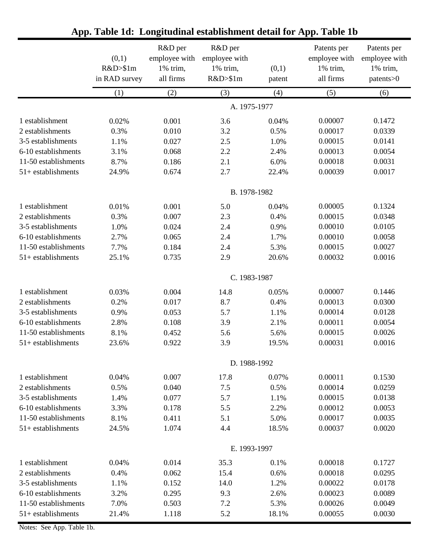|                      | (0,1)<br>R&D>\$1m<br>in RAD survey | R&D per<br>employee with<br>1% trim,<br>all firms | R&D per<br>employee with<br>1% trim,<br>R&D>\$1m | (0,1)<br>patent | Patents per<br>employee with<br>1% trim,<br>all firms | Patents per<br>employee with<br>1% trim,<br>patents>0 |  |  |
|----------------------|------------------------------------|---------------------------------------------------|--------------------------------------------------|-----------------|-------------------------------------------------------|-------------------------------------------------------|--|--|
|                      | (1)                                | (2)                                               | (3)                                              | (4)             | (5)                                                   | (6)                                                   |  |  |
|                      |                                    |                                                   | A. 1975-1977                                     |                 |                                                       |                                                       |  |  |
| 1 establishment      | 0.02%                              | 0.001                                             | 3.6                                              | 0.04%           | 0.00007                                               | 0.1472                                                |  |  |
| 2 establishments     | 0.3%                               | 0.010                                             | 3.2                                              | 0.5%            | 0.00017                                               | 0.0339                                                |  |  |
| 3-5 establishments   | 1.1%                               | 0.027                                             | 2.5                                              | 1.0%            | 0.00015                                               | 0.0141                                                |  |  |
| 6-10 establishments  | 3.1%                               | 0.068                                             | 2.2                                              | 2.4%            | 0.00013                                               | 0.0054                                                |  |  |
| 11-50 establishments | 8.7%                               | 0.186                                             | 2.1                                              | 6.0%            | 0.00018                                               | 0.0031                                                |  |  |
| $51+$ establishments | 24.9%                              | 0.674                                             | 2.7                                              | 22.4%           | 0.00039                                               | 0.0017                                                |  |  |
|                      |                                    |                                                   | B. 1978-1982                                     |                 |                                                       |                                                       |  |  |
| 1 establishment      | 0.01%                              | 0.001                                             | 5.0                                              | 0.04%           | 0.00005                                               | 0.1324                                                |  |  |
| 2 establishments     | 0.3%                               | 0.007                                             | 2.3                                              | 0.4%            | 0.00015                                               | 0.0348                                                |  |  |
| 3-5 establishments   | 1.0%                               | 0.024                                             | 2.4                                              | 0.9%            | 0.00010                                               | 0.0105                                                |  |  |
| 6-10 establishments  | 2.7%                               | 0.065                                             | 2.4                                              | 1.7%            | 0.00010                                               | 0.0058                                                |  |  |
| 11-50 establishments | 7.7%                               | 0.184                                             | 2.4                                              | 5.3%            | 0.00015                                               | 0.0027                                                |  |  |
| $51+$ establishments | 25.1%                              | 0.735                                             | 2.9                                              | 20.6%           | 0.00032                                               | 0.0016                                                |  |  |
|                      |                                    |                                                   | C. 1983-1987                                     |                 |                                                       |                                                       |  |  |
| 1 establishment      | 0.03%                              | 0.004                                             | 14.8                                             | 0.05%           | 0.00007                                               | 0.1446                                                |  |  |
| 2 establishments     | 0.2%                               | 0.017                                             | 8.7                                              | 0.4%            | 0.00013                                               | 0.0300                                                |  |  |
| 3-5 establishments   | 0.9%                               | 0.053                                             | 5.7                                              | 1.1%            | 0.00014                                               | 0.0128                                                |  |  |
| 6-10 establishments  | 2.8%                               | 0.108                                             | 3.9                                              | 2.1%            | 0.00011                                               | 0.0054                                                |  |  |
| 11-50 establishments | 8.1%                               | 0.452                                             | 5.6                                              | 5.6%            | 0.00015                                               | 0.0026                                                |  |  |
| $51+$ establishments | 23.6%                              | 0.922                                             | 3.9                                              | 19.5%           | 0.00031                                               | 0.0016                                                |  |  |
|                      | D. 1988-1992                       |                                                   |                                                  |                 |                                                       |                                                       |  |  |
| 1 establishment      | 0.04%                              | 0.007                                             | 17.8                                             | 0.07%           | 0.00011                                               | 0.1530                                                |  |  |
| 2 establishments     | 0.5%                               | 0.040                                             | 7.5                                              | 0.5%            | 0.00014                                               | 0.0259                                                |  |  |
| 3-5 establishments   | 1.4%                               | 0.077                                             | 5.7                                              | 1.1%            | 0.00015                                               | 0.0138                                                |  |  |
| 6-10 establishments  | 3.3%                               | 0.178                                             | 5.5                                              | 2.2%            | 0.00012                                               | 0.0053                                                |  |  |
| 11-50 establishments | 8.1%                               | 0.411                                             | 5.1                                              | 5.0%            | 0.00017                                               | 0.0035                                                |  |  |
| $51+$ establishments | 24.5%                              | 1.074                                             | 4.4                                              | 18.5%           | 0.00037                                               | 0.0020                                                |  |  |
|                      |                                    |                                                   | E. 1993-1997                                     |                 |                                                       |                                                       |  |  |
| 1 establishment      | 0.04%                              | 0.014                                             | 35.3                                             | 0.1%            | 0.00018                                               | 0.1727                                                |  |  |
| 2 establishments     | 0.4%                               | 0.062                                             | 15.4                                             | 0.6%            | 0.00018                                               | 0.0295                                                |  |  |
| 3-5 establishments   | 1.1%                               | 0.152                                             | 14.0                                             | 1.2%            | 0.00022                                               | 0.0178                                                |  |  |
| 6-10 establishments  | 3.2%                               | 0.295                                             | 9.3                                              | 2.6%            | 0.00023                                               | 0.0089                                                |  |  |
| 11-50 establishments | 7.0%                               | 0.503                                             | 7.2                                              | 5.3%            | 0.00026                                               | 0.0049                                                |  |  |
| $51+$ establishments | 21.4%                              | 1.118                                             | 5.2                                              | 18.1%           | 0.00055                                               | 0.0030                                                |  |  |

## **App. Table 1d: Longitudinal establishment detail for App. Table 1b**

Notes: See App. Table 1b.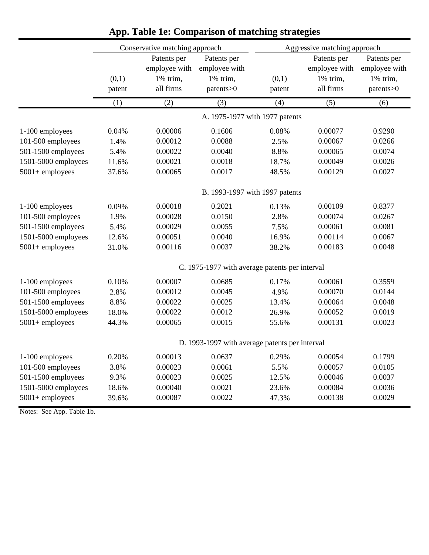|                     |                                | Conservative matching approach                        |                                                       | Aggressive matching approach |                                                       |                                                       |  |  |
|---------------------|--------------------------------|-------------------------------------------------------|-------------------------------------------------------|------------------------------|-------------------------------------------------------|-------------------------------------------------------|--|--|
|                     | (0,1)<br>patent                | Patents per<br>employee with<br>1% trim,<br>all firms | Patents per<br>employee with<br>1% trim,<br>patents>0 | (0,1)<br>patent              | Patents per<br>employee with<br>1% trim,<br>all firms | Patents per<br>employee with<br>1% trim,<br>patents>0 |  |  |
|                     | (1)                            | (2)                                                   | (3)                                                   | (4)                          | (5)                                                   | (6)                                                   |  |  |
|                     |                                |                                                       | A. 1975-1977 with 1977 patents                        |                              |                                                       |                                                       |  |  |
| 1-100 employees     | 0.04%                          | 0.00006                                               | 0.1606                                                | 0.08%                        | 0.00077                                               | 0.9290                                                |  |  |
| 101-500 employees   | 1.4%                           | 0.00012                                               | 0.0088                                                | 2.5%                         | 0.00067                                               | 0.0266                                                |  |  |
| 501-1500 employees  | 5.4%                           | 0.00022                                               | 0.0040                                                | 8.8%                         | 0.00065                                               | 0.0074                                                |  |  |
| 1501-5000 employees | 11.6%                          | 0.00021                                               | 0.0018                                                | 18.7%                        | 0.00049                                               | 0.0026                                                |  |  |
| $5001 +$ employees  | 37.6%                          | 0.00065                                               | 0.0017                                                | 48.5%                        | 0.00129                                               | 0.0027                                                |  |  |
|                     | B. 1993-1997 with 1997 patents |                                                       |                                                       |                              |                                                       |                                                       |  |  |
| 1-100 employees     | 0.09%                          | 0.00018                                               | 0.2021                                                | 0.13%                        | 0.00109                                               | 0.8377                                                |  |  |
| 101-500 employees   | 1.9%                           | 0.00028                                               | 0.0150                                                | 2.8%                         | 0.00074                                               | 0.0267                                                |  |  |
| 501-1500 employees  | 5.4%                           | 0.00029                                               | 0.0055                                                | 7.5%                         | 0.00061                                               | 0.0081                                                |  |  |
| 1501-5000 employees | 12.6%                          | 0.00051                                               | 0.0040                                                | 16.9%                        | 0.00114                                               | 0.0067                                                |  |  |
| $5001 +$ employees  | 31.0%                          | 0.00116                                               | 0.0037                                                | 38.2%                        | 0.00183                                               | 0.0048                                                |  |  |
|                     |                                |                                                       | C. 1975-1977 with average patents per interval        |                              |                                                       |                                                       |  |  |
| 1-100 employees     | 0.10%                          | 0.00007                                               | 0.0685                                                | 0.17%                        | 0.00061                                               | 0.3559                                                |  |  |
| 101-500 employees   | 2.8%                           | 0.00012                                               | 0.0045                                                | 4.9%                         | 0.00070                                               | 0.0144                                                |  |  |
| 501-1500 employees  | 8.8%                           | 0.00022                                               | 0.0025                                                | 13.4%                        | 0.00064                                               | 0.0048                                                |  |  |
| 1501-5000 employees | 18.0%                          | 0.00022                                               | 0.0012                                                | 26.9%                        | 0.00052                                               | 0.0019                                                |  |  |
| $5001 +$ employees  | 44.3%                          | 0.00065                                               | 0.0015                                                | 55.6%                        | 0.00131                                               | 0.0023                                                |  |  |
|                     |                                |                                                       | D. 1993-1997 with average patents per interval        |                              |                                                       |                                                       |  |  |
| 1-100 employees     | 0.20%                          | 0.00013                                               | 0.0637                                                | 0.29%                        | 0.00054                                               | 0.1799                                                |  |  |
| 101-500 employees   | 3.8%                           | 0.00023                                               | 0.0061                                                | 5.5%                         | 0.00057                                               | 0.0105                                                |  |  |
| 501-1500 employees  | 9.3%                           | 0.00023                                               | 0.0025                                                | 12.5%                        | 0.00046                                               | 0.0037                                                |  |  |
| 1501-5000 employees | 18.6%                          | 0.00040                                               | 0.0021                                                | 23.6%                        | 0.00084                                               | 0.0036                                                |  |  |
| $5001 +$ employees  | 39.6%                          | 0.00087                                               | 0.0022                                                | 47.3%                        | 0.00138                                               | 0.0029                                                |  |  |

## **App. Table 1e: Comparison of matching strategies**

Notes: See App. Table 1b.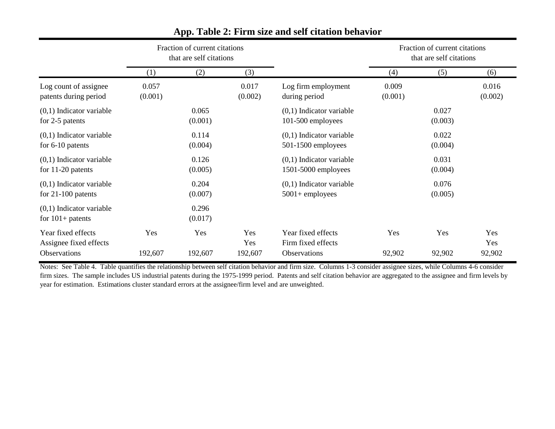|                                                    | Fraction of current citations<br>that are self citations |                  |                  | Fraction of current citations<br>that are self citations |                  |                  |                  |
|----------------------------------------------------|----------------------------------------------------------|------------------|------------------|----------------------------------------------------------|------------------|------------------|------------------|
|                                                    | (1)                                                      | (2)              | (3)              |                                                          | (4)              | (5)              | (6)              |
| Log count of assignee<br>patents during period     | 0.057<br>(0.001)                                         |                  | 0.017<br>(0.002) | Log firm employment<br>during period                     | 0.009<br>(0.001) |                  | 0.016<br>(0.002) |
| $(0,1)$ Indicator variable<br>for 2-5 patents      |                                                          | 0.065<br>(0.001) |                  | $(0,1)$ Indicator variable<br>101-500 employees          |                  | 0.027<br>(0.003) |                  |
| $(0,1)$ Indicator variable<br>for $6-10$ patents   |                                                          | 0.114<br>(0.004) |                  | $(0,1)$ Indicator variable<br>$501-1500$ employees       |                  | 0.022<br>(0.004) |                  |
| $(0,1)$ Indicator variable<br>for $11-20$ patents  |                                                          | 0.126<br>(0.005) |                  | $(0,1)$ Indicator variable<br>$1501-5000$ employees      |                  | 0.031<br>(0.004) |                  |
| $(0,1)$ Indicator variable<br>for $21-100$ patents |                                                          | 0.204<br>(0.007) |                  | $(0,1)$ Indicator variable<br>$5001 +$ employees         |                  | 0.076<br>(0.005) |                  |
| $(0,1)$ Indicator variable<br>for $101+$ patents   |                                                          | 0.296<br>(0.017) |                  |                                                          |                  |                  |                  |
| Year fixed effects<br>Assignee fixed effects       | Yes                                                      | Yes              | Yes<br>Yes       | Year fixed effects<br>Firm fixed effects                 | Yes              | Yes              | Yes<br>Yes       |
| Observations                                       | 192,607                                                  | 192,607          | 192,607          | Observations                                             | 92,902           | 92,902           | 92,902           |

#### **App. Table 2: Firm size and self citation behavior**

Notes: See Table 4. Table quantifies the relationship between self citation behavior and firm size. Columns 1-3 consider assignee sizes, while Columns 4-6 consider firm sizes. The sample includes US industrial patents during the 1975-1999 period. Patents and self citation behavior are aggregated to the assignee and firm levels by year for estimation. Estimations cluster standard errors at the assignee/firm level and are unweighted.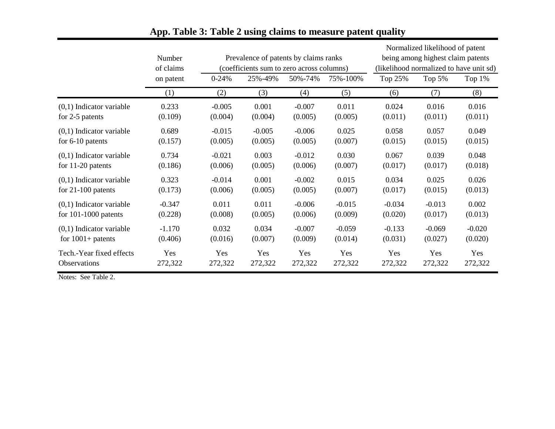|                            | Number<br>of claims | Prevalence of patents by claims ranks<br>(coefficients sum to zero across columns) |          |          | Normalized likelihood of patent<br>being among highest claim patents<br>(likelihood normalized to have unit sd) |          |          |          |
|----------------------------|---------------------|------------------------------------------------------------------------------------|----------|----------|-----------------------------------------------------------------------------------------------------------------|----------|----------|----------|
|                            | on patent           | $0 - 24%$                                                                          | 25%-49%  | 50%-74%  | 75%-100%                                                                                                        | Top 25%  | Top 5%   | Top 1%   |
|                            | (1)                 | (2)                                                                                | (3)      | (4)      | (5)                                                                                                             | (6)      | (7)      | (8)      |
| $(0,1)$ Indicator variable | 0.233               | $-0.005$                                                                           | 0.001    | $-0.007$ | 0.011                                                                                                           | 0.024    | 0.016    | 0.016    |
| for 2-5 patents            | (0.109)             | (0.004)                                                                            | (0.004)  | (0.005)  | (0.005)                                                                                                         | (0.011)  | (0.011)  | (0.011)  |
| $(0,1)$ Indicator variable | 0.689               | $-0.015$                                                                           | $-0.005$ | $-0.006$ | 0.025                                                                                                           | 0.058    | 0.057    | 0.049    |
| for $6-10$ patents         | (0.157)             | (0.005)                                                                            | (0.005)  | (0.005)  | (0.007)                                                                                                         | (0.015)  | (0.015)  | (0.015)  |
| $(0,1)$ Indicator variable | 0.734               | $-0.021$                                                                           | 0.003    | $-0.012$ | 0.030                                                                                                           | 0.067    | 0.039    | 0.048    |
| for $11-20$ patents        | (0.186)             | (0.006)                                                                            | (0.005)  | (0.006)  | (0.007)                                                                                                         | (0.017)  | (0.017)  | (0.018)  |
| $(0,1)$ Indicator variable | 0.323               | $-0.014$                                                                           | 0.001    | $-0.002$ | 0.015                                                                                                           | 0.034    | 0.025    | 0.026    |
| for $21-100$ patents       | (0.173)             | (0.006)                                                                            | (0.005)  | (0.005)  | (0.007)                                                                                                         | (0.017)  | (0.015)  | (0.013)  |
| $(0,1)$ Indicator variable | $-0.347$            | 0.011                                                                              | 0.011    | $-0.006$ | $-0.015$                                                                                                        | $-0.034$ | $-0.013$ | 0.002    |
| for $101-1000$ patents     | (0.228)             | (0.008)                                                                            | (0.005)  | (0.006)  | (0.009)                                                                                                         | (0.020)  | (0.017)  | (0.013)  |
| $(0,1)$ Indicator variable | $-1.170$            | 0.032                                                                              | 0.034    | $-0.007$ | $-0.059$                                                                                                        | $-0.133$ | $-0.069$ | $-0.020$ |
| for $1001+$ patents        | (0.406)             | (0.016)                                                                            | (0.007)  | (0.009)  | (0.014)                                                                                                         | (0.031)  | (0.027)  | (0.020)  |
| Tech.-Year fixed effects   | Yes                 | Yes                                                                                | Yes      | Yes      | Yes                                                                                                             | Yes      | Yes      | Yes      |
| <b>Observations</b>        | 272,322             | 272,322                                                                            | 272,322  | 272,322  | 272,322                                                                                                         | 272,322  | 272,322  | 272,322  |

### **App. Table 3: Table 2 using claims to measure patent quality**

Notes: See Table 2.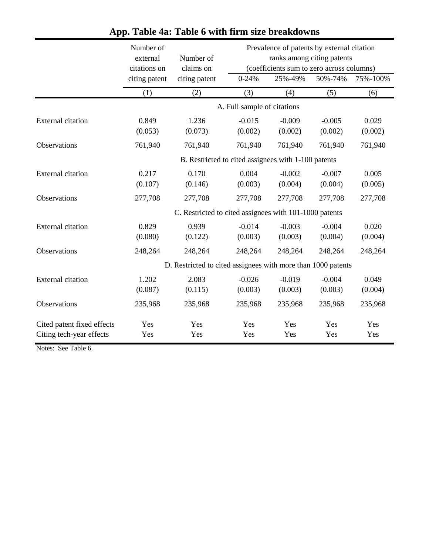|                                                        | Number of<br>external<br>citations on | Number of<br>claims on                                       |                             | Prevalence of patents by external citation<br>ranks among citing patents<br>(coefficients sum to zero across columns) |                     |                  |  |
|--------------------------------------------------------|---------------------------------------|--------------------------------------------------------------|-----------------------------|-----------------------------------------------------------------------------------------------------------------------|---------------------|------------------|--|
|                                                        | citing patent                         | citing patent                                                | $0 - 24%$                   | 25%-49%                                                                                                               | 50%-74%             | 75%-100%         |  |
|                                                        | (1)                                   | (2)                                                          | (3)                         | (4)                                                                                                                   | (5)                 | (6)              |  |
|                                                        |                                       |                                                              | A. Full sample of citations |                                                                                                                       |                     |                  |  |
| <b>External citation</b>                               | 0.849<br>(0.053)                      | 1.236<br>(0.073)                                             | $-0.015$<br>(0.002)         | $-0.009$<br>(0.002)                                                                                                   | $-0.005$<br>(0.002) | 0.029<br>(0.002) |  |
| Observations                                           | 761,940                               | 761,940                                                      | 761,940                     | 761,940                                                                                                               | 761,940             | 761,940          |  |
|                                                        |                                       | B. Restricted to cited assignees with 1-100 patents          |                             |                                                                                                                       |                     |                  |  |
| <b>External citation</b>                               | 0.217<br>(0.107)                      | 0.170<br>(0.146)                                             | 0.004<br>(0.003)            | $-0.002$<br>(0.004)                                                                                                   | $-0.007$<br>(0.004) | 0.005<br>(0.005) |  |
| Observations                                           | 277,708                               | 277,708                                                      | 277,708                     | 277,708                                                                                                               | 277,708             | 277,708          |  |
|                                                        |                                       | C. Restricted to cited assignees with 101-1000 patents       |                             |                                                                                                                       |                     |                  |  |
| <b>External citation</b>                               | 0.829<br>(0.080)                      | 0.939<br>(0.122)                                             | $-0.014$<br>(0.003)         | $-0.003$<br>(0.003)                                                                                                   | $-0.004$<br>(0.004) | 0.020<br>(0.004) |  |
| Observations                                           | 248,264                               | 248,264                                                      | 248,264                     | 248,264                                                                                                               | 248,264             | 248,264          |  |
|                                                        |                                       | D. Restricted to cited assignees with more than 1000 patents |                             |                                                                                                                       |                     |                  |  |
| <b>External citation</b>                               | 1.202<br>(0.087)                      | 2.083<br>(0.115)                                             | $-0.026$<br>(0.003)         | $-0.019$<br>(0.003)                                                                                                   | $-0.004$<br>(0.003) | 0.049<br>(0.004) |  |
| Observations                                           | 235,968                               | 235,968                                                      | 235,968                     | 235,968                                                                                                               | 235,968             | 235,968          |  |
| Cited patent fixed effects<br>Citing tech-year effects | Yes<br>Yes                            | Yes<br>Yes                                                   | Yes<br>Yes                  | Yes<br>Yes                                                                                                            | Yes<br>Yes          | Yes<br>Yes       |  |

### **App. Table 4a: Table 6 with firm size breakdowns**

Notes: See Table 6.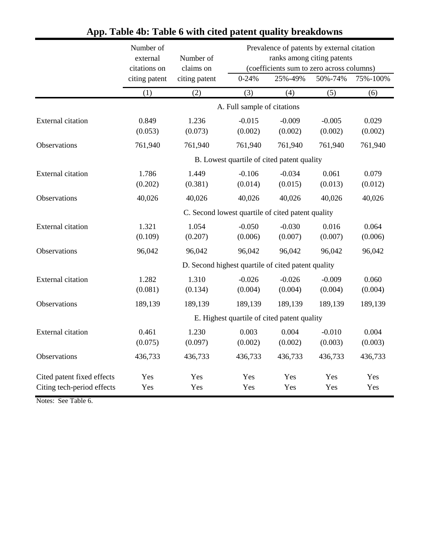|                                                          | Number of<br>external<br>citations on | Number of<br>claims on                             | Prevalence of patents by external citation<br>ranks among citing patents<br>(coefficients sum to zero across columns) |                                             |                     |                  |
|----------------------------------------------------------|---------------------------------------|----------------------------------------------------|-----------------------------------------------------------------------------------------------------------------------|---------------------------------------------|---------------------|------------------|
|                                                          | citing patent                         | citing patent                                      | $0 - 24%$                                                                                                             | 25%-49%                                     | 50%-74%             | 75%-100%         |
|                                                          | (1)                                   | (2)                                                | (3)                                                                                                                   | (4)                                         | (5)                 | (6)              |
|                                                          |                                       |                                                    | A. Full sample of citations                                                                                           |                                             |                     |                  |
| <b>External citation</b>                                 | 0.849<br>(0.053)                      | 1.236<br>(0.073)                                   | $-0.015$<br>(0.002)                                                                                                   | $-0.009$<br>(0.002)                         | $-0.005$<br>(0.002) | 0.029<br>(0.002) |
| Observations                                             | 761,940                               | 761,940                                            | 761,940                                                                                                               | 761,940                                     | 761,940             | 761,940          |
|                                                          |                                       |                                                    |                                                                                                                       | B. Lowest quartile of cited patent quality  |                     |                  |
| <b>External citation</b>                                 | 1.786<br>(0.202)                      | 1.449<br>(0.381)                                   | $-0.106$<br>(0.014)                                                                                                   | $-0.034$<br>(0.015)                         | 0.061<br>(0.013)    | 0.079<br>(0.012) |
| Observations                                             | 40,026                                | 40,026                                             | 40,026                                                                                                                | 40,026                                      | 40,026              | 40,026           |
|                                                          |                                       | C. Second lowest quartile of cited patent quality  |                                                                                                                       |                                             |                     |                  |
| <b>External citation</b>                                 | 1.321<br>(0.109)                      | 1.054<br>(0.207)                                   | $-0.050$<br>(0.006)                                                                                                   | $-0.030$<br>(0.007)                         | 0.016<br>(0.007)    | 0.064<br>(0.006) |
| Observations                                             | 96,042                                | 96,042                                             | 96,042                                                                                                                | 96,042                                      | 96,042              | 96,042           |
|                                                          |                                       | D. Second highest quartile of cited patent quality |                                                                                                                       |                                             |                     |                  |
| <b>External citation</b>                                 | 1.282<br>(0.081)                      | 1.310<br>(0.134)                                   | $-0.026$<br>(0.004)                                                                                                   | $-0.026$<br>(0.004)                         | $-0.009$<br>(0.004) | 0.060<br>(0.004) |
| Observations                                             | 189,139                               | 189,139                                            | 189,139                                                                                                               | 189,139                                     | 189,139             | 189,139          |
|                                                          |                                       |                                                    |                                                                                                                       | E. Highest quartile of cited patent quality |                     |                  |
| <b>External citation</b>                                 | 0.461<br>(0.075)                      | 1.230<br>(0.097)                                   | 0.003<br>(0.002)                                                                                                      | 0.004<br>(0.002)                            | $-0.010$<br>(0.003) | 0.004<br>(0.003) |
| Observations                                             | 436,733                               | 436,733                                            | 436,733                                                                                                               | 436,733                                     | 436,733             | 436,733          |
| Cited patent fixed effects<br>Citing tech-period effects | Yes<br>Yes                            | Yes<br>Yes                                         | Yes<br>Yes                                                                                                            | Yes<br>Yes                                  | Yes<br>Yes          | Yes<br>Yes       |

## **App. Table 4b: Table 6 with cited patent quality breakdowns**

Notes: See Table 6.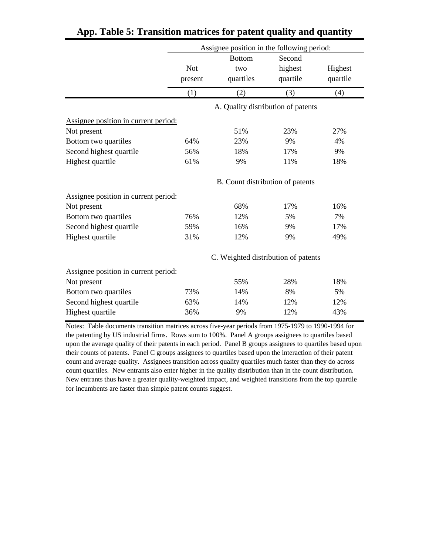|                                      | Assignee position in the following period: |                                     |                               |                     |  |  |
|--------------------------------------|--------------------------------------------|-------------------------------------|-------------------------------|---------------------|--|--|
|                                      | <b>Not</b><br>present                      | <b>Bottom</b><br>two<br>quartiles   | Second<br>highest<br>quartile | Highest<br>quartile |  |  |
|                                      | (1)                                        | (2)                                 | (3)                           | (4)                 |  |  |
|                                      |                                            | A. Quality distribution of patents  |                               |                     |  |  |
| Assignee position in current period: |                                            |                                     |                               |                     |  |  |
| Not present                          |                                            | 51%                                 | 23%                           | 27%                 |  |  |
| Bottom two quartiles                 | 64%                                        | 23%                                 | 9%                            | 4%                  |  |  |
| Second highest quartile              | 56%                                        | 18%                                 | 17%                           | 9%                  |  |  |
| Highest quartile                     | 61%                                        | 9%                                  | 11%                           | 18%                 |  |  |
|                                      |                                            | B. Count distribution of patents    |                               |                     |  |  |
| Assignee position in current period: |                                            |                                     |                               |                     |  |  |
| Not present                          |                                            | 68%                                 | 17%                           | 16%                 |  |  |
| Bottom two quartiles                 | 76%                                        | 12%                                 | 5%                            | 7%                  |  |  |
| Second highest quartile              | 59%                                        | 16%                                 | 9%                            | 17%                 |  |  |
| Highest quartile                     | 31%                                        | 12%                                 | 9%                            | 49%                 |  |  |
|                                      |                                            | C. Weighted distribution of patents |                               |                     |  |  |
| Assignee position in current period: |                                            |                                     |                               |                     |  |  |
| Not present                          |                                            | 55%                                 | 28%                           | 18%                 |  |  |
| Bottom two quartiles                 | 73%                                        | 14%                                 | 8%                            | 5%                  |  |  |
| Second highest quartile              | 63%                                        | 14%                                 | 12%                           | 12%                 |  |  |
| Highest quartile                     | 36%                                        | 9%                                  | 12%                           | 43%                 |  |  |

### **App. Table 5: Transition matrices for patent quality and quantity**

Notes: Table documents transition matrices across five-year periods from 1975-1979 to 1990-1994 for the patenting by US industrial firms. Rows sum to 100%. Panel A groups assignees to quartiles based upon the average quality of their patents in each period. Panel B groups assignees to quartiles based upon their counts of patents. Panel C groups assignees to quartiles based upon the interaction of their patent count and average quality. Assignees transition across quality quartiles much faster than they do across count quartiles. New entrants also enter higher in the quality distribution than in the count distribution. New entrants thus have a greater quality-weighted impact, and weighted transitions from the top quartile for incumbents are faster than simple patent counts suggest.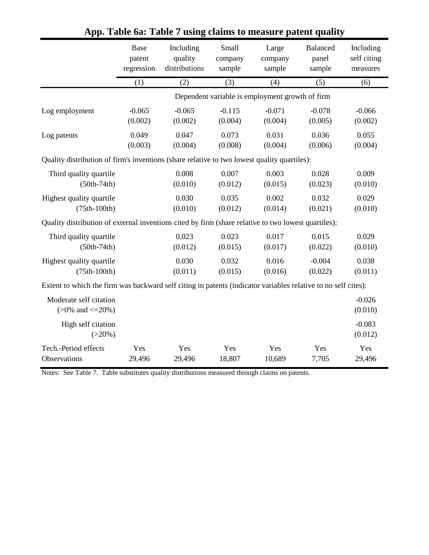|                                                                                                               | Base       | Including     | Small    | Large                                           | Balanced | Including           |
|---------------------------------------------------------------------------------------------------------------|------------|---------------|----------|-------------------------------------------------|----------|---------------------|
|                                                                                                               | patent     | quality       | company  | company                                         | panel    | self citing         |
|                                                                                                               | regression | distributions | sample   | sample                                          | sample   | measures            |
|                                                                                                               | (1)        | (2)           | (3)      | (4)                                             | (5)      | (6)                 |
|                                                                                                               |            |               |          | Dependent variable is employment growth of firm |          |                     |
| Log employment                                                                                                | $-0.065$   | $-0.065$      | $-0.115$ | $-0.071$                                        | $-0.078$ | $-0.066$            |
|                                                                                                               | (0.002)    | (0.002)       | (0.004)  | (0.004)                                         | (0.005)  | (0.002)             |
| Log patents                                                                                                   | 0.049      | 0.047         | 0.073    | 0.031                                           | 0.036    | 0.055               |
|                                                                                                               | (0.003)    | (0.004)       | (0.008)  | (0.004)                                         | (0.006)  | (0.004)             |
| Quality distribution of firm's inventions (share relative to two lowest quality quartiles):                   |            |               |          |                                                 |          |                     |
| Third quality quartile                                                                                        |            | 0.008         | 0.007    | 0.003                                           | 0.028    | 0.009               |
| $(50th-74th)$                                                                                                 |            | (0.010)       | (0.012)  | (0.015)                                         | (0.023)  | (0.010)             |
| Highest quality quartile                                                                                      |            | 0.030         | 0.035    | 0.002                                           | 0.032    | 0.029               |
| $(75th-100th)$                                                                                                |            | (0.010)       | (0.012)  | (0.014)                                         | (0.021)  | (0.010)             |
| Quality distribution of external inventions cited by firm (share relative to two lowest quartiles):           |            |               |          |                                                 |          |                     |
| Third quality quartile                                                                                        |            | 0.023         | 0.023    | 0.017                                           | 0.015    | 0.029               |
| $(50th-74th)$                                                                                                 |            | (0.012)       | (0.015)  | (0.017)                                         | (0.022)  | (0.010)             |
| Highest quality quartile                                                                                      |            | 0.030         | 0.032    | 0.016                                           | $-0.004$ | 0.038               |
| $(75th-100th)$                                                                                                |            | (0.011)       | (0.015)  | (0.016)                                         | (0.022)  | (0.011)             |
| Extent to which the firm was backward self citing in patents (indicator variables relative to no self cites): |            |               |          |                                                 |          |                     |
| Moderate self citation<br>$(>0\%$ and $\leq=20\%)$                                                            |            |               |          |                                                 |          | $-0.026$<br>(0.010) |
| High self citation<br>$(>20\%)$                                                                               |            |               |          |                                                 |          | $-0.083$<br>(0.012) |
| Tech.-Period effects                                                                                          | Yes        | Yes           | Yes      | Yes                                             | Yes      | Yes                 |
| Observations                                                                                                  | 29,496     | 29,496        | 18,807   | 10,689                                          | 7,705    | 29,496              |

### **App. Table 6a: Table 7 using claims to measure patent quality**

Notes: See Table 7. Table substitutes quality distributions measured through claims on patents.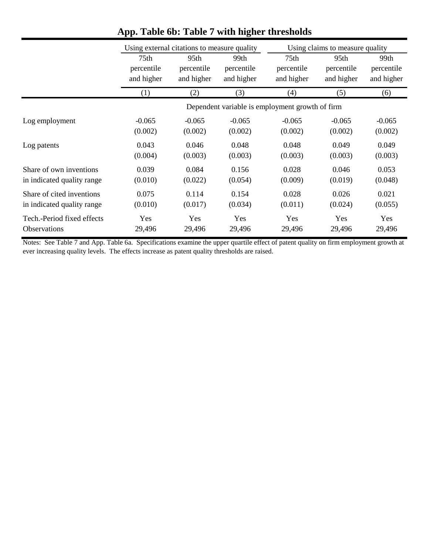|                            | Using external citations to measure quality |            |            |                                                 | Using claims to measure quality |            |  |
|----------------------------|---------------------------------------------|------------|------------|-------------------------------------------------|---------------------------------|------------|--|
|                            | 75th                                        | 95th       | 99th       | 75 <sub>th</sub>                                | 95th                            | 99th       |  |
|                            | percentile                                  | percentile | percentile | percentile                                      | percentile                      | percentile |  |
|                            | and higher                                  | and higher | and higher | and higher                                      | and higher                      | and higher |  |
|                            | (1)                                         | (2)        | (3)        | (4)                                             | (5)                             | (6)        |  |
|                            |                                             |            |            | Dependent variable is employment growth of firm |                                 |            |  |
| Log employment             | $-0.065$                                    | $-0.065$   | $-0.065$   | $-0.065$                                        | $-0.065$                        | $-0.065$   |  |
|                            | (0.002)                                     | (0.002)    | (0.002)    | (0.002)                                         | (0.002)                         | (0.002)    |  |
| Log patents                | 0.043                                       | 0.046      | 0.048      | 0.048                                           | 0.049                           | 0.049      |  |
|                            | (0.004)                                     | (0.003)    | (0.003)    | (0.003)                                         | (0.003)                         | (0.003)    |  |
| Share of own inventions    | 0.039                                       | 0.084      | 0.156      | 0.028                                           | 0.046                           | 0.053      |  |
| in indicated quality range | (0.010)                                     | (0.022)    | (0.054)    | (0.009)                                         | (0.019)                         | (0.048)    |  |
| Share of cited inventions  | 0.075                                       | 0.114      | 0.154      | 0.028                                           | 0.026                           | 0.021      |  |
| in indicated quality range | (0.010)                                     | (0.017)    | (0.034)    | (0.011)                                         | (0.024)                         | (0.055)    |  |
| Tech.-Period fixed effects | Yes                                         | Yes        | Yes        | Yes                                             | Yes                             | Yes        |  |
| Observations               | 29,496                                      | 29,496     | 29,496     | 29,496                                          | 29,496                          | 29,496     |  |

# **App. Table 6b: Table 7 with higher thresholds**

Notes: See Table 7 and App. Table 6a. Specifications examine the upper quartile effect of patent quality on firm employment growth at ever increasing quality levels. The effects increase as patent quality thresholds are raised.